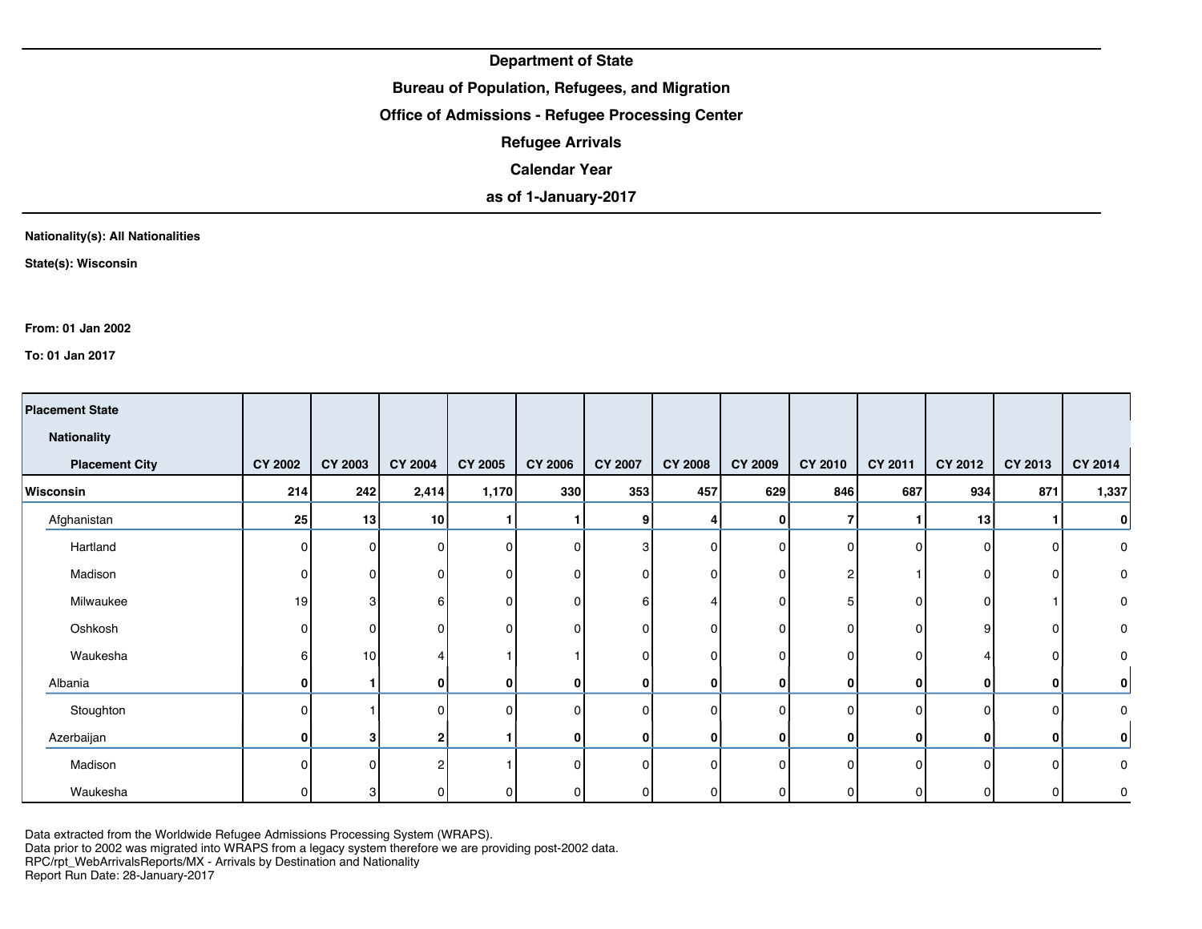## **Bureau of Population, Refugees, and Migration**

### **Office of Admissions - Refugee Processing Center**

**Refugee Arrivals**

**Calendar Year**

**as of 1-January-2017**

#### **Nationality(s): All Nationalities**

**State(s): Wisconsin**

**From: 01 Jan 2002**

**To: 01 Jan 2017**

| <b>Placement State</b><br><b>Nationality</b> |                |                 |                |                |                |                |                |                |                |          |         |              |              |
|----------------------------------------------|----------------|-----------------|----------------|----------------|----------------|----------------|----------------|----------------|----------------|----------|---------|--------------|--------------|
|                                              |                |                 |                |                |                |                |                |                |                |          |         |              |              |
| <b>Placement City</b>                        | <b>CY 2002</b> | <b>CY 2003</b>  | <b>CY 2004</b> | <b>CY 2005</b> | <b>CY 2006</b> | <b>CY 2007</b> | <b>CY 2008</b> | <b>CY 2009</b> | CY 2010        | CY 2011  | CY 2012 | CY 2013      | CY 2014      |
| Wisconsin                                    | 214            | 242             | 2,414          | 1,170          | 330            | 353            | 457            | 629            | 846            | 687      | 934     | 871          | 1,337        |
| Afghanistan                                  | 25             | 13              | 10             |                |                | 9              | 4              | $\mathbf{0}$   |                |          | 13      |              | $\bf{0}$     |
| Hartland                                     | $\Omega$       |                 | 0              | $\Omega$       | <sup>0</sup>   | 3              | $\Omega$       | $\Omega$       | 0              | $\Omega$ | O       | $\mathbf{0}$ | 0            |
| Madison                                      | $\Omega$       | ი               | 0              | 0              |                | n              | $\Omega$       | $\mathbf{0}$   | 2              |          | 0       | 0            | 0            |
| Milwaukee                                    | 19             | 3               | 6              | 0              | <sup>n</sup>   | 61             |                | $\Omega$       | 5              | 0        | 0       |              | 0            |
| Oshkosh                                      | $\Omega$       | ი               | 0              | 0              |                | n              | $\Omega$       | $\Omega$       | 0              | 0        | 9       | 0            | 0            |
| Waukesha                                     | 6              | 10 <sup>1</sup> |                |                |                | n              | $\Omega$       | $\Omega$       | $\overline{0}$ | 0        |         | 0            | 0            |
| Albania                                      | 0              |                 | 0              | 0              | 0              | $\mathbf{0}$   | $\mathbf{0}$   | 0              | $\mathbf{0}$   | 0        | 0       | 0            | 0            |
| Stoughton                                    | $\Omega$       |                 | 0              | $\Omega$       | <sup>0</sup>   | ΩI             | $\Omega$       | $\Omega$       | $\Omega$       | $\Omega$ | 0       | 0            | 0            |
| Azerbaijan                                   | 0              | 3               | $\mathbf 2$    |                | 0              | 0              | $\mathbf{0}$   | 0              | 0              | 0        | 0       | 0            | $\mathbf{0}$ |
| Madison                                      | $\Omega$       | <sup>n</sup>    | $\overline{2}$ |                | U              | ΩI             | $\Omega$       | $\Omega$       | $\Omega$       | $\Omega$ | 0       | $\mathbf{0}$ | 0            |
| Waukesha                                     |                | 3               | 0              | 0              | ΟI             |                | 01             | 0              | 0              | 0        |         | 0            | $\mathbf 0$  |

Data extracted from the Worldwide Refugee Admissions Processing System (WRAPS).

Data prior to 2002 was migrated into WRAPS from a legacy system therefore we are providing post-2002 data.

RPC/rpt\_WebArrivalsReports/MX - Arrivals by Destination and Nationality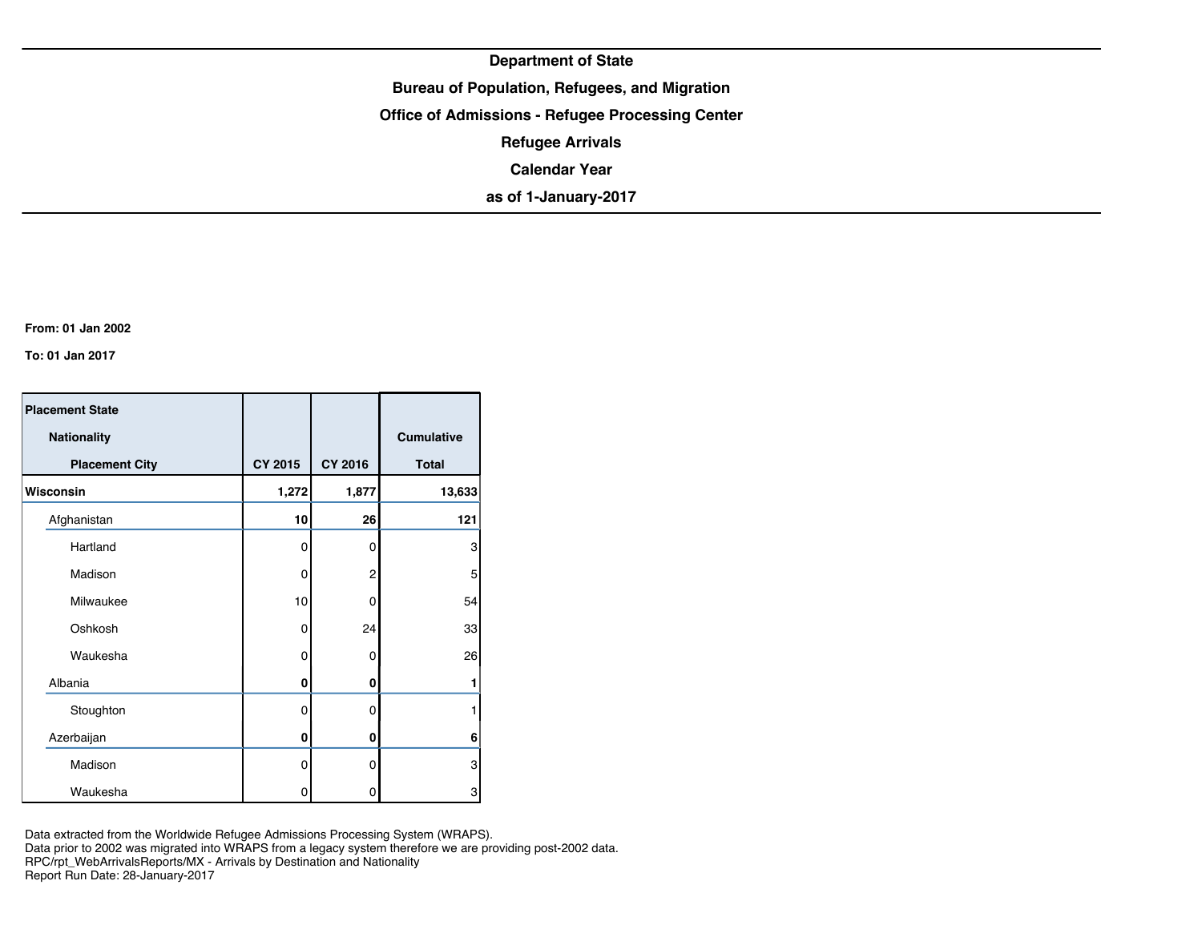**Bureau of Population, Refugees, and Migration**

**Office of Admissions - Refugee Processing Center**

**Refugee Arrivals**

**Calendar Year**

**as of 1-January-2017**

**From: 01 Jan 2002**

**To: 01 Jan 2017**

| <b>Placement State</b> |         |          |              |
|------------------------|---------|----------|--------------|
| <b>Nationality</b>     |         |          | Cumulative   |
| <b>Placement City</b>  | CY 2015 | CY 2016  | <b>Total</b> |
| Wisconsin              | 1,272   | 1,877    | 13,633       |
| Afghanistan            | 10      | 26       | 121          |
| Hartland               | 0       | 0        | 3            |
| Madison                | 0       | 2        | 5            |
| Milwaukee              | 10      | 0        | 54           |
| Oshkosh                | 0       | 24       | 33           |
| Waukesha               | 0       | 0        | 26           |
| Albania                | 0       | 0        |              |
| Stoughton              | 0       | $\Omega$ |              |
| Azerbaijan             | 0       | 0        | 6            |
| Madison                | 0       | 0        | 3            |
| Waukesha               | 0       | 0        | 3            |

Data extracted from the Worldwide Refugee Admissions Processing System (WRAPS). Data prior to 2002 was migrated into WRAPS from a legacy system therefore we are providing post-2002 data. RPC/rpt\_WebArrivalsReports/MX - Arrivals by Destination and Nationality Report Run Date: 28-January-2017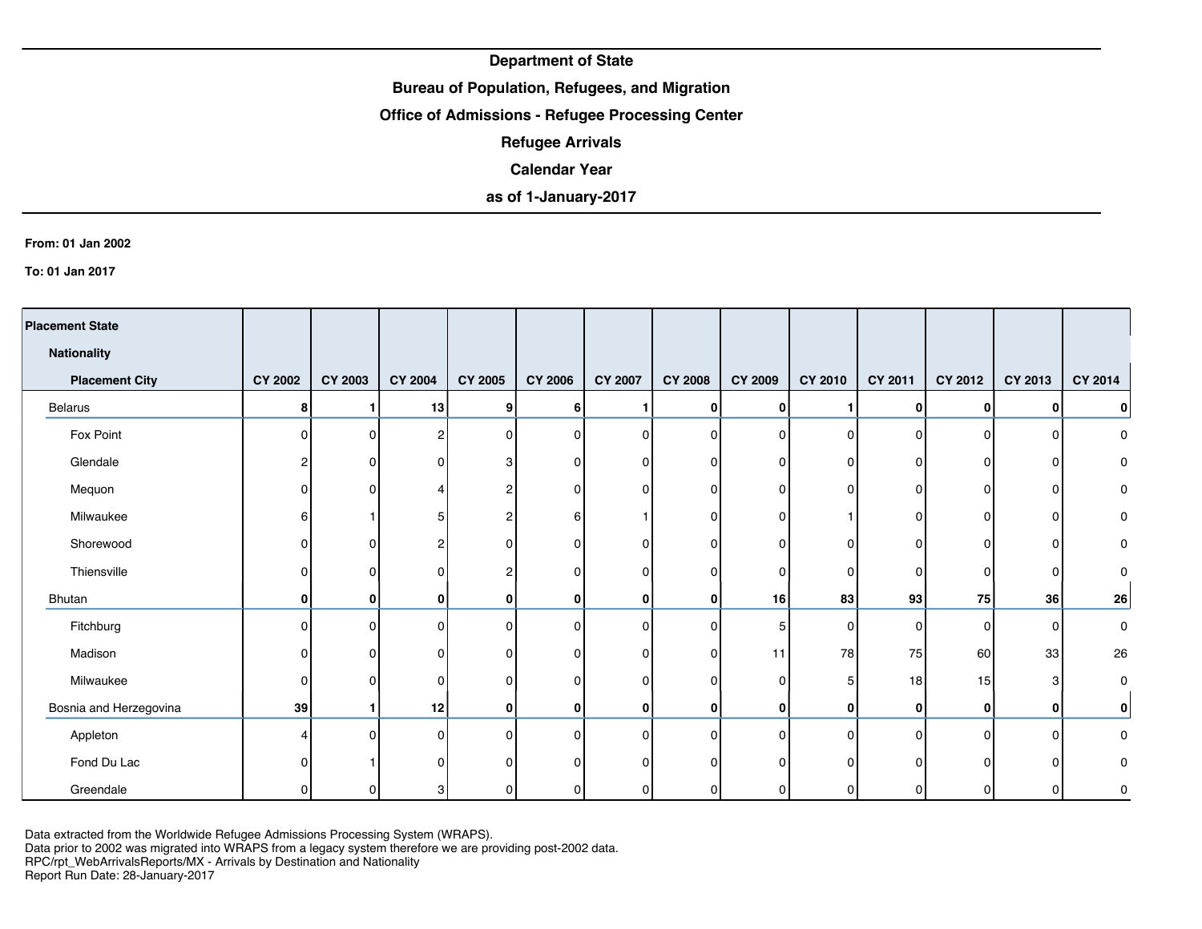## **Bureau of Population, Refugees, and Migration**

### **Office of Admissions - Refugee Processing Center**

**Refugee Arrivals**

### **Calendar Year**

# **as of 1-January-2017**

#### **From: 01 Jan 2002**

**To: 01 Jan 2017**

| <b>Placement State</b> |                |                |                |                |                |                |                |                |          |              |          |          |           |
|------------------------|----------------|----------------|----------------|----------------|----------------|----------------|----------------|----------------|----------|--------------|----------|----------|-----------|
| <b>Nationality</b>     |                |                |                |                |                |                |                |                |          |              |          |          |           |
| <b>Placement City</b>  | <b>CY 2002</b> | <b>CY 2003</b> | <b>CY 2004</b> | <b>CY 2005</b> | <b>CY 2006</b> | <b>CY 2007</b> | <b>CY 2008</b> | <b>CY 2009</b> | CY 2010  | CY 2011      | CY 2012  | CY 2013  | CY 2014   |
| <b>Belarus</b>         | 8              |                | 13             | 9              | 6              |                | 0              | 0              |          | 0            | $\bf{0}$ | 0        | 0         |
| Fox Point              | $\Omega$       | U              | 2              | $\mathbf{0}$   | ΩI             | $\Omega$       | $\overline{0}$ | $\Omega$       | $\Omega$ | $\Omega$     | O        | ŋ        | 0         |
| Glendale               | റ              |                | 0              | 3              | <sup>n</sup>   | 0              | 0              | 0              | 0        | 0            | n        |          | 0         |
| Mequon                 | ŋ              | n              |                | $\overline{2}$ | n              | 0              | 0              | 0              | 0        | $\Omega$     | U        | 0        | 0         |
| Milwaukee              | 6              |                | 5              | $\overline{c}$ | 6              |                | 0              | 0              |          | $\Omega$     | U        | O        | $\pmb{0}$ |
| Shorewood              |                |                | 2              | $\mathbf{0}$   | U              | 0              | 0              | 0              | 0        | O            |          | 0        | 0         |
| Thiensville            | n              |                | 0              | $\overline{2}$ | <sup>0</sup>   | $\Omega$       | $\overline{0}$ | 0              | $\Omega$ | $\Omega$     |          | 0        | $\Omega$  |
| Bhutan                 | 0              | 0              | 0              | $\bf{0}$       | $\mathbf{0}$   | 0              | $\mathbf{0}$   | 16             | 83       | 93           | 75       | 36       | 26        |
| Fitchburg              | $\Omega$       | O              | 0              | $\mathbf{0}$   | 0              | $\Omega$       | $\overline{0}$ | 5              | $\Omega$ | $\mathbf{0}$ | 0        | 0        | 0         |
| Madison                | ŋ              | n              | 0              | $\mathbf{0}$   | n              | $\mathbf{0}$   | $\overline{0}$ | 11             | 78       | 75           | 60       | 33       | 26        |
| Milwaukee              | $\Omega$       | n              | 0              | $\mathbf{0}$   | $\Omega$       | $\Omega$       | $\overline{0}$ | 0              | 5        | 18           | 15       | 3        | 0         |
| Bosnia and Herzegovina | 39             |                | 12             | $\bf{0}$       | $\mathbf{0}$   | 0              | $\mathbf{0}$   | 0              | 0        | 0            | 0        | 0        | 0         |
| Appleton               | Δ              | <sup>0</sup>   | $\Omega$       | $\mathbf{0}$   | $\Omega$       | $\Omega$       | $\overline{0}$ | $\Omega$       | $\Omega$ | $\Omega$     | $\Omega$ | $\Omega$ | 0         |
| Fond Du Lac            |                |                | O              | $\Omega$       |                | O              | 0              | $\Omega$       | O        | O            |          | O        | 0         |
| Greendale              |                | n              | 3              | $\mathbf{0}$   | $\Omega$       | $\Omega$       | $\overline{0}$ | 0              | O        | 0            |          | 0        | 0         |

Data extracted from the Worldwide Refugee Admissions Processing System (WRAPS).

Data prior to 2002 was migrated into WRAPS from a legacy system therefore we are providing post-2002 data.

RPC/rpt\_WebArrivalsReports/MX - Arrivals by Destination and Nationality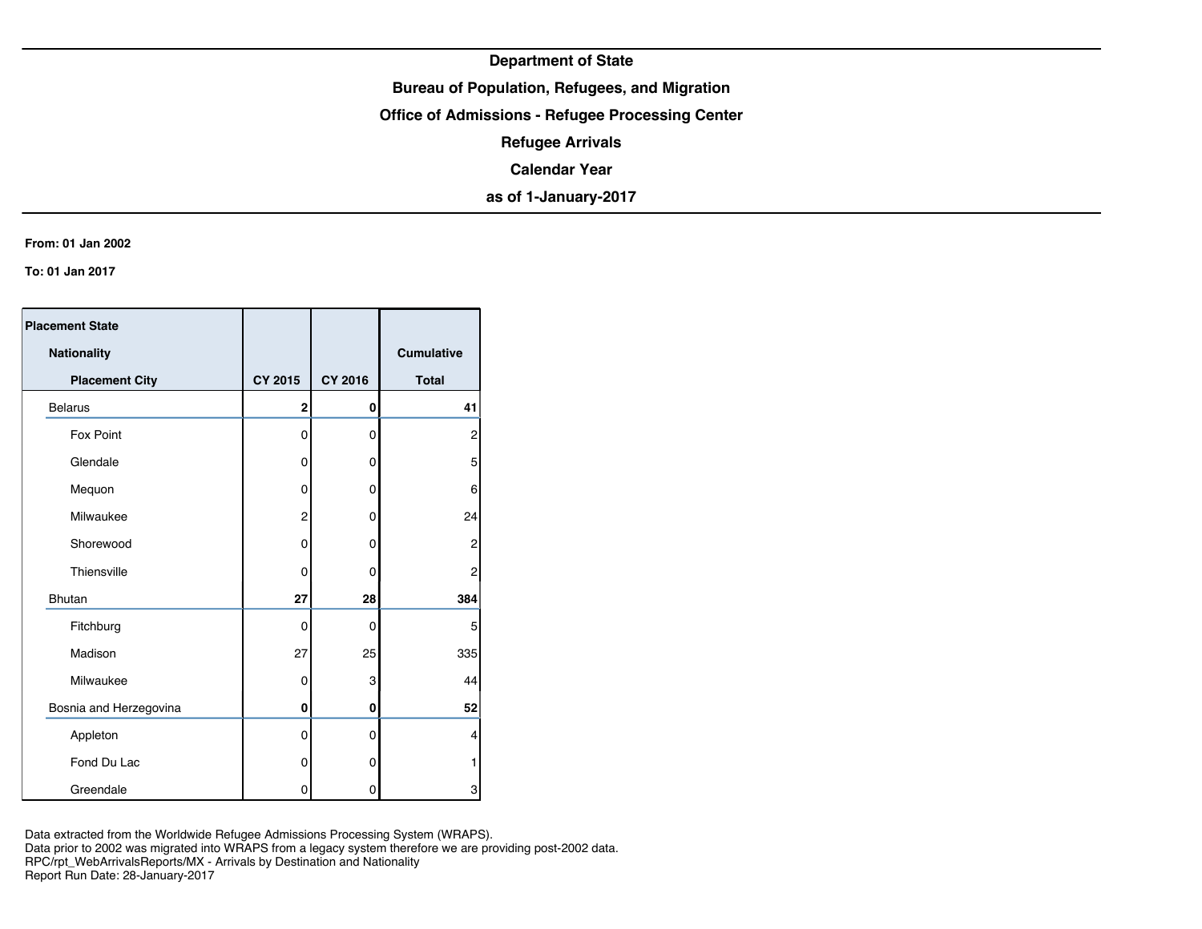## **Bureau of Population, Refugees, and Migration**

**Office of Admissions - Refugee Processing Center**

**Refugee Arrivals**

**Calendar Year**

**as of 1-January-2017**

#### **From: 01 Jan 2002**

**To: 01 Jan 2017**

| <b>Placement State</b> |                |                |                   |
|------------------------|----------------|----------------|-------------------|
| Nationality            |                |                | <b>Cumulative</b> |
| <b>Placement City</b>  | <b>CY 2015</b> | <b>CY 2016</b> | <b>Total</b>      |
| <b>Belarus</b>         | $\overline{2}$ | 0              | 41                |
| Fox Point              | 0              | 0              | $\overline{2}$    |
| Glendale               | 0              | 0              | 5                 |
| Mequon                 | 0              | 0              | 6                 |
| Milwaukee              | $\overline{2}$ | 0              | 24                |
| Shorewood              | 0              | 0              | 2                 |
| Thiensville            | 0              | 0              | 2                 |
| <b>Bhutan</b>          | 27             | 28             | 384               |
| Fitchburg              | 0              | 0              | 5                 |
| Madison                | 27             | 25             | 335               |
| Milwaukee              | 0              | 3              | 44                |
| Bosnia and Herzegovina | 0              | 0              | 52                |
| Appleton               | 0              | $\mathbf 0$    | 4                 |
| Fond Du Lac            | 0              | 0              | 1                 |
| Greendale              | 0              | 0              | 3                 |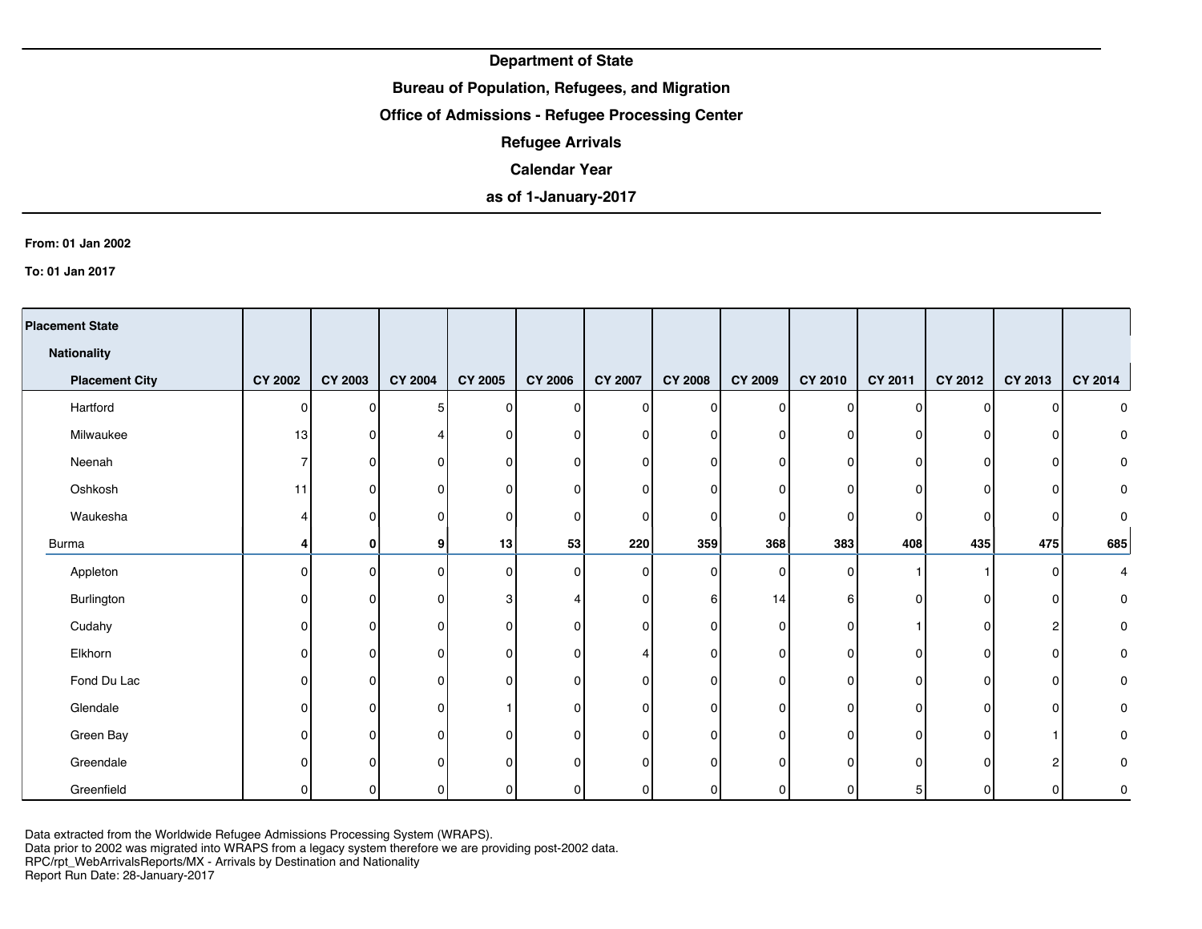## **Bureau of Population, Refugees, and Migration**

## **Office of Admissions - Refugee Processing Center**

**Refugee Arrivals**

### **Calendar Year**

# **as of 1-January-2017**

#### **From: 01 Jan 2002**

**To: 01 Jan 2017**

| <b>Placement State</b> |                |                |                |                |                |                |                |             |              |                |         |                |         |
|------------------------|----------------|----------------|----------------|----------------|----------------|----------------|----------------|-------------|--------------|----------------|---------|----------------|---------|
| <b>Nationality</b>     |                |                |                |                |                |                |                |             |              |                |         |                |         |
| <b>Placement City</b>  | <b>CY 2002</b> | <b>CY 2003</b> | <b>CY 2004</b> | <b>CY 2005</b> | <b>CY 2006</b> | <b>CY 2007</b> | <b>CY 2008</b> | CY 2009     | CY 2010      | <b>CY 2011</b> | CY 2012 | CY 2013        | CY 2014 |
| Hartford               | $\Omega$       | 0              | 5 <sup>5</sup> | 0              | $\Omega$       | $\overline{0}$ | $\mathbf{0}$   | $\Omega$    | ΩI           | $\Omega$       | ΩI      | $\mathbf{0}$   | 0       |
| Milwaukee              | 13             | 0              |                | 0              |                | $\Omega$       | O              | $\Omega$    | 0            | 0              | n       | $\mathbf{0}$   | 0       |
| Neenah                 |                | $\Omega$       | 0              | 0              |                | 0              | 0              | $\Omega$    | 01           | 0              | ŋ       | 0              | 0       |
| Oshkosh                | 11             | 0              | 0              | 0              |                | 0              | $\Omega$       | $\Omega$    |              | $\Omega$       | ŋ       | 0              | 0       |
| Waukesha               |                | 0              | 0              | 0              |                | $\Omega$       | 0              | $\Omega$    | 0            | 0              |         | 0              | 0       |
| Burma                  |                | 0              | 9              | 13             | 53             | 220            | 359            | 368         | 383          | 408            | 435     | 475            | 685     |
| Appleton               | $\cap$         | $\Omega$       | $\overline{0}$ | 0              | ∩              | $\Omega$       | 0              | $\mathbf 0$ | <sup>n</sup> |                |         | 0              | 4       |
| Burlington             |                | 0              | 0              | 3              |                | $\Omega$       | 6              | 14          | 61           | 0              | ŋ       | 0              | 0       |
| Cudahy                 | O              | $\Omega$       | 0              | 0              |                | 0              | $\Omega$       | $\Omega$    | 01           |                | n       | $\overline{c}$ | 0       |
| Elkhorn                | U              | 0              | $\mathbf 0$    | 0              |                |                | 0              | $\Omega$    | 0            | 0              | n       | $\overline{0}$ | 0       |
| Fond Du Lac            | <sup>0</sup>   | $\Omega$       | 0              | 0              |                | $\Omega$       | $\Omega$       | $\Omega$    | $\Omega$     | $\Omega$       | ŋ       | $\overline{0}$ | 0       |
| Glendale               | $\Omega$       | $\Omega$       | 0              |                |                | $\mathbf 0$    | $\Omega$       | $\Omega$    | $\Omega$     | $\Omega$       | n       | $\overline{0}$ | 0       |
| Green Bay              | n              | $\Omega$       | $\overline{0}$ | 0              |                | $\mathbf 0$    | $\Omega$       | $\Omega$    | ΩI           | 0              | ŋ       |                | 0       |
| Greendale              |                | 0              | 0              | $\Omega$       |                | U              | $\Omega$       | C           |              | U              |         | $\overline{c}$ | 0       |
| Greenfield             |                | $\Omega$       | οI             | 0              | O              | 0              | 0              | 0           |              | 5 <sub>l</sub> |         | $\Omega$       | 0       |

Data extracted from the Worldwide Refugee Admissions Processing System (WRAPS).

Data prior to 2002 was migrated into WRAPS from a legacy system therefore we are providing post-2002 data.

RPC/rpt\_WebArrivalsReports/MX - Arrivals by Destination and Nationality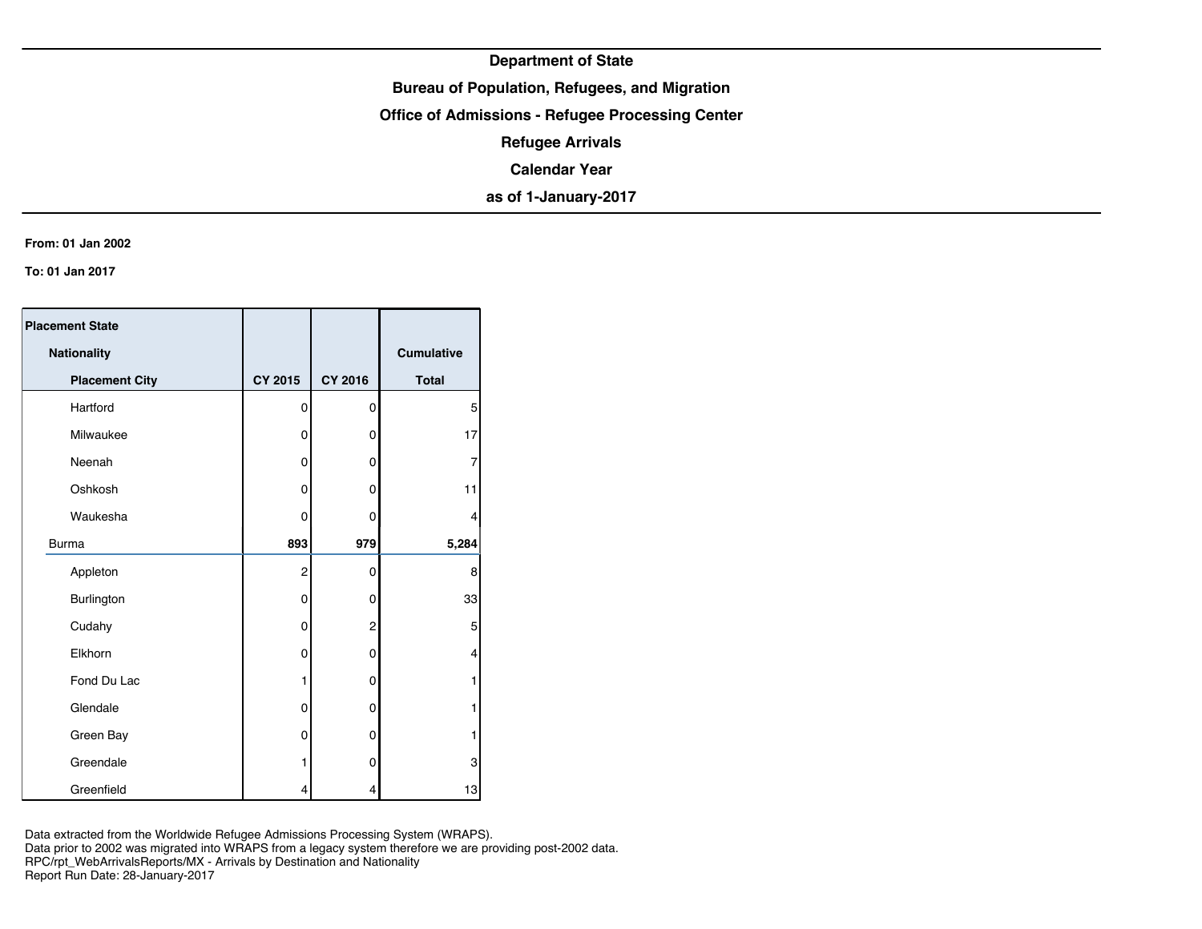## **Bureau of Population, Refugees, and Migration**

**Office of Admissions - Refugee Processing Center**

**Refugee Arrivals**

**Calendar Year**

**as of 1-January-2017**

#### **From: 01 Jan 2002**

**To: 01 Jan 2017**

| <b>Placement State</b> |                |                |                   |
|------------------------|----------------|----------------|-------------------|
| Nationality            |                |                | <b>Cumulative</b> |
| <b>Placement City</b>  | <b>CY 2015</b> | <b>CY 2016</b> | <b>Total</b>      |
| Hartford               | 0              | 0              | 5                 |
| Milwaukee              | 0              | 0              | 17                |
| Neenah                 | 0              | 0              | 7                 |
| Oshkosh                | 0              | 0              | 11                |
| Waukesha               | 0              | 0              | 4                 |
| <b>Burma</b>           | 893            | 979            | 5,284             |
| Appleton               | $\overline{2}$ | 0              | 8                 |
| Burlington             | 0              | 0              | 33                |
| Cudahy                 | 0              | 2              | 5                 |
| Elkhorn                | 0              | 0              | 4                 |
| Fond Du Lac            | 1              | 0              | 1                 |
| Glendale               | 0              | 0              | 1                 |
| Green Bay              | 0              | 0              | 1                 |
| Greendale              | 1              | 0              | 3                 |
| Greenfield             | 4              | 4              | 13                |

Data extracted from the Worldwide Refugee Admissions Processing System (WRAPS).

Data prior to 2002 was migrated into WRAPS from a legacy system therefore we are providing post-2002 data.

RPC/rpt\_WebArrivalsReports/MX - Arrivals by Destination and Nationality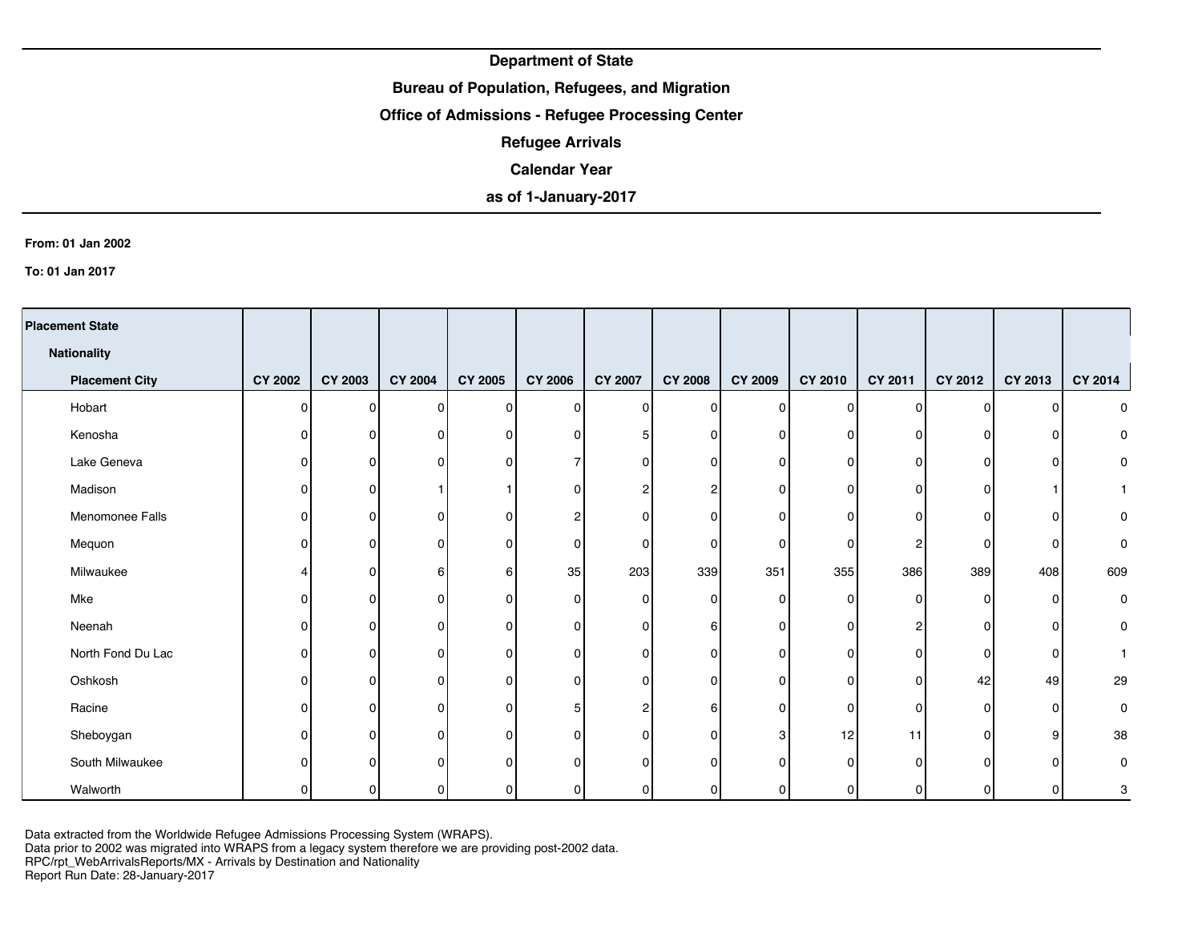## **Bureau of Population, Refugees, and Migration**

### **Office of Admissions - Refugee Processing Center**

**Refugee Arrivals**

### **Calendar Year**

# **as of 1-January-2017**

#### **From: 01 Jan 2002**

**To: 01 Jan 2017**

| <b>Placement State</b> |                |                |                |                |                |                |                |             |          |                |         |                |                |
|------------------------|----------------|----------------|----------------|----------------|----------------|----------------|----------------|-------------|----------|----------------|---------|----------------|----------------|
| <b>Nationality</b>     |                |                |                |                |                |                |                |             |          |                |         |                |                |
| <b>Placement City</b>  | <b>CY 2002</b> | <b>CY 2003</b> | <b>CY 2004</b> | <b>CY 2005</b> | <b>CY 2006</b> | <b>CY 2007</b> | <b>CY 2008</b> | CY 2009     | CY 2010  | CY 2011        | CY 2012 | CY 2013        | <b>CY 2014</b> |
| Hobart                 | $\Omega$       | $\Omega$       | $\overline{0}$ | 0              | <sup>0</sup>   | 0              | $\Omega$       | $\Omega$    | ΩI       | $\Omega$       | n١      | $\Omega$       | 0              |
| Kenosha                | <sup>n</sup>   | 0              | $\mathbf 0$    | 0              |                | 5              | O              | $\Omega$    | $\Omega$ | n              | n       | 0              | 0              |
| Lake Geneva            | n              | $\Omega$       | 0              | $\Omega$       |                | 0              | O              | $\Omega$    | ΩI       | n              | ŋ       | $\Omega$       | 0              |
| Madison                | <sup>n</sup>   | $\Omega$       |                |                |                | 2              | 2              | $\Omega$    | 0        | 0              | n       |                | $\mathbf{1}$   |
| Menomonee Falls        | n              | $\Omega$       | 0              | 0              |                | 0              | 0              | $\Omega$    |          | 0              | ŋ       | 0              | 0              |
| Mequon                 |                | $\Omega$       | $\overline{0}$ | 0              |                | 0              | 0              | $\Omega$    | ΩI       | 2              | n       | 0              | 0              |
| Milwaukee              |                | 0              | 6              | 6              | 35             | 203            | 339            | 351         | 355      | 386            | 389     | 408            | 609            |
| Mke                    |                | 0              | 0              | 0              | O              | $\Omega$       | 0              | $\Omega$    | 0        | $\overline{0}$ | ŋ       | $\overline{0}$ | 0              |
| Neenah                 |                | 0              | 0              | 0              |                | 0              | 6              | $\mathbf 0$ | ΩI       | 2 <sub>1</sub> |         | 0              | 0              |
| North Fond Du Lac      | n              | $\Omega$       | 0              | 0              |                | $\Omega$       | 0              | $\Omega$    |          | 0              | ŋ       | 0              |                |
| Oshkosh                | n              | $\Omega$       | 0              | $\Omega$       |                | 0              | $\mathbf{0}$   | $\Omega$    | ΩI       | $\overline{0}$ | 42      | 49             | 29             |
| Racine                 | U              | $\Omega$       | 0              | 0              |                | 2              | 6              | $\Omega$    | $\Omega$ | $\Omega$       | n       | $\overline{0}$ | 0              |
| Sheboygan              | $\Omega$       | $\Omega$       | $\mathbf 0$    | $\Omega$       |                | $\Omega$       | $\mathbf{0}$   | 3           | 12       | 11             | ΩI      | 9              | 38             |
| South Milwaukee        | ∩              | $\Omega$       | 0              | 0              |                | $\Omega$       | $\Omega$       | $\Omega$    | $\Omega$ | 0              | n       | $\mathbf{0}$   | 0              |
| Walworth               |                | 0              | 0              | 0              | $\Omega$       | 0              | 0              | 0           | 0        | 0              |         | $\overline{0}$ | 3              |

Data extracted from the Worldwide Refugee Admissions Processing System (WRAPS).

Data prior to 2002 was migrated into WRAPS from a legacy system therefore we are providing post-2002 data.

RPC/rpt\_WebArrivalsReports/MX - Arrivals by Destination and Nationality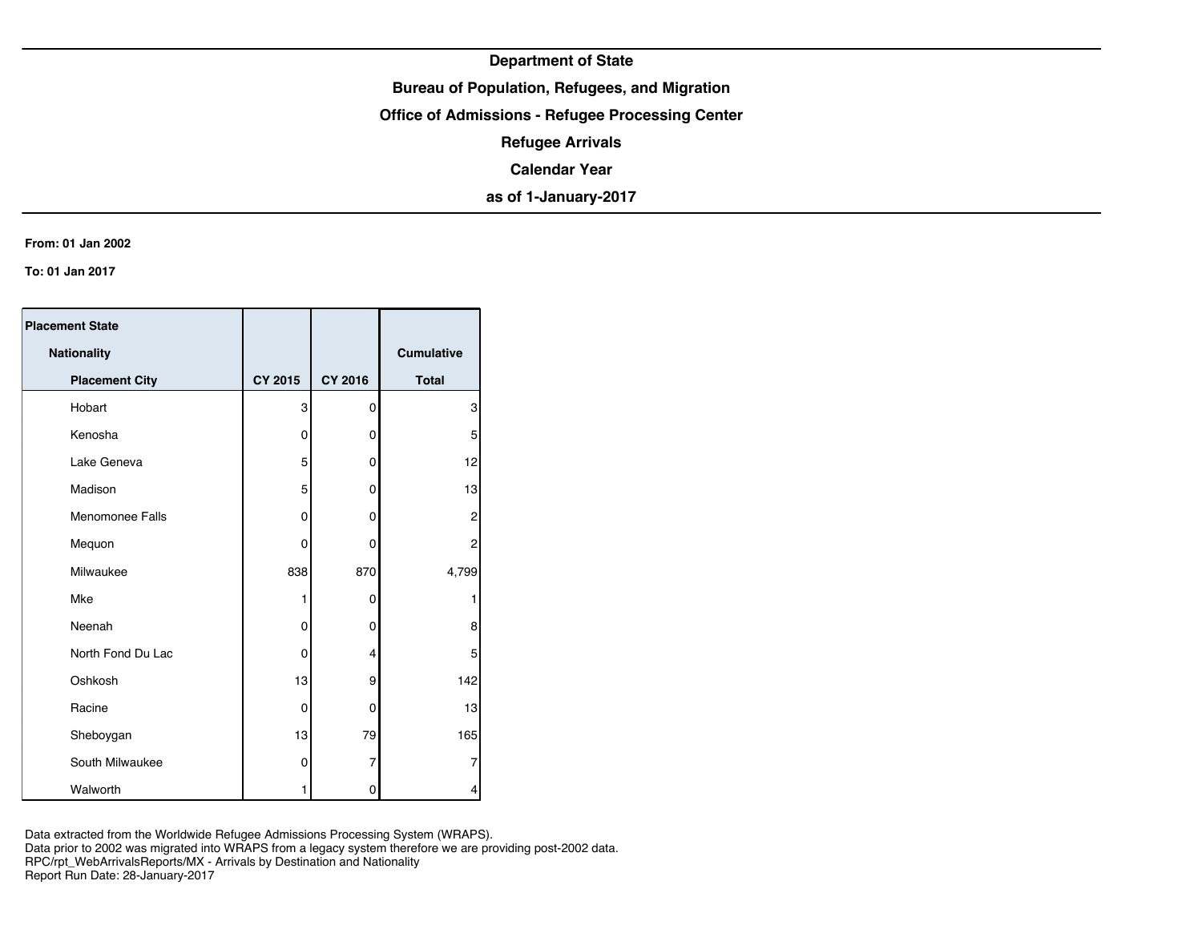## **Bureau of Population, Refugees, and Migration**

**Office of Admissions - Refugee Processing Center**

**Refugee Arrivals**

**Calendar Year**

**as of 1-January-2017**

#### **From: 01 Jan 2002**

**To: 01 Jan 2017**

| <b>Placement State</b> |                |         |                   |
|------------------------|----------------|---------|-------------------|
| <b>Nationality</b>     |                |         | <b>Cumulative</b> |
| <b>Placement City</b>  | <b>CY 2015</b> | CY 2016 | <b>Total</b>      |
| Hobart                 | 3              | 0       | 3                 |
| Kenosha                | 0              | 0       | 5                 |
| Lake Geneva            | 5              | 0       | 12                |
| Madison                | 5              | 0       | 13                |
| <b>Menomonee Falls</b> | 0              | 0       | 2                 |
| Mequon                 | 0              | 0       | 2                 |
| Milwaukee              | 838            | 870     | 4,799             |
| Mke                    | 1              | 0       |                   |
| Neenah                 | 0              | 0       | 8                 |
| North Fond Du Lac      | $\mathbf 0$    | 4       | 5                 |
| Oshkosh                | 13             | 9       | 142               |
| Racine                 | 0              | 0       | 13                |
| Sheboygan              | 13             | 79      | 165               |
| South Milwaukee        | 0              | 7       | 7                 |
| Walworth               | 1              | 0       | 4                 |

Data extracted from the Worldwide Refugee Admissions Processing System (WRAPS). Data prior to 2002 was migrated into WRAPS from a legacy system therefore we are providing post-2002 data. RPC/rpt\_WebArrivalsReports/MX - Arrivals by Destination and Nationality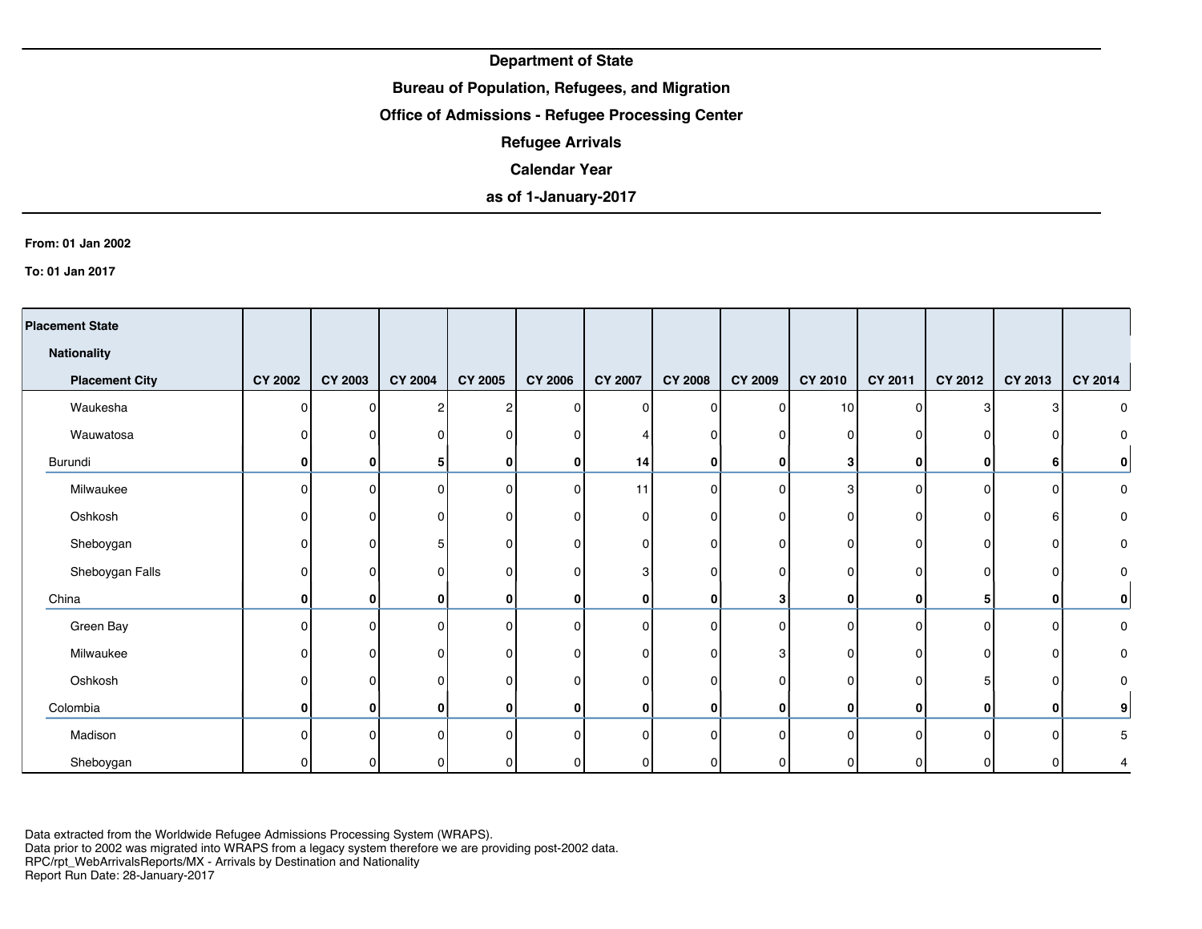## **Bureau of Population, Refugees, and Migration**

### **Office of Admissions - Refugee Processing Center**

**Refugee Arrivals**

### **Calendar Year**

# **as of 1-January-2017**

#### **From: 01 Jan 2002**

**To: 01 Jan 2017**

| <b>Placement State</b> |                |                |                |                |                |                |                |                |                 |                |              |              |         |
|------------------------|----------------|----------------|----------------|----------------|----------------|----------------|----------------|----------------|-----------------|----------------|--------------|--------------|---------|
| <b>Nationality</b>     |                |                |                |                |                |                |                |                |                 |                |              |              |         |
| <b>Placement City</b>  | <b>CY 2002</b> | <b>CY 2003</b> | <b>CY 2004</b> | <b>CY 2005</b> | <b>CY 2006</b> | <b>CY 2007</b> | <b>CY 2008</b> | <b>CY 2009</b> | CY 2010         | <b>CY 2011</b> | CY 2012      | CY 2013      | CY 2014 |
| Waukesha               | n              | 0              | 2              | $\overline{2}$ | 0              | 0              | 0              | 0              | 10 <sup>1</sup> | $\Omega$       | 3            | 3            | 0       |
| Wauwatosa              |                | 0              | 0              | 0              | $\Omega$       |                | 0              | $\mathbf{0}$   | 0               | $\Omega$       | $\Omega$     | $\mathbf 0$  |         |
| Burundi                | O              | 0              | 5              | 0              | $\Omega$       | 14             | 0              | 0              | 3               | $\mathbf{0}$   | 0            | 6            | 0       |
| Milwaukee              | O              | n              | $\Omega$       | $\mathbf 0$    | $\Omega$       | 11             | 0              | $\mathbf{0}$   | 3               | $\Omega$       | $\Omega$     | $\Omega$     | 0       |
| Oshkosh                |                | 0              | 0              | 0              | <sup>0</sup>   | 0              | 0              | $\mathbf{0}$   | 0               | $\Omega$       | $\Omega$     | 6            | 0       |
| Sheboygan              |                | n              | 5              | 0              | 0              | 0              | $\overline{0}$ | $\Omega$       |                 | 0 <sub>1</sub> | 0            | 0            | 0       |
| Sheboygan Falls        | $\Omega$       | n              | $\Omega$       | 0              | $\Omega$       | 3              | 0              | $\mathbf{0}$   | <sup>o</sup>    | $\Omega$       | $\Omega$     | 0            | 0       |
| China                  | 0              | 0              | 0              | 0              | $\Omega$       | $\mathbf{0}$   | $\mathbf{0}$   | 3              | 0               | $\mathbf{0}$   | 5            | $\bf{0}$     | 0       |
| Green Bay              | n              | n              | 0              | $\mathbf 0$    |                | 0              | $\Omega$       | $\Omega$       |                 | $\Omega$       | $\Omega$     | 0            | 0       |
| Milwaukee              | n              | 0              | 0              | 0              | O              | 0              | 0              | 3              | U               | 0 <sub>1</sub> | $\Omega$     | 0            | 0       |
| Oshkosh                |                | U              | $\Omega$       | 0              | $\Omega$       | 0              | 0              | $\Omega$       | n               | $\Omega$       | 5            | 0            | 0       |
| Colombia               | $\mathbf{0}$   | $\mathbf{0}$   | 0              | $\mathbf 0$    | $\mathbf{0}$   | 0              | $\mathbf{0}$   | 0              | 0               | $\mathbf{0}$   | $\mathbf{0}$ | $\mathbf{0}$ | 9       |
| Madison                | O              | n              | $\Omega$       | $\Omega$       | <sup>n</sup>   | 0              | $\Omega$       | $\Omega$       |                 | $\Omega$       | $\Omega$     | $\Omega$     | 5       |
| Sheboygan              |                |                | 0              | $\Omega$       |                |                | 0              | 0              |                 |                |              | 0            | 4       |

Data extracted from the Worldwide Refugee Admissions Processing System (WRAPS). Data prior to 2002 was migrated into WRAPS from a legacy system therefore we are providing post-2002 data.

RPC/rpt\_WebArrivalsReports/MX - Arrivals by Destination and Nationality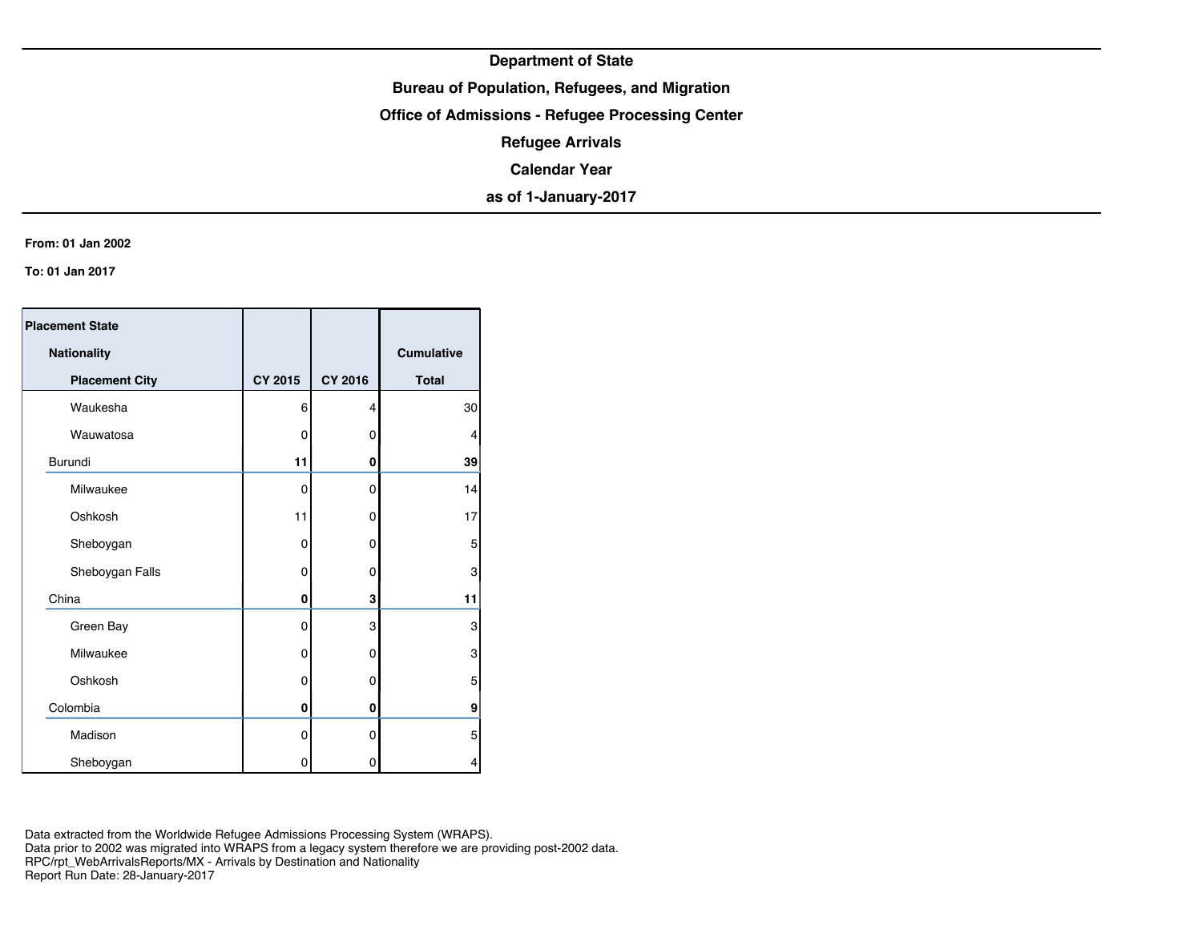## **Bureau of Population, Refugees, and Migration**

**Office of Admissions - Refugee Processing Center**

**Refugee Arrivals**

**Calendar Year**

**as of 1-January-2017**

#### **From: 01 Jan 2002**

**To: 01 Jan 2017**

| <b>Placement State</b> |             |             |                   |
|------------------------|-------------|-------------|-------------------|
| <b>Nationality</b>     |             |             | <b>Cumulative</b> |
| <b>Placement City</b>  | CY 2015     | CY 2016     | <b>Total</b>      |
| Waukesha               | 6           | 4           | 30                |
| Wauwatosa              | 0           | 0           | 4                 |
| Burundi                | 11          | 0           | 39                |
| Milwaukee              | $\mathbf 0$ | $\mathbf 0$ | 14                |
| Oshkosh                | 11          | 0           | 17                |
| Sheboygan              | 0           | 0           | 5                 |
| Sheboygan Falls        | 0           | 0           | 3                 |
| China                  | 0           | 3           | 11                |
| Green Bay              | 0           | 3           | 3                 |
| Milwaukee              | 0           | 0           | 3                 |
| Oshkosh                | 0           | 0           | 5                 |
| Colombia               | 0           | 0           | 9                 |
| Madison                | 0           | 0           | 5                 |
| Sheboygan              | 0           | 0           | 4                 |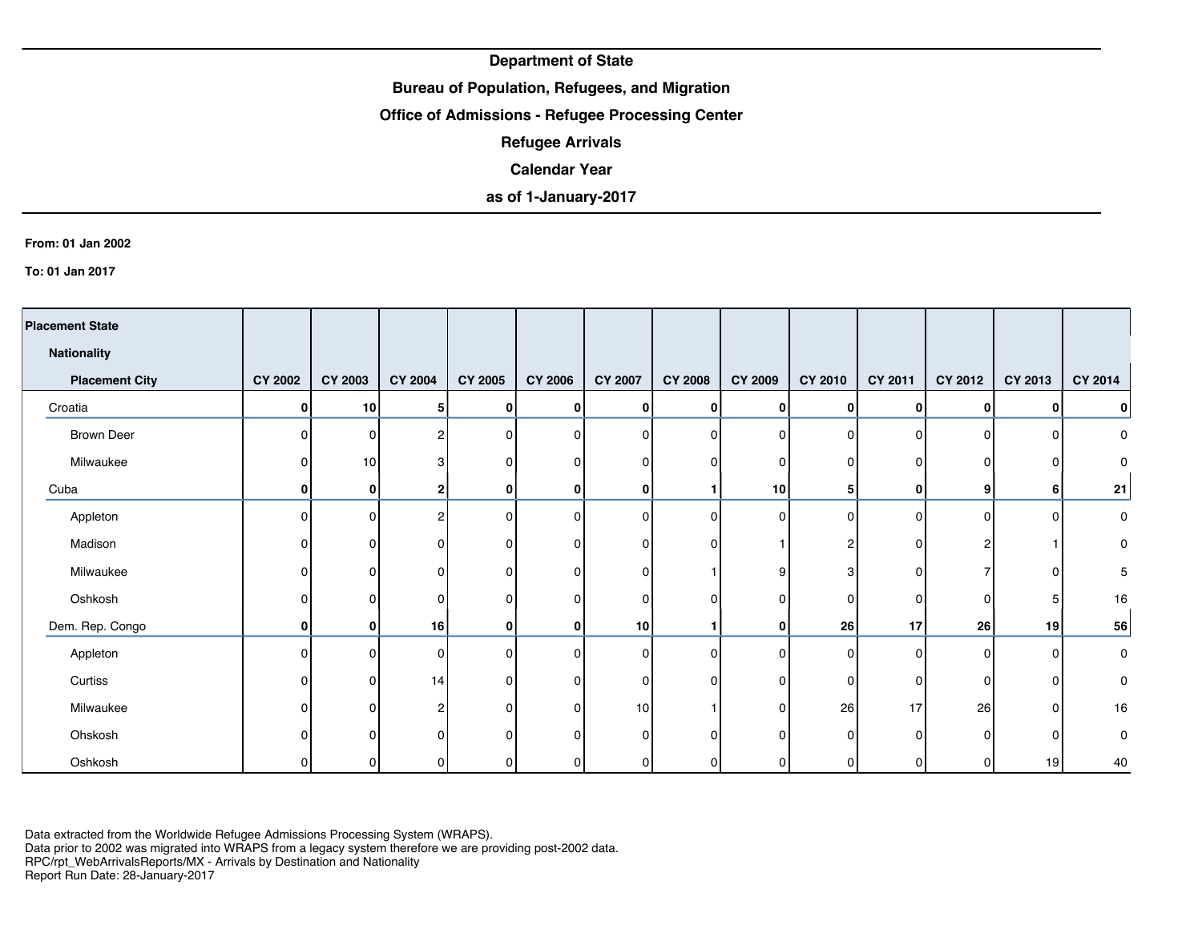## **Bureau of Population, Refugees, and Migration**

## **Office of Admissions - Refugee Processing Center**

**Refugee Arrivals**

### **Calendar Year**

# **as of 1-January-2017**

#### **From: 01 Jan 2002**

**To: 01 Jan 2017**

| <b>Placement State</b> |                |                |                |                |                |                 |                |                |          |                |          |          |           |
|------------------------|----------------|----------------|----------------|----------------|----------------|-----------------|----------------|----------------|----------|----------------|----------|----------|-----------|
| <b>Nationality</b>     |                |                |                |                |                |                 |                |                |          |                |          |          |           |
| <b>Placement City</b>  | <b>CY 2002</b> | <b>CY 2003</b> | <b>CY 2004</b> | CY 2005        | <b>CY 2006</b> | <b>CY 2007</b>  | <b>CY 2008</b> | <b>CY 2009</b> | CY 2010  | <b>CY 2011</b> | CY 2012  | CY 2013  | CY 2014   |
| Croatia                | 0              | 10             | 5              | $\bf{0}$       | Οl             | 0               | $\mathbf{0}$   | 0              | 0        | $\bf{0}$       | 0        | 0        | 0         |
| <b>Brown Deer</b>      | $\Omega$       | $\Omega$       | $\overline{2}$ | 0              | $\Omega$       | $\Omega$        | 0              | $\Omega$       | $\Omega$ | $\Omega$       | $\Omega$ | 0        | 0         |
| Milwaukee              | ŋ              | 10             | 3              | $\overline{0}$ | $\Omega$       | $\Omega$        | 0              | $\Omega$       | $\Omega$ | $\Omega$       |          | O        | 0         |
| Cuba                   | 0              | 0              | $\mathbf{2}$   | $\bf{0}$       | $\mathbf{0}$   | 0               |                | 10             | 5        | 0              | 9        | 6        | 21        |
| Appleton               | 0              | U              | $\overline{2}$ | 0              | $\Omega$       | $\Omega$        | 0              | $\mathbf 0$    | $\Omega$ | $\Omega$       | 0        | 0        | 0         |
| Madison                | 0              | n              | $\overline{0}$ | $\mathbf 0$    | $\Omega$       | 0               | 0              |                | 2        | 0              |          |          | 0         |
| Milwaukee              | 0              | n              | $\overline{0}$ | $\overline{0}$ | $\Omega$       | $\Omega$        |                | 9              | 3        | $\Omega$       |          | 0        | 5         |
| Oshkosh                | U              |                | $\Omega$       | $\overline{0}$ | $\Omega$       | $\Omega$        | 0              | O              | $\Omega$ | $\Omega$       | O        | 5        | 16        |
| Dem. Rep. Congo        | 0              | 01             | 16             | 0              | 0              | 10              |                | 0              | 26       | 17             | 26       | 19       | 56        |
| Appleton               | $\Omega$       | ΩI             | $\Omega$       | 0              | $\Omega$       | 0               | 0              | $\Omega$       | $\Omega$ | $\Omega$       | 0        | 0        | $\pmb{0}$ |
| Curtiss                | ŋ              | n              | 14             | $\overline{0}$ | $\Omega$       | $\Omega$        | 0              | 0              | $\Omega$ | 0              | n        | 0        | 0         |
| Milwaukee              | 0              | U              | $\overline{2}$ | $\overline{0}$ | $\Omega$       | 10 <sup>1</sup> |                | $\mathbf{0}$   | 26       | 17             | 26       | $\Omega$ | 16        |
| Ohskosh                |                |                | $\Omega$       | 0              | $\Omega$       | $\Omega$        | 0              | 0              | $\Omega$ | $\Omega$       | n        | $\Omega$ | 0         |
| Oshkosh                |                |                | 01             | 0              | 0              | 0               | 0              | $\Omega$       | 0        | 0              |          | 19       | 40        |

Data extracted from the Worldwide Refugee Admissions Processing System (WRAPS). Data prior to 2002 was migrated into WRAPS from a legacy system therefore we are providing post-2002 data.

RPC/rpt\_WebArrivalsReports/MX - Arrivals by Destination and Nationality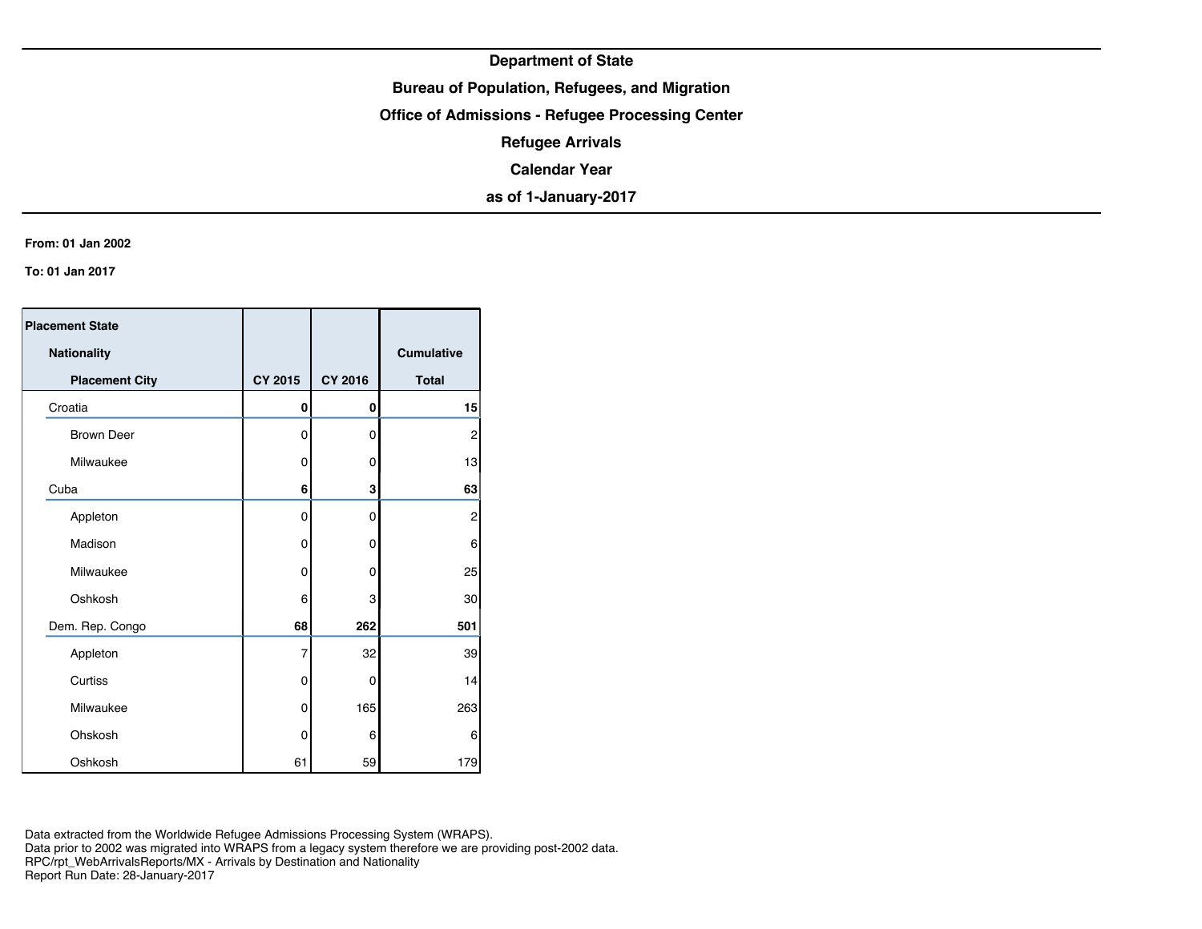## **Bureau of Population, Refugees, and Migration**

**Office of Admissions - Refugee Processing Center**

**Refugee Arrivals**

**Calendar Year**

**as of 1-January-2017**

#### **From: 01 Jan 2002**

**To: 01 Jan 2017**

| <b>Placement State</b> |         |         |                   |
|------------------------|---------|---------|-------------------|
| <b>Nationality</b>     |         |         | <b>Cumulative</b> |
| <b>Placement City</b>  | CY 2015 | CY 2016 | <b>Total</b>      |
| Croatia                | 0       | 0       | 15                |
| <b>Brown Deer</b>      | 0       | 0       | $\overline{c}$    |
| Milwaukee              | 0       | 0       | 13                |
| Cuba                   | 6       | 3       | 63                |
| Appleton               | 0       | 0       | $\overline{c}$    |
| Madison                | 0       | 0       | 6                 |
| Milwaukee              | 0       | 0       | 25                |
| Oshkosh                | 6       | 3       | 30                |
| Dem. Rep. Congo        | 68      | 262     | 501               |
| Appleton               | 7       | 32      | 39                |
| Curtiss                | 0       | 0       | 14                |
| Milwaukee              | 0       | 165     | 263               |
| Ohskosh                | 0       | 6       | 6                 |
| Oshkosh                | 61      | 59      | 179               |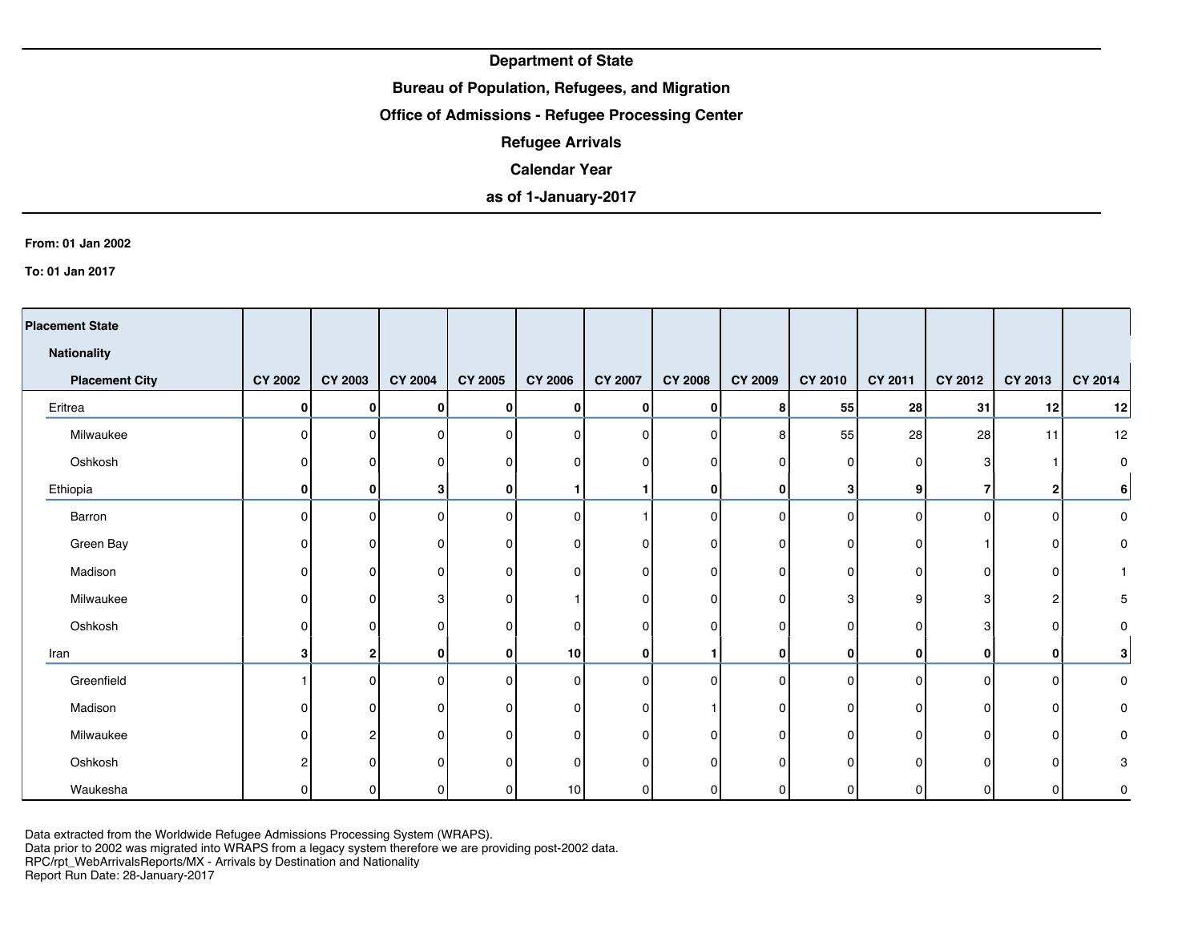## **Bureau of Population, Refugees, and Migration**

## **Office of Admissions - Refugee Processing Center**

**Refugee Arrivals**

### **Calendar Year**

# **as of 1-January-2017**

#### **From: 01 Jan 2002**

**To: 01 Jan 2017**

| <b>Placement State</b> |                |                |                |                |                 |                |                |                |                |          |         |              |          |
|------------------------|----------------|----------------|----------------|----------------|-----------------|----------------|----------------|----------------|----------------|----------|---------|--------------|----------|
| <b>Nationality</b>     |                |                |                |                |                 |                |                |                |                |          |         |              |          |
| <b>Placement City</b>  | <b>CY 2002</b> | <b>CY 2003</b> | <b>CY 2004</b> | <b>CY 2005</b> | <b>CY 2006</b>  | <b>CY 2007</b> | <b>CY 2008</b> | <b>CY 2009</b> | <b>CY 2010</b> | CY 2011  | CY 2012 | CY 2013      | CY 2014  |
| Eritrea                | $\mathbf{0}$   | $\mathbf{0}$   | 0              | $\bf{0}$       | 0 I             | Οl             | 0              | 8              | 55             | 28       | 31      | 12           | 12       |
| Milwaukee              | $\Omega$       | $\Omega$       | 0              | $\overline{0}$ | $\Omega$        | $\Omega$       | $\overline{0}$ | 8              | 55             | 28       | 28      | 11           | 12       |
| Oshkosh                |                | n              | 0              | $\overline{0}$ | 0               | 0              | $\overline{0}$ | 0              | 0              | $\Omega$ | 3       |              | $\Omega$ |
| Ethiopia               | $\mathbf{0}$   | $\mathbf{0}$   | 3 <sup>1</sup> | $\bf{0}$       |                 |                | $\mathbf{0}$   | 0              | 3              | 9        |         | 2            | 6        |
| Barron                 | $\Omega$       | $\Omega$       | $\Omega$       | $\overline{0}$ | $\Omega$        |                | $\overline{0}$ | $\Omega$       | $\Omega$       | $\Omega$ | n       | $\mathbf{0}$ | 0        |
| Green Bay              |                | ΩI             | 0              | $\overline{0}$ | $\Omega$        | O              | $\overline{0}$ | 0              | 0              | O        |         | 0            | 0        |
| Madison                |                | $\Omega$       | 0              | $\overline{0}$ | $\Omega$        | 0              | $\overline{0}$ | 0              | 0              | 0        | U       | 0            |          |
| Milwaukee              |                | $\Omega$       | 3              | 0              |                 | $\Omega$       | $\overline{0}$ | 0              | 3              | 9        | 3       | 2            | 5        |
| Oshkosh                |                | <sup>0</sup>   | 0              | 0              | $\Omega$        | $\Omega$       | $\overline{0}$ | 0              | 0              | 0        | 3       | $\Omega$     | 0        |
| Iran                   | 3              | $\mathbf{2}$   | $\mathbf{0}$   | $\bf{0}$       | 10 <sup>1</sup> | $\mathbf{0}$   | 1              | 0              | 0              | 0        | 0       | 0            | 3        |
| Greenfield             |                | $\Omega$       | $\Omega$       | $\mathbf 0$    | $\Omega$        | $\Omega$       | $\Omega$       | $\Omega$       | 0              | $\Omega$ | n       | $\mathbf{0}$ | 0        |
| Madison                |                | $\Omega$       | $\overline{0}$ | $\overline{0}$ | $\Omega$        | 0              |                | $\Omega$       | 0              | O        | 0       | $\mathbf{0}$ | 0        |
| Milwaukee              |                |                | $\Omega$       | 0              | 0               | $\Omega$       | 0              | 0              | $\Omega$       | ŋ        |         | 0            | 0        |
| Oshkosh                |                | n              | $\Omega$       | $\Omega$       | $\Omega$        | $\Omega$       | 0              | $\Omega$       | 0              |          |         | $\Omega$     | 3        |
| Waukesha               |                |                | O              | 0              | 10              |                | 0              | ŋ              |                |          |         | $\Omega$     | 0        |

Data extracted from the Worldwide Refugee Admissions Processing System (WRAPS).

Data prior to 2002 was migrated into WRAPS from a legacy system therefore we are providing post-2002 data.

RPC/rpt\_WebArrivalsReports/MX - Arrivals by Destination and Nationality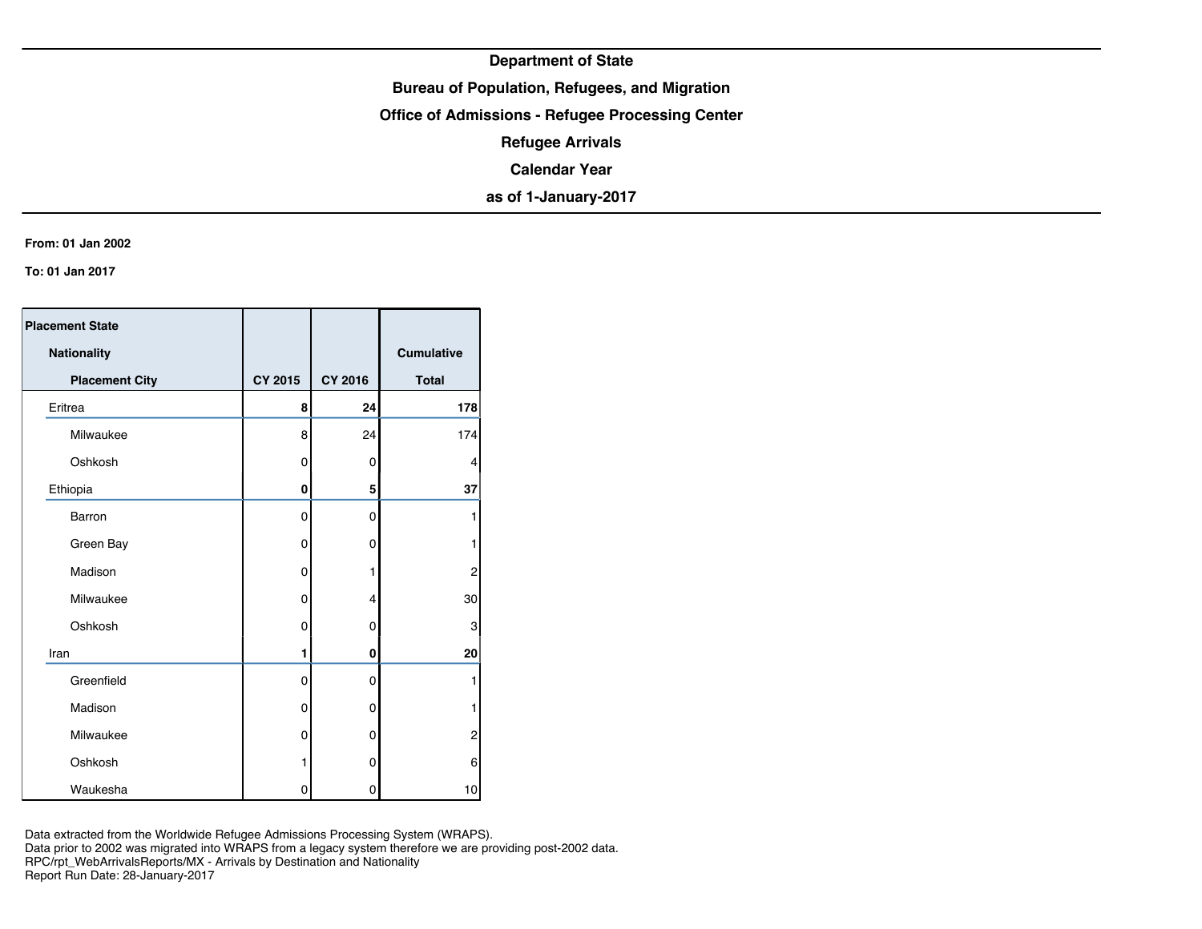## **Bureau of Population, Refugees, and Migration**

**Office of Admissions - Refugee Processing Center**

**Refugee Arrivals**

**Calendar Year**

**as of 1-January-2017**

#### **From: 01 Jan 2002**

**To: 01 Jan 2017**

| <b>Placement State</b> |                |                |                   |
|------------------------|----------------|----------------|-------------------|
| Nationality            |                |                | <b>Cumulative</b> |
| <b>Placement City</b>  | <b>CY 2015</b> | <b>CY 2016</b> | <b>Total</b>      |
| Eritrea                | 8              | 24             | 178               |
| Milwaukee              | 8              | 24             | 174               |
| Oshkosh                | 0              | 0              | 4                 |
| Ethiopia               | 0              | 5              | 37                |
| Barron                 | 0              | 0              | 1                 |
| Green Bay              | 0              | 0              | 1                 |
| Madison                | 0              | 1              | $\overline{c}$    |
| Milwaukee              | 0              | $\overline{4}$ | 30                |
| Oshkosh                | 0              | 0              | 3                 |
| Iran                   | 1              | 0              | 20                |
| Greenfield             | 0              | 0              | 1                 |
| Madison                | 0              | 0              | 1                 |
| Milwaukee              | 0              | 0              | 2                 |
| Oshkosh                | 1              | 0              | 6                 |
| Waukesha               | 0              | 0              | 10 <sup>1</sup>   |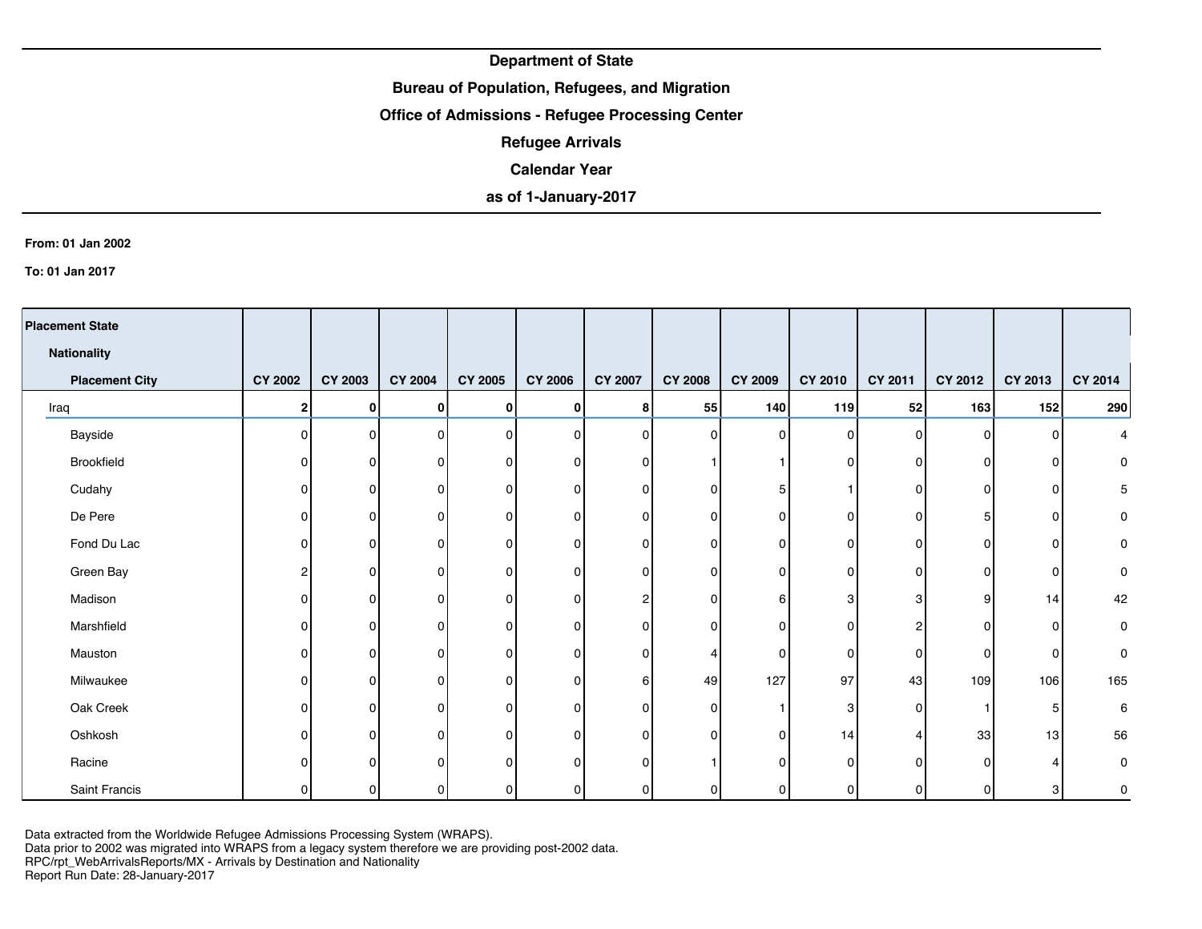## **Bureau of Population, Refugees, and Migration**

## **Office of Admissions - Refugee Processing Center**

**Refugee Arrivals**

### **Calendar Year**

# **as of 1-January-2017**

#### **From: 01 Jan 2002**

**To: 01 Jan 2017**

| <b>Placement State</b> |                |                |                |                |                |                |                |                |          |              |                |          |                |
|------------------------|----------------|----------------|----------------|----------------|----------------|----------------|----------------|----------------|----------|--------------|----------------|----------|----------------|
| <b>Nationality</b>     |                |                |                |                |                |                |                |                |          |              |                |          |                |
| <b>Placement City</b>  | <b>CY 2002</b> | <b>CY 2003</b> | <b>CY 2004</b> | <b>CY 2005</b> | <b>CY 2006</b> | <b>CY 2007</b> | <b>CY 2008</b> | <b>CY 2009</b> | CY 2010  | CY 2011      | <b>CY 2012</b> | CY 2013  | <b>CY 2014</b> |
| Iraq                   | 2              | $\mathbf{0}$   | 0              | 0              | 01             | 8 <sup>1</sup> | 55             | 140            | 119      | 52           | 163            | 152      | 290            |
| Bayside                | O              | $\Omega$       | $\Omega$       | $\mathbf{0}$   | $\Omega$       | $\Omega$       | $\overline{0}$ | $\mathbf{0}$   | $\Omega$ | $\mathbf{0}$ | $\Omega$       | O        | 4              |
| Brookfield             | ∩              | n              | 0              | $\Omega$       | <sup>0</sup>   | n              |                |                | 0        | 0            | O              | ŋ        | $\pmb{0}$      |
| Cudahy                 |                | n              | 0              | 0              | 0              | 0              | $\overline{0}$ | 5              |          | 0            | O              | 0        | 5              |
| De Pere                |                | U              | 0              | 0              | 0              | ŋ              | $\overline{0}$ | $\Omega$       | 0        | 0            |                | 0        | $\pmb{0}$      |
| Fond Du Lac            |                | n              | $\Omega$       | 0              | <sup>n</sup>   | 0              | $\overline{0}$ | $\Omega$       | 0        | 0            |                | 0        | 0              |
| Green Bay              |                | 0              | 0              | 0              | 0              | n              | $\overline{0}$ | 0              | 0        | $\Omega$     |                | 0        | $\pmb{0}$      |
| Madison                |                | n              | 0              | 0              | 0              | 21             | $\overline{0}$ | 6              | 3        | 3            | 9              | 14       | 42             |
| Marshfield             |                | n              | 0              | 0              | 0              | n              | $\overline{0}$ | $\mathbf 0$    | 0        | ົ            |                | 0        | 0              |
| Mauston                |                | 0              | $\Omega$       | 0              | $\Omega$       | 0              | 4              | 0              | 0        | $\Omega$     | n              | $\Omega$ | 0              |
| Milwaukee              |                | n              | $\Omega$       | $\Omega$       | $\Omega$       | 6 <sup>1</sup> | 49             | 127            | 97       | 43           | 109            | 106      | 165            |
| Oak Creek              |                | 0              | $\Omega$       | $\Omega$       | $\Omega$       | U              | $\overline{0}$ |                | 3        | $\Omega$     |                | 5        | 6              |
| Oshkosh                |                | n              | $\Omega$       | $\Omega$       | 0              | $\Omega$       | $\Omega$       | $\mathbf 0$    | 14       | $\Delta$     | 33             | 13       | 56             |
| Racine                 |                | n              | $\Omega$       | $\Omega$       | <sup>o</sup>   | U              |                | $\Omega$       | $\Omega$ | O            | n              |          | 0              |
| Saint Francis          |                | $\Omega$       | 0              | 0              | $\Omega$       |                | $\overline{0}$ | 0              | 0        | 0            |                | 3        | 0              |

Data extracted from the Worldwide Refugee Admissions Processing System (WRAPS).

Data prior to 2002 was migrated into WRAPS from a legacy system therefore we are providing post-2002 data.

RPC/rpt\_WebArrivalsReports/MX - Arrivals by Destination and Nationality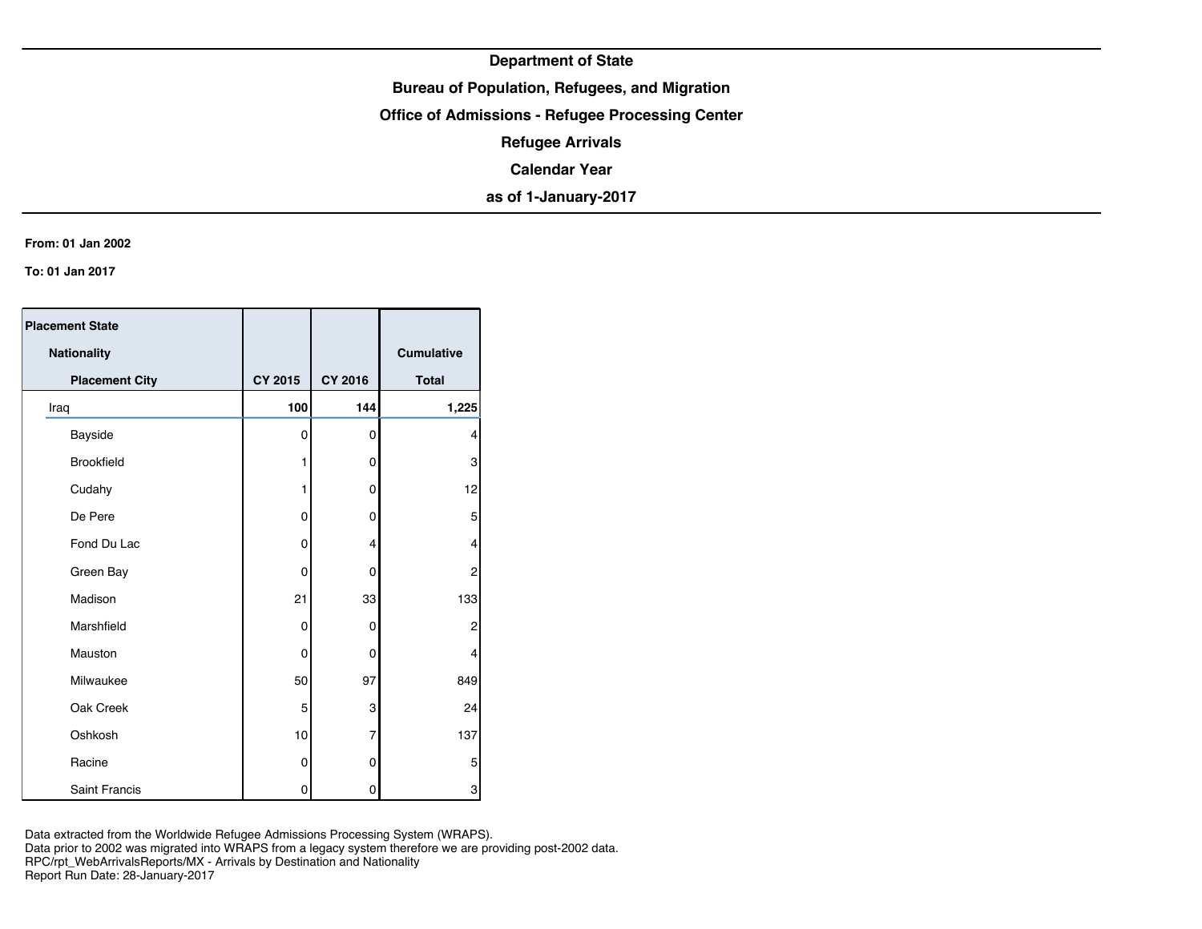## **Bureau of Population, Refugees, and Migration**

**Office of Admissions - Refugee Processing Center**

**Refugee Arrivals**

**Calendar Year**

**as of 1-January-2017**

#### **From: 01 Jan 2002**

**To: 01 Jan 2017**

| <b>Placement State</b> |             |                |              |
|------------------------|-------------|----------------|--------------|
| Nationality            |             |                | Cumulative   |
| <b>Placement City</b>  | CY 2015     | CY 2016        | <b>Total</b> |
| Iraq                   | 100         | 144            | 1,225        |
| Bayside                | $\mathbf 0$ | 0              | 4            |
| <b>Brookfield</b>      | 1           | 0              | 3            |
| Cudahy                 | 1           | 0              | 12           |
| De Pere                | $\mathbf 0$ | 0              | 5            |
| Fond Du Lac            | 0           | 4              | 4            |
| Green Bay              | 0           | 0              | 2            |
| Madison                | 21          | 33             | 133          |
| Marshfield             | 0           | 0              | 2            |
| Mauston                | $\mathbf 0$ | 0              | 4            |
| Milwaukee              | 50          | 97             | 849          |
| Oak Creek              | 5           | 3              | 24           |
| Oshkosh                | 10          | $\overline{7}$ | 137          |
| Racine                 | 0           | 0              | 5            |
| <b>Saint Francis</b>   | 0           | 0              | 3            |

Data extracted from the Worldwide Refugee Admissions Processing System (WRAPS). Data prior to 2002 was migrated into WRAPS from a legacy system therefore we are providing post-2002 data. RPC/rpt\_WebArrivalsReports/MX - Arrivals by Destination and Nationality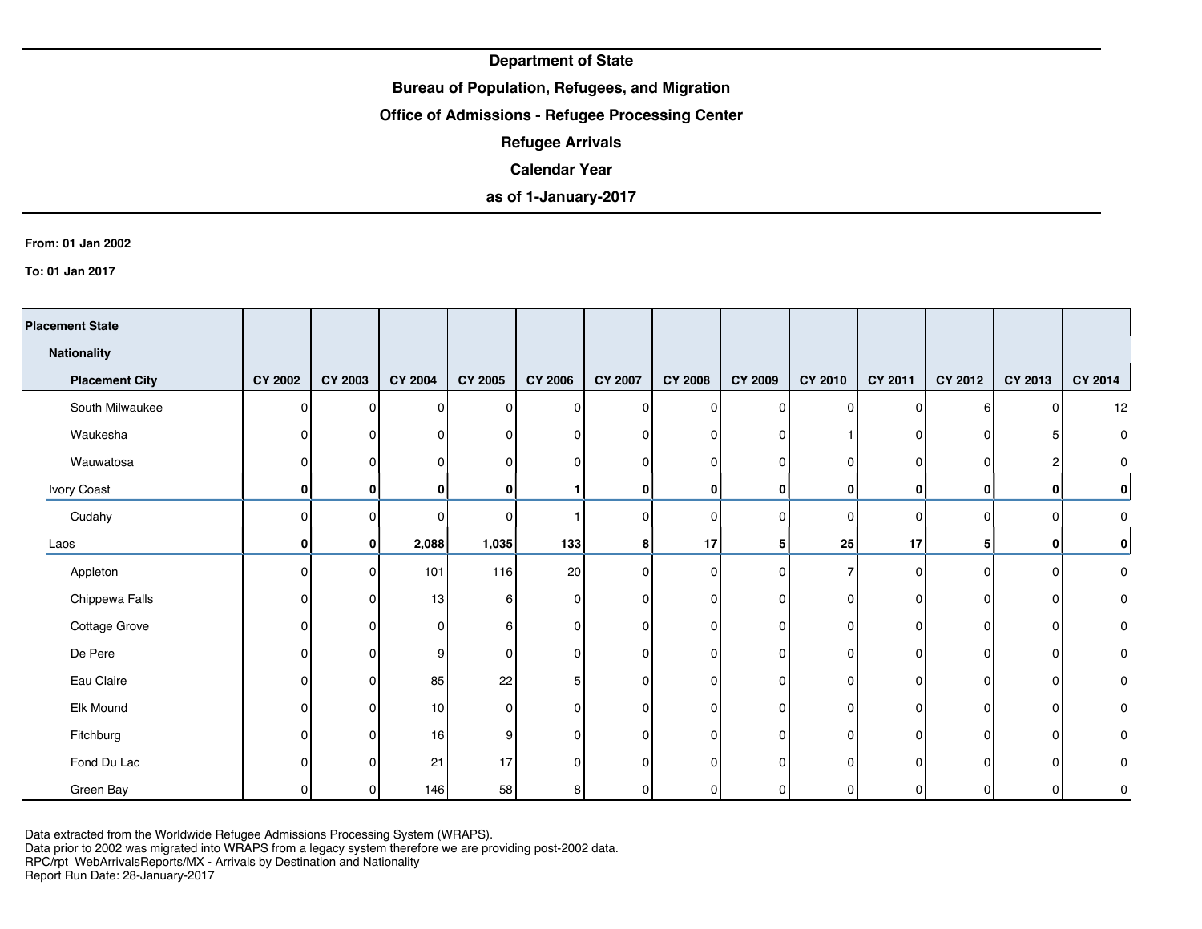## **Bureau of Population, Refugees, and Migration**

## **Office of Admissions - Refugee Processing Center**

**Refugee Arrivals**

### **Calendar Year**

# **as of 1-January-2017**

#### **From: 01 Jan 2002**

**To: 01 Jan 2017**

| <b>Placement State</b> |                |                |                |                |                |                |                |                |         |                |                |                |              |
|------------------------|----------------|----------------|----------------|----------------|----------------|----------------|----------------|----------------|---------|----------------|----------------|----------------|--------------|
| <b>Nationality</b>     |                |                |                |                |                |                |                |                |         |                |                |                |              |
| <b>Placement City</b>  | <b>CY 2002</b> | <b>CY 2003</b> | <b>CY 2004</b> | <b>CY 2005</b> | <b>CY 2006</b> | <b>CY 2007</b> | <b>CY 2008</b> | <b>CY 2009</b> | CY 2010 | <b>CY 2011</b> | <b>CY 2012</b> | CY 2013        | CY 2014      |
| South Milwaukee        | O              | n              | $\Omega$       | $\Omega$       | $\Omega$       | 0              | $\Omega$       | $\mathbf{0}$   | n       | $\Omega$       | $6 \mid$       | $\Omega$       | 12           |
| Waukesha               | n              | U              | 0              | $\Omega$       | <sup>0</sup>   | n              | 0              | $\Omega$       |         | n              | 01             | 5              | 0            |
| Wauwatosa              |                |                | 0              | $\mathbf 0$    | n              | 0              | 0              | $\Omega$       |         | n              | 0              | 2              | 0            |
| Ivory Coast            | 0              | 0              | 0              | 0              |                | 0              | $\mathbf{0}$   | 0              | 0       | 0              | $\mathbf{0}$   | 0              | $\mathbf{0}$ |
| Cudahy                 | O              | n              | 0              | $\Omega$       |                | 0              | 0              | $\Omega$       |         | $\Omega$       | $\Omega$       | $\Omega$       | 0            |
| Laos                   | $\bf{0}$       | $\mathbf{0}$   | 2,088          | 1,035          | 133            | 8              | 17             | 5              | 25      | 17             | 5              | 0              | $\mathbf{0}$ |
| Appleton               | O              | O              | 101            | 116            | 20             | 0              | 0              | $\Omega$       |         | $\Omega$       | $\Omega$       | 0              | 0            |
| Chippewa Falls         |                | n              | 13             | 6              | $\Omega$       | 0              | $\Omega$       | 0              |         | 0              | O              | 0              | 0            |
| Cottage Grove          |                | n              | 0              | 6              | $\Omega$       | 0              | $\overline{0}$ | $\mathbf{0}$   |         | ΩI             | $\Omega$       | 0              | 0            |
| De Pere                |                | n              | 9              | 0              | 0              | 0              | 0              | 0              |         | ΩI             | ΩI             | 0              | 0            |
| Eau Claire             | n              | n              | 85             | 22             |                | 0              | 0              | $\mathbf{0}$   | O.      | n١             | $\Omega$       | $\mathbf{0}$   | 0            |
| Elk Mound              | n              | n              | 10             | 0              | 0              | O              | 0              | $\Omega$       | ŋ       | U              | O              | 0              | 0            |
| Fitchburg              |                | n              | 16             | 9              | 0              | 0              | 0              | $\mathbf{0}$   | n       | $\Omega$       | $\Omega$       | $\mathbf 0$    | 0            |
| Fond Du Lac            |                | n              | 21             | 17             | ŋ              | 0              | 0              | $\Omega$       |         | n              | O              | $\mathbf{0}$   | 0            |
| Green Bay              |                | 0              | 146            | 58             | 8              | 0              | 0              | 0              |         | $\Omega$       | n              | $\overline{0}$ | 0            |

Data extracted from the Worldwide Refugee Admissions Processing System (WRAPS).

Data prior to 2002 was migrated into WRAPS from a legacy system therefore we are providing post-2002 data.

RPC/rpt\_WebArrivalsReports/MX - Arrivals by Destination and Nationality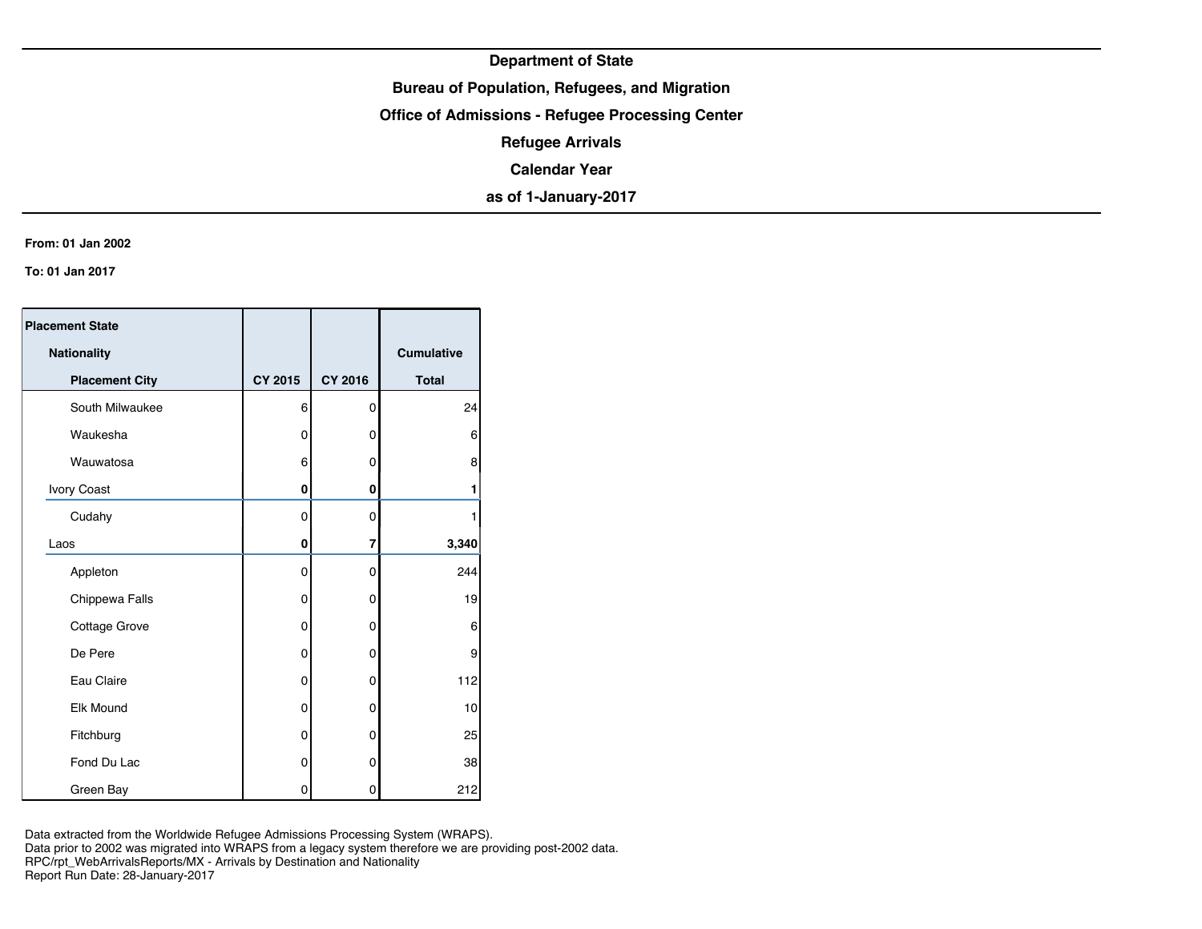## **Bureau of Population, Refugees, and Migration**

**Office of Admissions - Refugee Processing Center**

**Refugee Arrivals**

**Calendar Year**

**as of 1-January-2017**

#### **From: 01 Jan 2002**

**To: 01 Jan 2017**

| <b>Placement State</b> |                |                |                   |
|------------------------|----------------|----------------|-------------------|
| Nationality            |                |                | <b>Cumulative</b> |
| <b>Placement City</b>  | <b>CY 2015</b> | <b>CY 2016</b> | <b>Total</b>      |
| South Milwaukee        | 6              | 0              | 24                |
| Waukesha               | 0              | 0              | 6                 |
| Wauwatosa              | 6              | 0              | 8                 |
| Ivory Coast            | 0              | 0              | 1                 |
| Cudahy                 | 0              | 0              |                   |
| Laos                   | 0              | 7              | 3,340             |
| Appleton               | 0              | 0              | 244               |
| Chippewa Falls         | 0              | 0              | 19                |
| Cottage Grove          | 0              | 0              | 6                 |
| De Pere                | 0              | 0              | 9                 |
| Eau Claire             | 0              | 0              | 112               |
| <b>Elk Mound</b>       | 0              | 0              | 10                |
| Fitchburg              | 0              | 0              | 25                |
| Fond Du Lac            | 0              | 0              | 38                |
| Green Bay              | 0              | 0              | 212               |

Data extracted from the Worldwide Refugee Admissions Processing System (WRAPS). Data prior to 2002 was migrated into WRAPS from a legacy system therefore we are providing post-2002 data. RPC/rpt\_WebArrivalsReports/MX - Arrivals by Destination and Nationality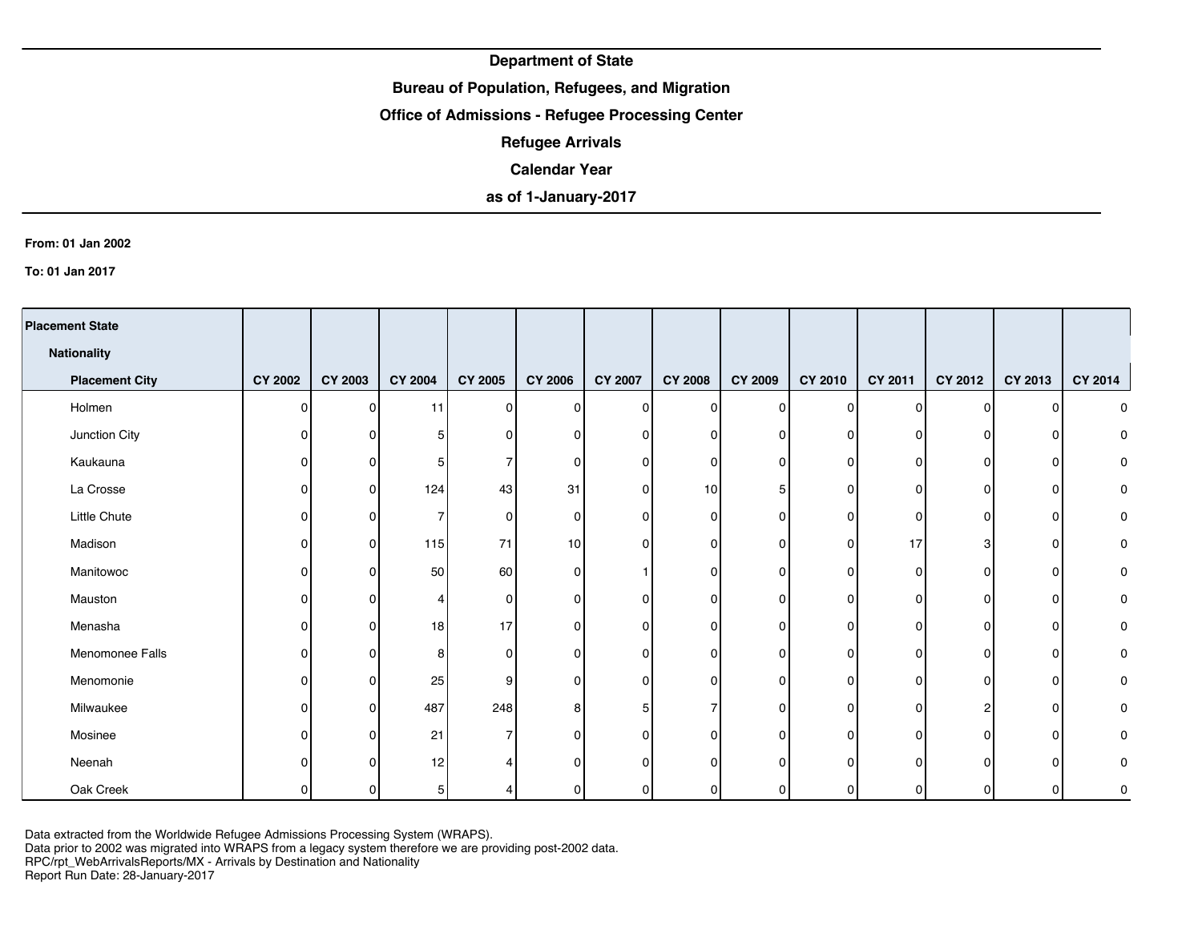## **Bureau of Population, Refugees, and Migration**

## **Office of Admissions - Refugee Processing Center**

**Refugee Arrivals**

### **Calendar Year**

# **as of 1-January-2017**

#### **From: 01 Jan 2002**

**To: 01 Jan 2017**

| <b>Placement State</b> |                |                |                |                |                 |                |                |                |              |                |                |                |                |
|------------------------|----------------|----------------|----------------|----------------|-----------------|----------------|----------------|----------------|--------------|----------------|----------------|----------------|----------------|
| <b>Nationality</b>     |                |                |                |                |                 |                |                |                |              |                |                |                |                |
| <b>Placement City</b>  | <b>CY 2002</b> | <b>CY 2003</b> | <b>CY 2004</b> | <b>CY 2005</b> | <b>CY 2006</b>  | <b>CY 2007</b> | <b>CY 2008</b> | <b>CY 2009</b> | CY 2010      | CY 2011        | <b>CY 2012</b> | CY 2013        | <b>CY 2014</b> |
| Holmen                 | 0              | 0              | 11             | $\Omega$       | ΟI              | 0              | $\mathbf 0$    | $\Omega$       | $\Omega$     | $\Omega$       | ΩI             | $\Omega$       | 0              |
| Junction City          | ŋ              | 0              | 5              | 0              | U               | 0              | 0              | O              | <sup>n</sup> | n              |                | $\mathbf{0}$   | 0              |
| Kaukauna               | 0              | 0              | 5              | 7              | U               | 0              | 0              | $\Omega$       | 0            | 0              | n              | 0              | 0              |
| La Crosse              | ი              | 0              | 124            | 43             | 31              | 0              | 10             | 5              |              | 0              | n              | 0              | 0              |
| Little Chute           | O              | ŋ              | 7              | $\overline{0}$ | $\Omega$        | 0              | 0              | $\Omega$       | ΩI           | 0              |                | 0              | 0              |
| Madison                |                | 0              | $115$          | 71             | 10 <sup>1</sup> | 0              | 0              | $\Omega$       | 0            | 17             |                | 0              | 0              |
| Manitowoc              |                | 0              | 50             | 60             | $\Omega$        |                | 0              | $\Omega$       | <sup>n</sup> | 0              |                | $\mathbf{0}$   | 0              |
| Mauston                |                | 0              | 4              | $\overline{0}$ | 0               | 0              | 0              | O              | 0            | $\overline{0}$ | n              | 0              | 0              |
| Menasha                | ი              | 0              | 18             | 17             | 0               | 0              | 0              | $\Omega$       | 0            | 0              | ŋ              | $\overline{0}$ | 0              |
| Menomonee Falls        | O              | O.             | 8              | $\overline{0}$ | 0               | 0              | 0              | n              | 0            | $\overline{0}$ |                | $\overline{0}$ | 0              |
| Menomonie              | ი              | 0              | 25             | 9              | $\Omega$        | 0              | $\mathbf{0}$   | $\Omega$       | $\Omega$     | 0              | n              | $\Omega$       | 0              |
| Milwaukee              | O              | 0              | 487            | 248            | 8               | 5              | 7              | $\Omega$       | $\Omega$     | 0              | 2              | $\mathbf 0$    | 0              |
| Mosinee                | n              | 0              | 21             | $\overline{7}$ | U               | 0              | $\mathbf{0}$   | $\Omega$       | $\Omega$     | 0              | n              | $\mathbf 0$    | 0              |
| Neenah                 |                | ŋ              | 12             |                |                 | 0              | $\mathbf{0}$   | C              |              | O              |                | $\Omega$       | 0              |
| Oak Creek              |                | 0              | 5 <sub>l</sub> |                | $\Omega$        | 0              | 0              | 0              |              | 0              |                | $\Omega$       | 0              |

Data extracted from the Worldwide Refugee Admissions Processing System (WRAPS).

Data prior to 2002 was migrated into WRAPS from a legacy system therefore we are providing post-2002 data.

RPC/rpt\_WebArrivalsReports/MX - Arrivals by Destination and Nationality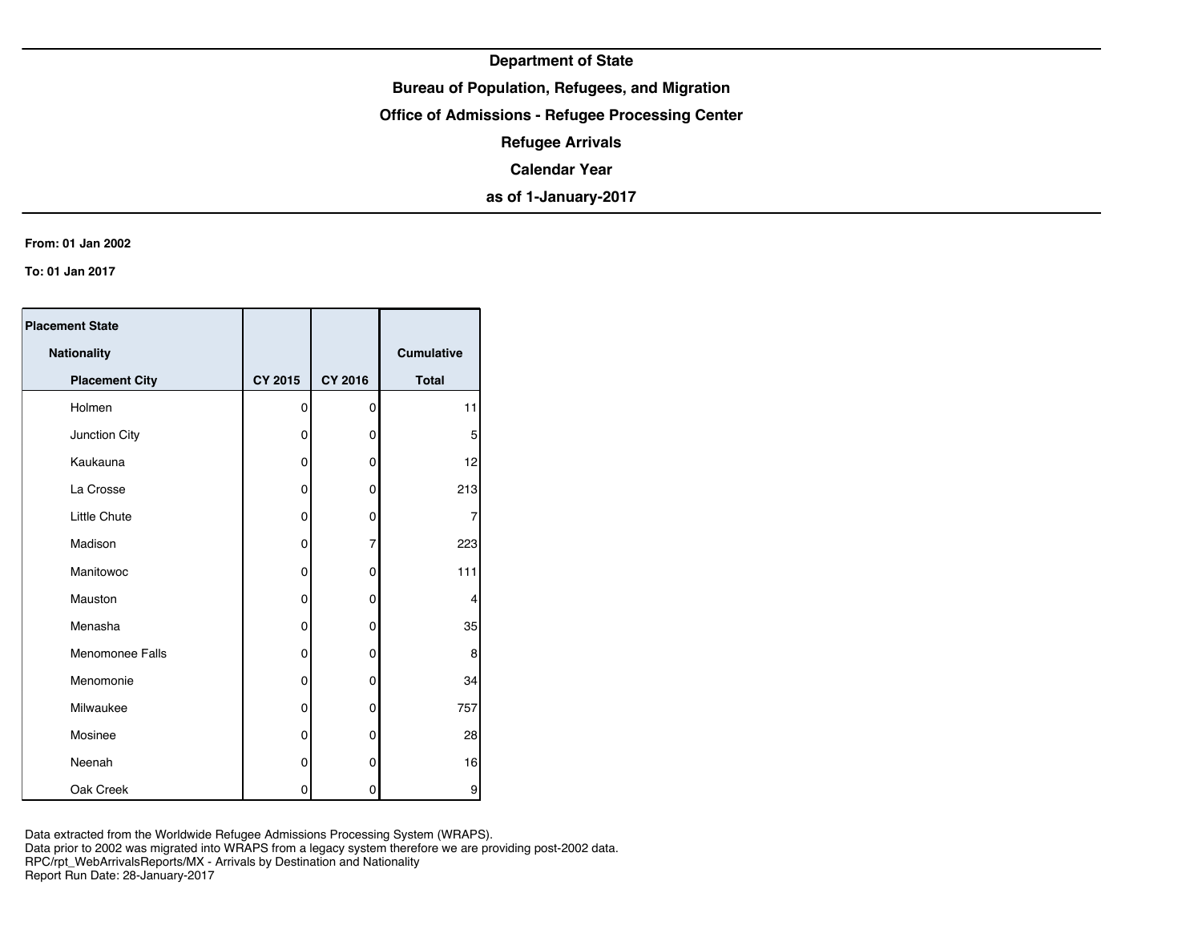## **Bureau of Population, Refugees, and Migration**

**Office of Admissions - Refugee Processing Center**

**Refugee Arrivals**

**Calendar Year**

**as of 1-January-2017**

#### **From: 01 Jan 2002**

**To: 01 Jan 2017**

| <b>Placement State</b> |                |                |                   |
|------------------------|----------------|----------------|-------------------|
| Nationality            |                |                | <b>Cumulative</b> |
| <b>Placement City</b>  | <b>CY 2015</b> | <b>CY 2016</b> | <b>Total</b>      |
| Holmen                 | 0              | 0              | 11                |
| Junction City          | 0              | 0              | 5                 |
| Kaukauna               | 0              | 0              | 12                |
| La Crosse              | 0              | 0              | 213               |
| <b>Little Chute</b>    | 0              | 0              | 7                 |
| Madison                | 0              | $\overline{7}$ | 223               |
| Manitowoc              | 0              | 0              | 111               |
| Mauston                | 0              | 0              | 4                 |
| Menasha                | 0              | 0              | 35                |
| Menomonee Falls        | $\mathbf 0$    | 0              | 8                 |
| Menomonie              | 0              | 0              | 34                |
| Milwaukee              | 0              | 0              | 757               |
| Mosinee                | 0              | 0              | 28                |
| Neenah                 | 0              | 0              | 16                |
| Oak Creek              | 0              | 0              | 9                 |

Data extracted from the Worldwide Refugee Admissions Processing System (WRAPS). Data prior to 2002 was migrated into WRAPS from a legacy system therefore we are providing post-2002 data.

RPC/rpt\_WebArrivalsReports/MX - Arrivals by Destination and Nationality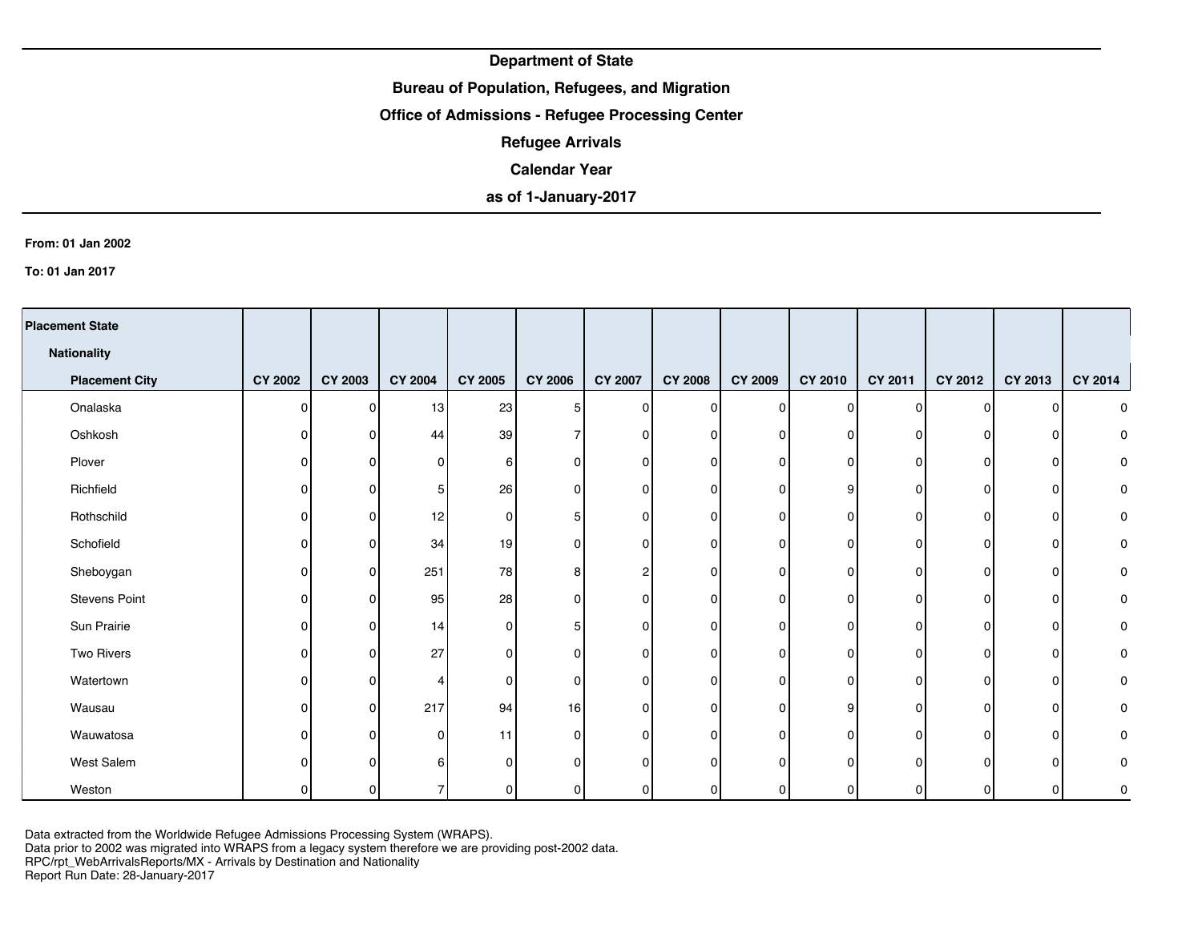## **Bureau of Population, Refugees, and Migration**

## **Office of Admissions - Refugee Processing Center**

**Refugee Arrivals**

### **Calendar Year**

# **as of 1-January-2017**

#### **From: 01 Jan 2002**

**To: 01 Jan 2017**

| <b>Placement State</b> |                |          |                |                |                |                |                |                |                |                |         |                |         |
|------------------------|----------------|----------|----------------|----------------|----------------|----------------|----------------|----------------|----------------|----------------|---------|----------------|---------|
| <b>Nationality</b>     |                |          |                |                |                |                |                |                |                |                |         |                |         |
| <b>Placement City</b>  | <b>CY 2002</b> | CY 2003  | <b>CY 2004</b> | <b>CY 2005</b> | <b>CY 2006</b> | <b>CY 2007</b> | <b>CY 2008</b> | <b>CY 2009</b> | <b>CY 2010</b> | CY 2011        | CY 2012 | CY 2013        | CY 2014 |
| Onalaska               | $\Omega$       | $\Omega$ | 13             | 23             | 5              | $\Omega$       | $\Omega$       | $\Omega$       | ΩI             | $\Omega$       | ΩI      | $\Omega$       | 0       |
| Oshkosh                | <sup>n</sup>   | $\Omega$ | 44             | 39             |                | 0              | O              | $\Omega$       | ΩI             | n              | n       | $\Omega$       | 0       |
| Plover                 | n              | 0        | 0              | 6              |                | 0              | 0              | $\Omega$       | 0              | 0              | n       | 0              | 0       |
| Richfield              |                | $\Omega$ | 5              | 26             |                | 0              | 0              | $\Omega$       | 9              | 0              | n       | 0              | 0       |
| Rothschild             | n              | 0        | 12             | 0              |                | 0              | $\Omega$       | $\Omega$       | ΩI             | 0              |         | 0              | 0       |
| Schofield              |                | 0        | 34             | 19             |                | ი              | 0              | $\Omega$       | $\Omega$       | 0              |         | 0              | 0       |
| Sheboygan              | n              | $\Omega$ | 251            | 78             |                | 2              | 0              | $\Omega$       | ΩI             | 0              |         | 0              | 0       |
| Stevens Point          | n              | 0        | 95             | 28             |                | 0              | 0              | $\Omega$       | ΩI             | 0              | n       | 0              | 0       |
| Sun Prairie            | <sup>n</sup>   | $\Omega$ | 14             | 0              |                | 0              | $\Omega$       | $\Omega$       | $\Omega$       | 0              | ΩI      | $\overline{0}$ | 0       |
| Two Rivers             | n              | $\Omega$ | 27             | 0              |                | 0              | 0              | $\Omega$       | 01             | $\overline{0}$ | n       | $\overline{0}$ | 0       |
| Watertown              | n              | 0        | 4              | 0              |                | $\Omega$       | $\Omega$       | $\Omega$       | $\Omega$       | 0              | n       | $\overline{0}$ | 0       |
| Wausau                 | $\Omega$       | $\Omega$ | 217            | 94             | 16             | 0              | $\Omega$       | $\Omega$       | 9              | 0              | ŋ       | $\mathbf 0$    | 0       |
| Wauwatosa              | n              | $\Omega$ | 0              | 11             |                | $\Omega$       | $\Omega$       | $\Omega$       | $\Omega$       | $\Omega$       | n       | $\overline{0}$ | 0       |
| West Salem             |                | $\Omega$ | 6              | $\Omega$       |                | $\Omega$       | $\Omega$       | $\Omega$       |                | O              | n       | $\Omega$       | 0       |
| Weston                 |                | 0        | $\overline{7}$ | 0              | O              | 0              | 0              | 0              | ΩI             | 0              |         | $\overline{0}$ | 0       |

Data extracted from the Worldwide Refugee Admissions Processing System (WRAPS).

Data prior to 2002 was migrated into WRAPS from a legacy system therefore we are providing post-2002 data.

RPC/rpt\_WebArrivalsReports/MX - Arrivals by Destination and Nationality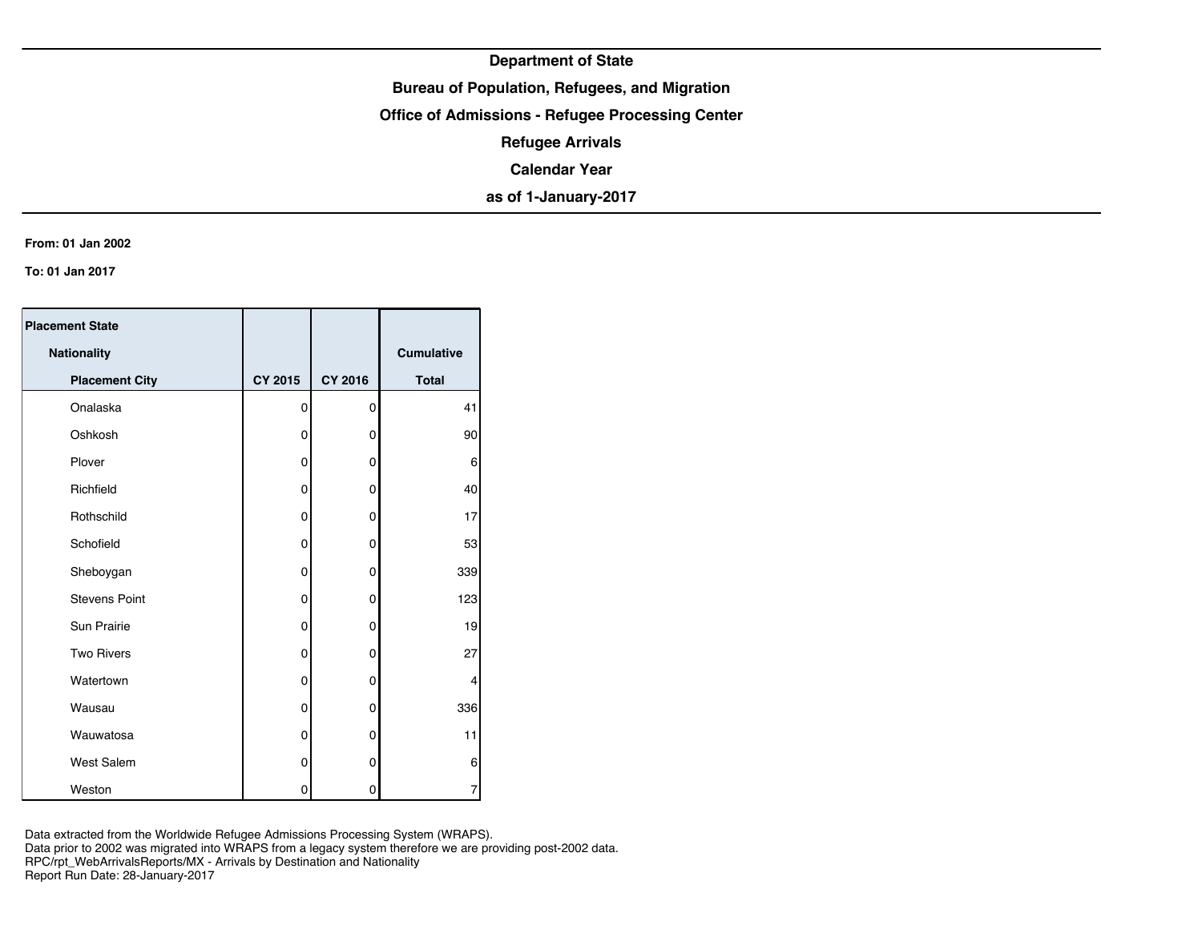## **Bureau of Population, Refugees, and Migration**

**Office of Admissions - Refugee Processing Center**

**Refugee Arrivals**

**Calendar Year**

**as of 1-January-2017**

#### **From: 01 Jan 2002**

**To: 01 Jan 2017**

| <b>Placement State</b> |                |         |                   |
|------------------------|----------------|---------|-------------------|
| Nationality            |                |         | <b>Cumulative</b> |
| <b>Placement City</b>  | <b>CY 2015</b> | CY 2016 | <b>Total</b>      |
| Onalaska               | 0              | 0       | 41                |
| Oshkosh                | 0              | 0       | 90                |
| Plover                 | 0              | 0       | 6                 |
| Richfield              | 0              | 0       | 40                |
| Rothschild             | 0              | 0       | 17                |
| Schofield              | 0              | 0       | 53                |
| Sheboygan              | 0              | 0       | 339               |
| <b>Stevens Point</b>   | 0              | 0       | 123               |
| <b>Sun Prairie</b>     | 0              | 0       | 19                |
| <b>Two Rivers</b>      | 0              | 0       | 27                |
| Watertown              | 0              | 0       | 4                 |
| Wausau                 | 0              | 0       | 336               |
| Wauwatosa              | 0              | 0       | 11                |
| <b>West Salem</b>      | 0              | 0       | 6                 |
| Weston                 | 0              | 0       | 7                 |

Data extracted from the Worldwide Refugee Admissions Processing System (WRAPS). Data prior to 2002 was migrated into WRAPS from a legacy system therefore we are providing post-2002 data. RPC/rpt\_WebArrivalsReports/MX - Arrivals by Destination and Nationality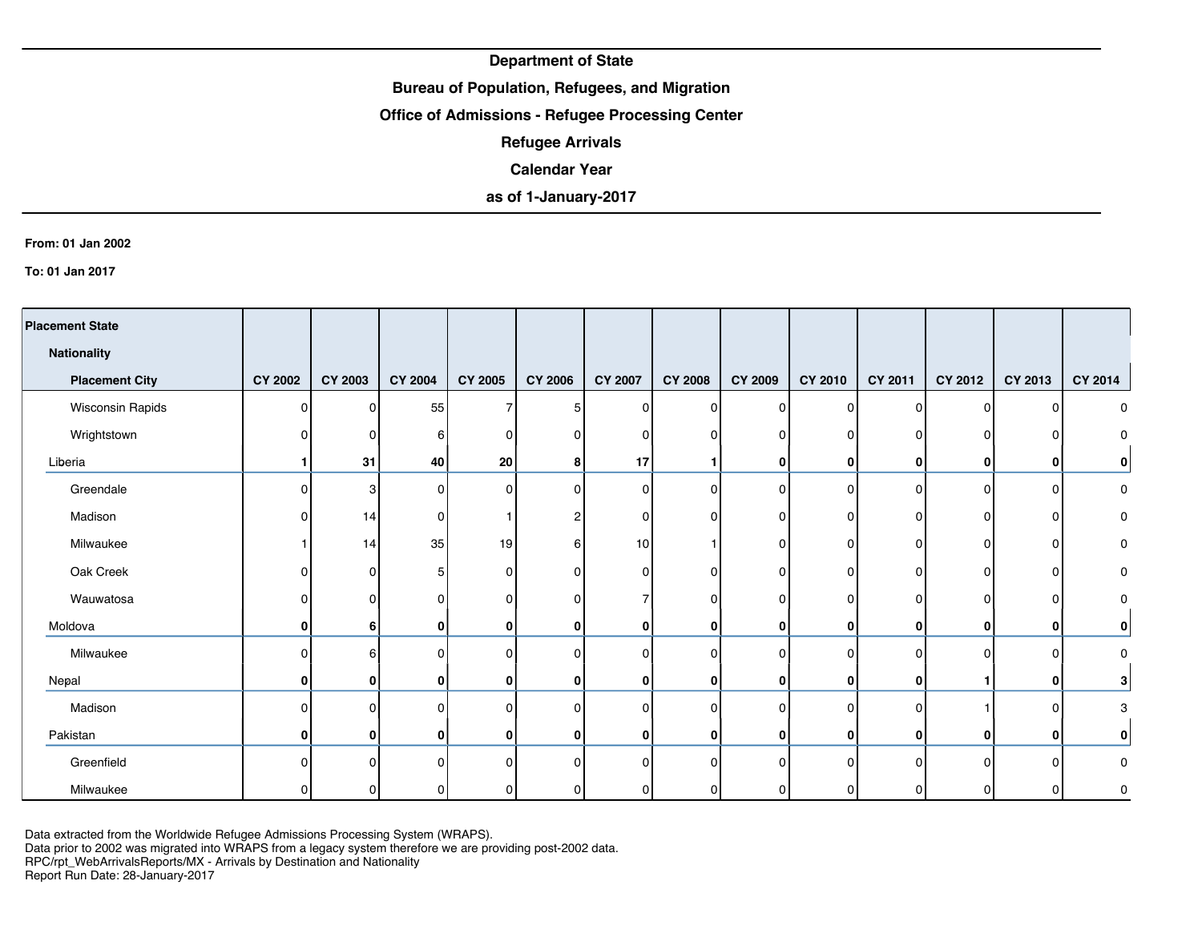## **Bureau of Population, Refugees, and Migration**

## **Office of Admissions - Refugee Processing Center**

**Refugee Arrivals**

### **Calendar Year**

# **as of 1-January-2017**

#### **From: 01 Jan 2002**

**To: 01 Jan 2017**

| <b>Placement State</b> |                |                |                |          |                |                |                |                |              |                |              |              |             |
|------------------------|----------------|----------------|----------------|----------|----------------|----------------|----------------|----------------|--------------|----------------|--------------|--------------|-------------|
| <b>Nationality</b>     |                |                |                |          |                |                |                |                |              |                |              |              |             |
| <b>Placement City</b>  | <b>CY 2002</b> | <b>CY 2003</b> | <b>CY 2004</b> | CY 2005  | <b>CY 2006</b> | <b>CY 2007</b> | <b>CY 2008</b> | <b>CY 2009</b> | CY 2010      | <b>CY 2011</b> | CY 2012      | CY 2013      | CY 2014     |
| Wisconsin Rapids       | $\Omega$       | 0              | 55             | 7        | 5              | <sup>n</sup>   | $\Omega$       | $\Omega$       | $\Omega$     | $\Omega$       | $\Omega$     | $\Omega$     | 0           |
| Wrightstown            | ŋ              | 0              | 6              | 0        |                | n              |                | $\Omega$       |              | n              | 0            | $\Omega$     | O           |
| Liberia                |                | 31             | 40             | 20       | 8              | 17             |                | 0              | $\mathbf{0}$ | 0              | 0            | 0            | 0           |
| Greendale              | $\Omega$       | 3              | 0              | 0        | <sup>n</sup>   | $\Omega$       | $\Omega$       | $\Omega$       | $\Omega$     | $\Omega$       | $\Omega$     | 0            | 0           |
| Madison                |                | 14             | 0              |          |                |                |                | $\Omega$       | n            | $\Omega$       | 0            | 0            | 0           |
| Milwaukee              |                | 14             | 35             | 19       | 61             | 10             |                | $\Omega$       | <sup>0</sup> | $\Omega$       | 0            | 0            | 0           |
| Oak Creek              |                | 0              | 5              | 0        | O              | ŋ              | 0              | $\Omega$       |              | $\Omega$       | 0            | 0            | 0           |
| Wauwatosa              |                | n              | ŋ              | $\Omega$ | <sup>n</sup>   |                | 0              | $\Omega$       | n            | $\Omega$       | 0            | 0            | 0           |
| Moldova                | 0              | 6              | 0              | 0        | 0              | 0              | 0              | 0              | $\mathbf{0}$ | $\mathbf{0}$   | 0            | $\mathbf{0}$ | 0           |
| Milwaukee              | $\Omega$       | հ              | 0              | $\Omega$ | U              | U              | $\Omega$       | $\Omega$       | $\Omega$     | $\Omega$       | $\Omega$     | $\Omega$     | $\Omega$    |
| Nepal                  | 0              | 0              | 0              | $\bf{0}$ | 0              | 0              | 0              | 0              | $\mathbf{0}$ | $\mathbf{0}$   |              | $\bf{0}$     | 3           |
| Madison                | 0              | n              | 0              | $\Omega$ | U              | n              | $\Omega$       | $\Omega$       | n            | $\Omega$       |              | $\Omega$     | 3           |
| Pakistan               | $\mathbf{0}$   | 0              | 0              | $\bf{0}$ | 0              | $\mathbf{0}$   | 0              | $\mathbf{0}$   | $\mathbf{0}$ | 0              | $\mathbf{0}$ | $\mathbf 0$  | 0           |
| Greenfield             | n              |                | U              | $\Omega$ |                |                | $\Omega$       | $\Omega$       |              | $\Omega$       | <sup>0</sup> | $\Omega$     | $\mathbf 0$ |
| Milwaukee              |                |                | ŋ              | 0        |                |                |                | ∩              |              | <sup>n</sup>   |              | $\Omega$     | 0           |

Data extracted from the Worldwide Refugee Admissions Processing System (WRAPS).

Data prior to 2002 was migrated into WRAPS from a legacy system therefore we are providing post-2002 data.

RPC/rpt\_WebArrivalsReports/MX - Arrivals by Destination and Nationality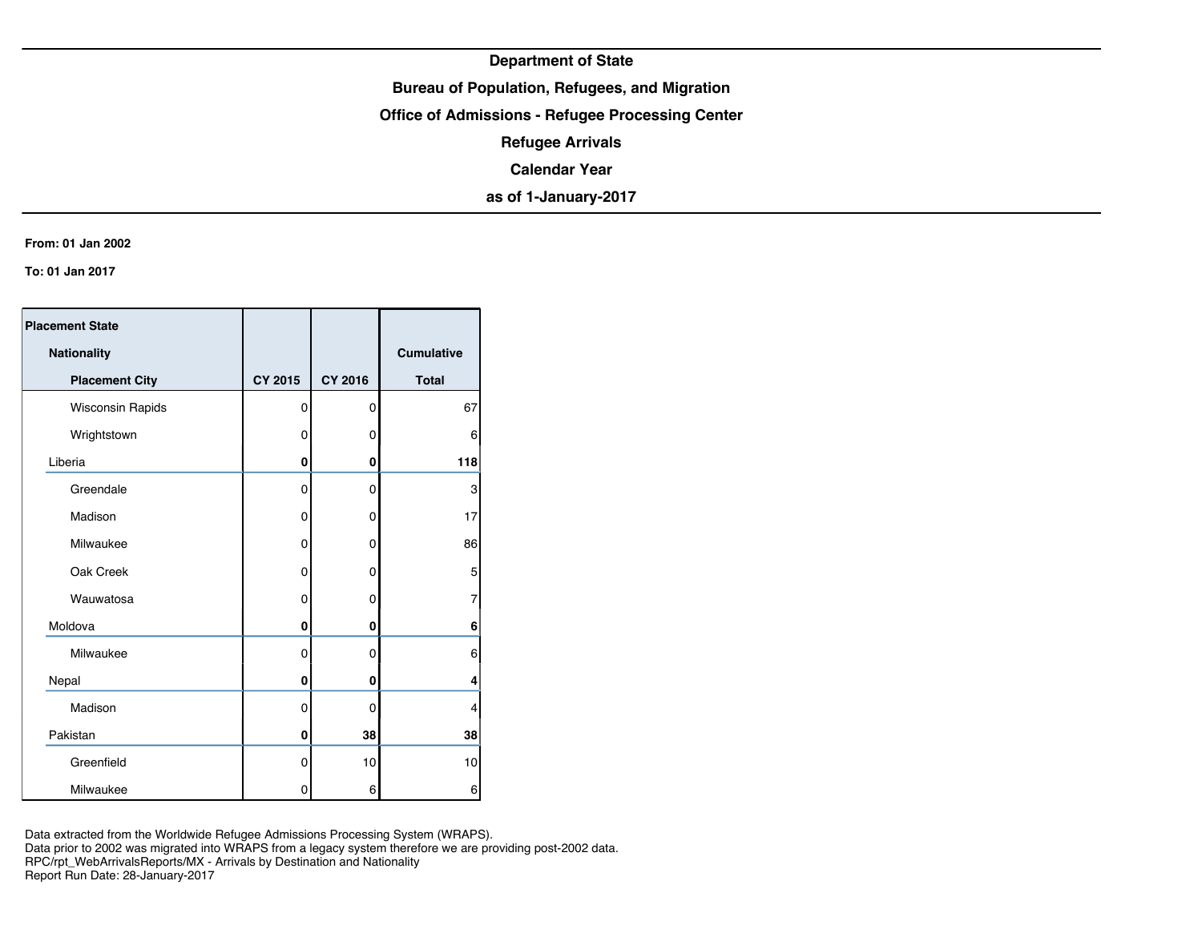## **Bureau of Population, Refugees, and Migration**

**Office of Admissions - Refugee Processing Center**

**Refugee Arrivals**

**Calendar Year**

**as of 1-January-2017**

#### **From: 01 Jan 2002**

**To: 01 Jan 2017**

| <b>Placement State</b>  |                |                |                   |
|-------------------------|----------------|----------------|-------------------|
| Nationality             |                |                | <b>Cumulative</b> |
| <b>Placement City</b>   | <b>CY 2015</b> | <b>CY 2016</b> | <b>Total</b>      |
| <b>Wisconsin Rapids</b> | 0              | 0              | 67                |
| Wrightstown             | 0              | 0              | 6                 |
| Liberia                 | 0              | 0              | 118               |
| Greendale               | $\mathbf 0$    | 0              | 3                 |
| Madison                 | 0              | 0              | 17                |
| Milwaukee               | $\Omega$       | 0              | 86                |
| Oak Creek               | $\mathbf 0$    | 0              | 5                 |
| Wauwatosa               | $\mathbf 0$    | 0              | 7                 |
| Moldova                 | 0              | 0              | 6                 |
| Milwaukee               | 0              | 0              | 6                 |
| Nepal                   | 0              | 0              | 4                 |
| Madison                 | $\mathbf 0$    | 0              | $\overline{4}$    |
| Pakistan                | 0              | 38             | 38                |
| Greenfield              | 0              | 10             | 10                |
| Milwaukee               | 0              | 6              | 6                 |

Data extracted from the Worldwide Refugee Admissions Processing System (WRAPS). Data prior to 2002 was migrated into WRAPS from a legacy system therefore we are providing post-2002 data. RPC/rpt\_WebArrivalsReports/MX - Arrivals by Destination and Nationality Report Run Date: 28-January-2017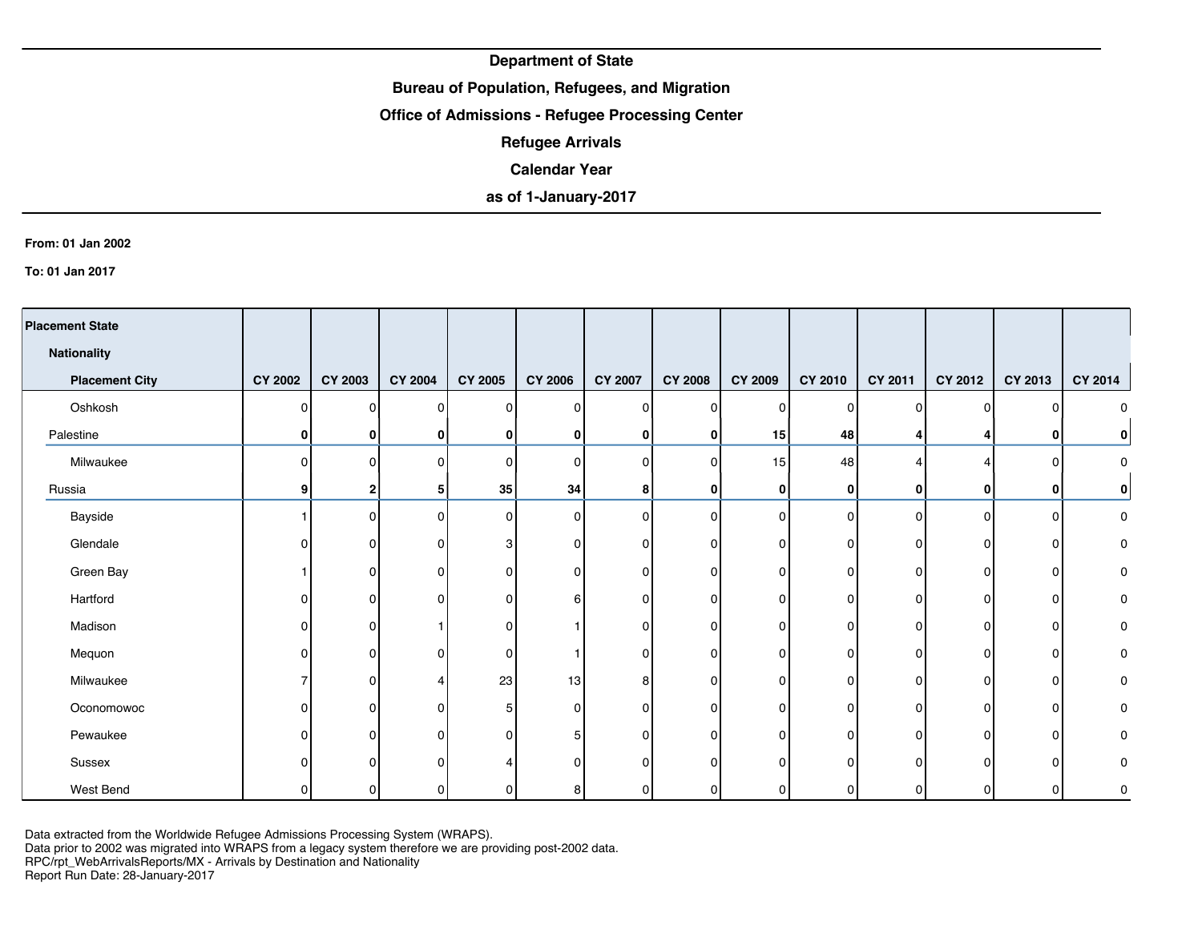## **Bureau of Population, Refugees, and Migration**

## **Office of Admissions - Refugee Processing Center**

**Refugee Arrivals**

### **Calendar Year**

# **as of 1-January-2017**

#### **From: 01 Jan 2002**

**To: 01 Jan 2017**

| <b>Placement State</b> |                |                |                |                |                |                |                |                |              |                |         |              |           |
|------------------------|----------------|----------------|----------------|----------------|----------------|----------------|----------------|----------------|--------------|----------------|---------|--------------|-----------|
| <b>Nationality</b>     |                |                |                |                |                |                |                |                |              |                |         |              |           |
| <b>Placement City</b>  | <b>CY 2002</b> | <b>CY 2003</b> | <b>CY 2004</b> | <b>CY 2005</b> | <b>CY 2006</b> | <b>CY 2007</b> | <b>CY 2008</b> | <b>CY 2009</b> | CY 2010      | CY 2011        | CY 2012 | CY 2013      | CY 2014   |
| Oshkosh                | 0              | n              | 0              | $\mathbf{0}$   | $\Omega$       | 0              | 0              | $\Omega$       | 0            | 0              | 0       | $\Omega$     | 0         |
| Palestine              | 0              | n              | 0              | 0              | 0              | 0              | 0              | 15             | 48           | 4              | 4       | 0            | 0         |
| Milwaukee              | $\Omega$       | <sup>n</sup>   | 0              | $\mathbf 0$    | $\Omega$       | $\Omega$       | 0              | 15             | 48           |                |         | $\mathbf{0}$ | 0         |
| Russia                 | 9              | 2              | 5              | 35             | 34             | 8              | $\mathbf{0}$   | 0              | 0            | 0              | 0       | 0            | 0         |
| Bayside                |                | 0              | $\overline{0}$ | 0              | $\Omega$       | $\overline{0}$ | $\overline{0}$ | $\Omega$       | $\Omega$     | $\Omega$       | 0       | 0            | $\pmb{0}$ |
| Glendale               |                | n              | 0              | 3              | 0              | 0              | 0              | $\Omega$       | 0            | 0              | O       | 0            | $\pmb{0}$ |
| Green Bay              |                | n              | 0              | 0              | <sup>n</sup>   | ŋ              | 0              | $\Omega$       | 0            | 0              | ŋ       | 0            | 0         |
| Hartford               |                | 0              | 0              | 0              | 6              | 0              | 0              | $\mathbf{0}$   | 0            | $\overline{0}$ | 0       | 0            | 0         |
| Madison                | ŋ              | n              |                | $\mathbf{0}$   |                | 0              | $\Omega$       | $\Omega$       | 0            | $\Omega$       | 0       | $\mathbf{0}$ | 0         |
| Mequon                 |                | 0              | 0              | 0              |                | 0              | 0              | $\mathbf{0}$   | 0            | $\overline{0}$ | O       | 0            | 0         |
| Milwaukee              |                | n              | 4              | 23             | 13             | 8              | 0              | $\Omega$       | $\Omega$     | $\Omega$       | 0       | 0            | 0         |
| Oconomowoc             | n              | n              | 0              | 5              | <sup>o</sup>   | 0              | 0              | $\Omega$       | 0            | 0              | O       | 0            | 0         |
| Pewaukee               | U              | <sup>0</sup>   | 0              | $\mathbf{0}$   |                | 0              | 0              | $\mathbf{0}$   | 0            | $\Omega$       | 0       | 0            | 0         |
| Sussex                 |                | n              | 0              |                |                | O              | 0              | $\Omega$       |              | O              | U       | $\mathbf{0}$ | 0         |
| West Bend              |                | 0              | 0              | 0              | 8              | 0              | 0              | 0              | <sup>n</sup> | 0              | 0       | 0            | 0         |

Data extracted from the Worldwide Refugee Admissions Processing System (WRAPS).

Data prior to 2002 was migrated into WRAPS from a legacy system therefore we are providing post-2002 data.

RPC/rpt\_WebArrivalsReports/MX - Arrivals by Destination and Nationality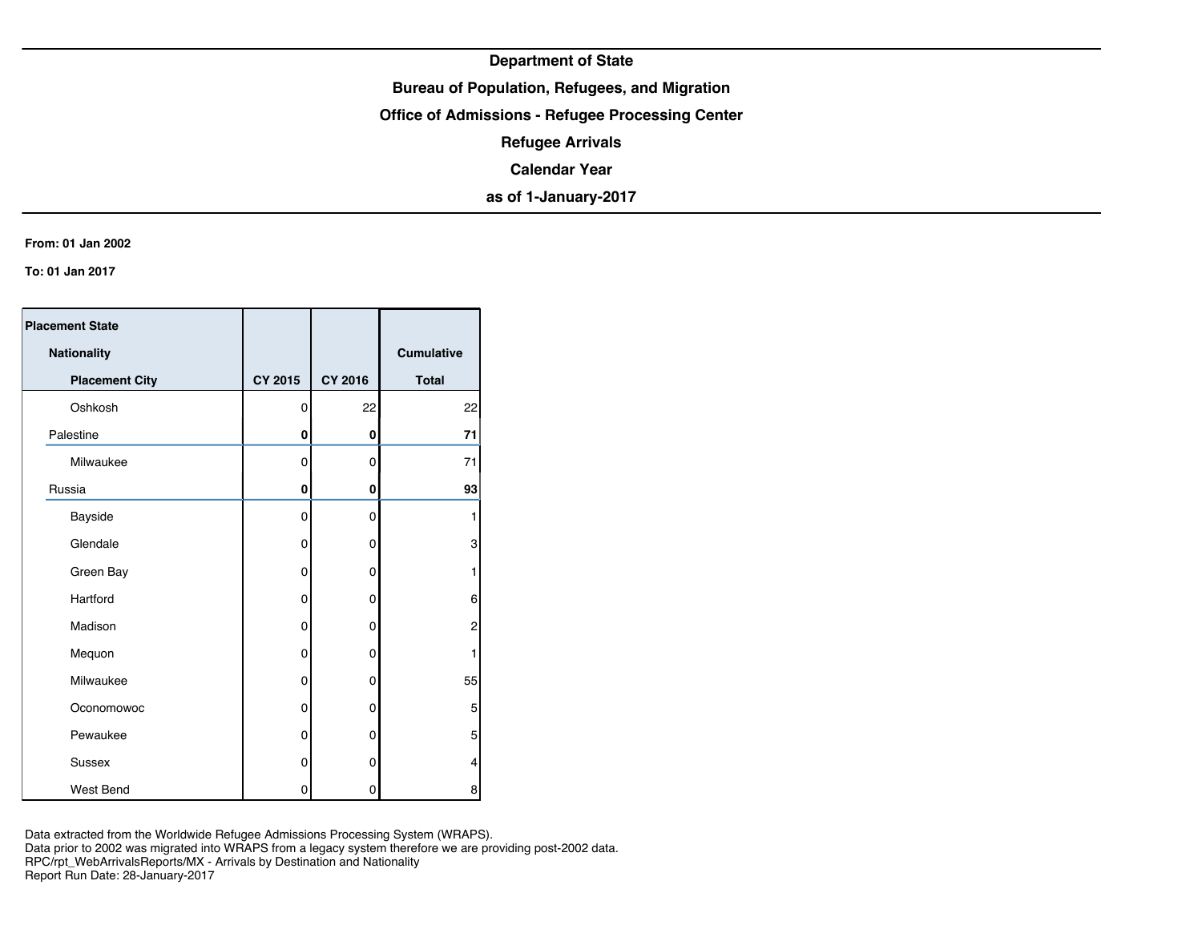## **Bureau of Population, Refugees, and Migration**

**Office of Admissions - Refugee Processing Center**

**Refugee Arrivals**

**Calendar Year**

**as of 1-January-2017**

#### **From: 01 Jan 2002**

**To: 01 Jan 2017**

| <b>Placement State</b> |                |                |              |
|------------------------|----------------|----------------|--------------|
| Nationality            |                |                | Cumulative   |
| <b>Placement City</b>  | <b>CY 2015</b> | <b>CY 2016</b> | <b>Total</b> |
| Oshkosh                | 0              | 22             | 22           |
| Palestine              | 0              | 0              | 71           |
| Milwaukee              | 0              | 0              | 71           |
| Russia                 | 0              | 0              | 93           |
| Bayside                | $\mathbf 0$    | 0              | 1            |
| Glendale               | 0              | 0              | 3            |
| Green Bay              | 0              | 0              | 1            |
| Hartford               | $\Omega$       | 0              | 6            |
| Madison                | 0              | 0              | 2            |
| Mequon                 | 0              | 0              | 1            |
| Milwaukee              | 0              | 0              | 55           |
| Oconomowoc             | 0              | 0              | 5            |
| Pewaukee               | 0              | 0              | 5            |
| Sussex                 | 0              | 0              | 4            |
| West Bend              | 0              | 0              | 8            |

Data extracted from the Worldwide Refugee Admissions Processing System (WRAPS). Data prior to 2002 was migrated into WRAPS from a legacy system therefore we are providing post-2002 data. RPC/rpt\_WebArrivalsReports/MX - Arrivals by Destination and Nationality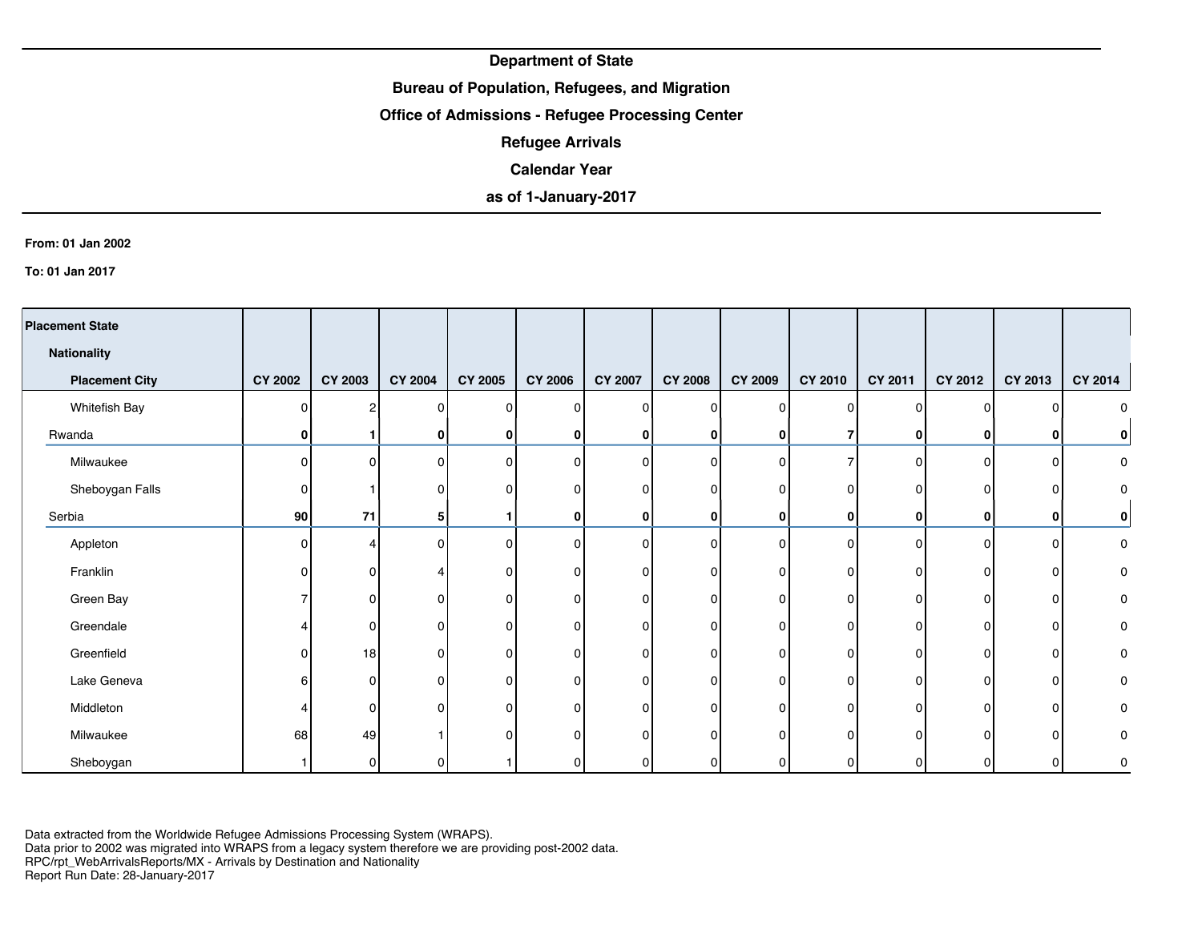## **Bureau of Population, Refugees, and Migration**

## **Office of Admissions - Refugee Processing Center**

**Refugee Arrivals**

### **Calendar Year**

# **as of 1-January-2017**

#### **From: 01 Jan 2002**

**To: 01 Jan 2017**

| <b>Placement State</b> |                |                |                |                |                |                |                |          |          |              |          |          |                     |
|------------------------|----------------|----------------|----------------|----------------|----------------|----------------|----------------|----------|----------|--------------|----------|----------|---------------------|
| Nationality            |                |                |                |                |                |                |                |          |          |              |          |          |                     |
| <b>Placement City</b>  | <b>CY 2002</b> | <b>CY 2003</b> | <b>CY 2004</b> | <b>CY 2005</b> | <b>CY 2006</b> | <b>CY 2007</b> | <b>CY 2008</b> | CY 2009  | CY 2010  | CY 2011      | CY 2012  | CY 2013  | CY 2014             |
| Whitefish Bay          | n              | 2              | $\mathbf{0}$   | $\Omega$       | O              | 0              | $\mathbf{0}$   | $\Omega$ | O        | $\Omega$     | $\Omega$ |          | 0                   |
| Rwanda                 | 0              |                | 0              | $\mathbf{0}$   | 0              | $\mathbf{0}$   | 0              | 0        |          | $\mathbf{0}$ | 0        | 0        | $\bf{0}$            |
| Milwaukee              | $\Omega$       |                | 0              | $\mathbf 0$    | n              | U              | $\Omega$       | $\Omega$ |          | $\Omega$     | $\Omega$ | $\Omega$ | $\mathsf{O}\xspace$ |
| Sheboygan Falls        | $\Omega$       |                | 0              | $\Omega$       |                | 0              | O              | n        | n        | n            | O        | n        | $\pmb{0}$           |
| Serbia                 | 90             | 71             | 5              |                | 0              | $\mathbf{0}$   | 0              | 0        | 0        | $\mathbf{0}$ | 0        | 0        | $\pmb{0}$           |
| Appleton               | $\Omega$       |                | $\Omega$       | $\Omega$       | O              | 0              | $\Omega$       | $\Omega$ | n        | $\Omega$     | $\Omega$ | 0        | 0                   |
| Franklin               | $\Omega$       | n              | Δ              | $\Omega$       | $\Omega$       | 0              | $\Omega$       | $\Omega$ | $\Omega$ | $\Omega$     | $\Omega$ | 0        | 0                   |
| Green Bay              |                |                | 0              | $\Omega$       | O              | 0              | $\Omega$       | n        | O        | n            | O        | $\Omega$ | 0                   |
| Greendale              |                |                | $\Omega$       | $\Omega$       |                |                | 0              | C        |          | n            | O        | $\Omega$ | 0                   |
| Greenfield             | O              | 18             | 0              | $\Omega$       | ∩              | $\mathbf{0}$   | 0              | n        | 0        | $\Omega$     | O        | 0        | 0                   |
| Lake Geneva            | 6              | n              | 0              | 0              | ∩              | ი              | $\Omega$       | ∩        | O        | $\Omega$     | O        | $\Omega$ | 0                   |
| Middleton              |                | $\Omega$       | $\Omega$       | $\Omega$       | O              | $\Omega$       | $\Omega$       | ∩        | O        | 0            | 0        | $\Omega$ | 0                   |
| Milwaukee              | 68             | 49             |                | $\Omega$       | O              | $\Omega$       | $\Omega$       | ∩        | O        | $\Omega$     | O        | 0        | 0                   |
| Sheboygan              |                | O              | O              |                |                |                | O              | n        |          | U            |          | n        | 0                   |

Data extracted from the Worldwide Refugee Admissions Processing System (WRAPS). Data prior to 2002 was migrated into WRAPS from a legacy system therefore we are providing post-2002 data.

RPC/rpt\_WebArrivalsReports/MX - Arrivals by Destination and Nationality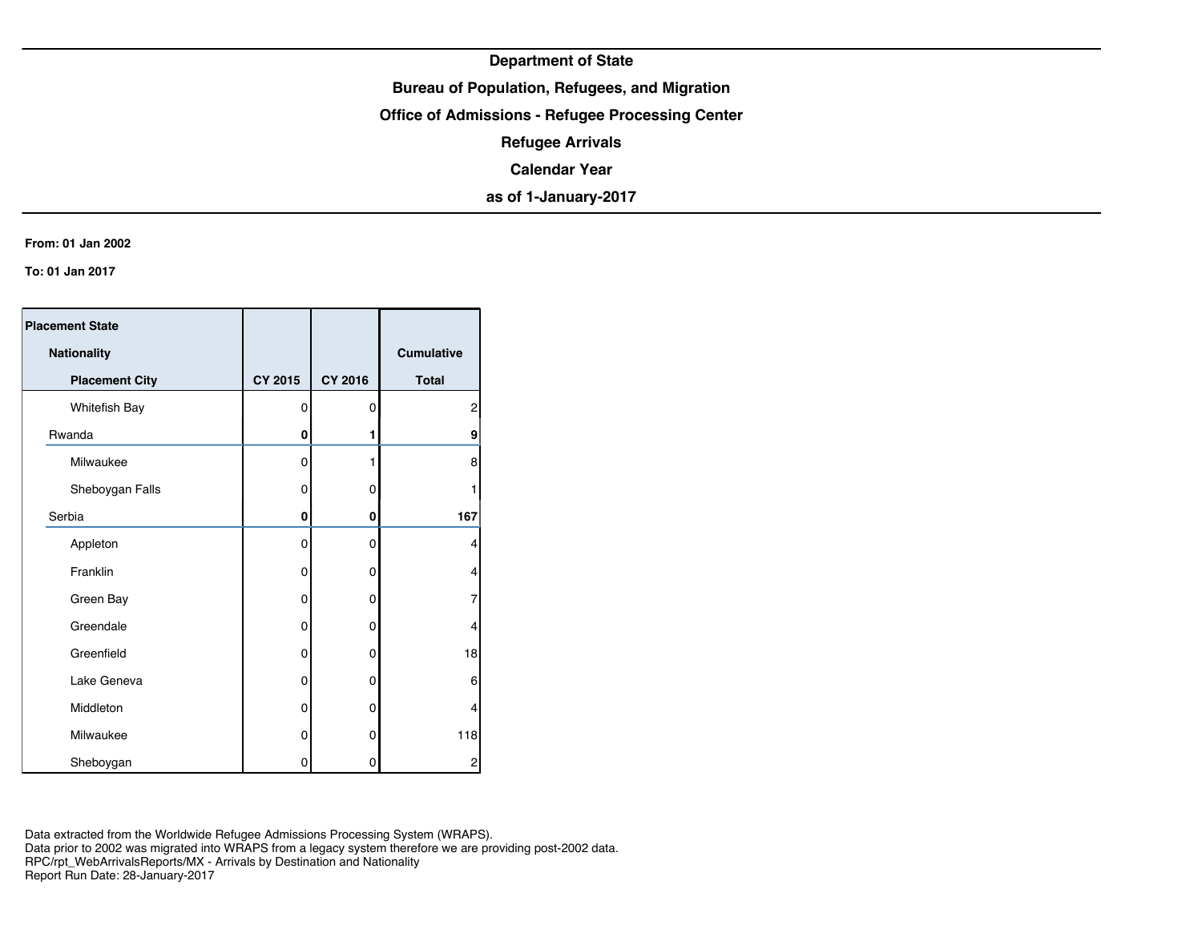## **Bureau of Population, Refugees, and Migration**

**Office of Admissions - Refugee Processing Center**

**Refugee Arrivals**

**Calendar Year**

**as of 1-January-2017**

#### **From: 01 Jan 2002**

**To: 01 Jan 2017**

| <b>Placement State</b> |          |             |                   |
|------------------------|----------|-------------|-------------------|
| Nationality            |          |             | <b>Cumulative</b> |
| <b>Placement City</b>  | CY 2015  | CY 2016     | <b>Total</b>      |
| Whitefish Bay          | 0        | 0           | 2                 |
| Rwanda                 | 0        | 1           | 9                 |
| Milwaukee              | 0        | 1           | 8                 |
| Sheboygan Falls        | 0        | 0           | 1                 |
| Serbia                 | 0        | 0           | 167               |
| Appleton               | $\Omega$ | $\mathbf 0$ | 4                 |
| Franklin               | 0        | 0           | 4                 |
| Green Bay              | 0        | 0           | $\overline{7}$    |
| Greendale              | 0        | 0           | 4                 |
| Greenfield             | 0        | 0           | 18                |
| Lake Geneva            | 0        | 0           | 6                 |
| Middleton              | 0        | 0           | 4                 |
| Milwaukee              | 0        | 0           | 118               |
| Sheboygan              | 0        | 0           | 2                 |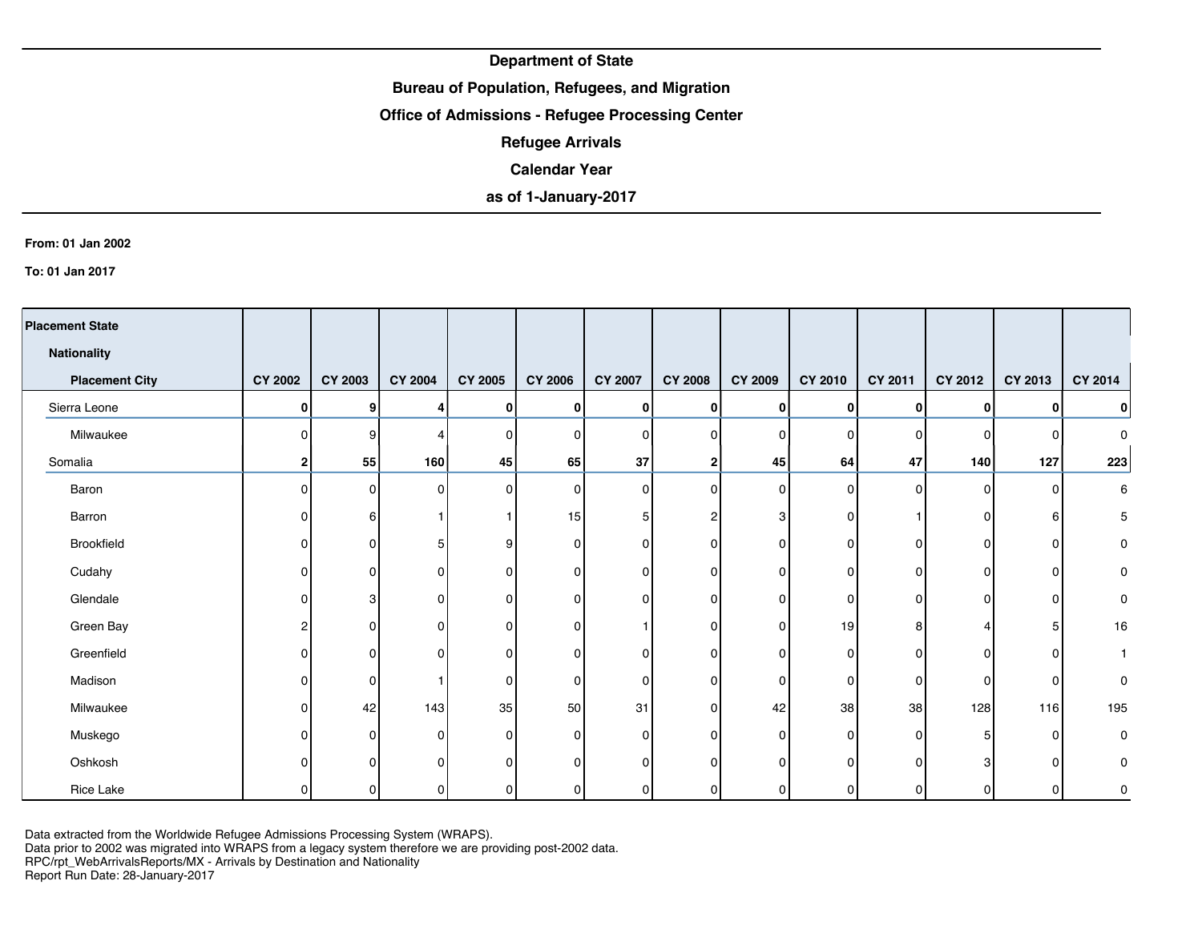## **Bureau of Population, Refugees, and Migration**

## **Office of Admissions - Refugee Processing Center**

**Refugee Arrivals**

### **Calendar Year**

# **as of 1-January-2017**

#### **From: 01 Jan 2002**

**To: 01 Jan 2017**

| <b>Placement State</b> |                |                |                |                |                |                |                |                |                |          |                |          |             |
|------------------------|----------------|----------------|----------------|----------------|----------------|----------------|----------------|----------------|----------------|----------|----------------|----------|-------------|
| <b>Nationality</b>     |                |                |                |                |                |                |                |                |                |          |                |          |             |
| <b>Placement City</b>  | <b>CY 2002</b> | <b>CY 2003</b> | <b>CY 2004</b> | <b>CY 2005</b> | <b>CY 2006</b> | <b>CY 2007</b> | <b>CY 2008</b> | <b>CY 2009</b> | <b>CY 2010</b> | CY 2011  | <b>CY 2012</b> | CY 2013  | CY 2014     |
| Sierra Leone           | 0              | 9              | 4              | 0              | $\bf{0}$       | 0              | 0              | $\mathbf{0}$   | $\bf{0}$       | 0        | 0              | 0        | $\pmb{0}$   |
| Milwaukee              | $\Omega$       | я              | Δ              | $\mathbf 0$    | $\Omega$       | 0              | $\Omega$       | $\Omega$       | <sup>0</sup>   | $\Omega$ | $\Omega$       | $\Omega$ | $\mathbf 0$ |
| Somalia                | $\overline{2}$ | 55             | 160            | 45             | 65             | 37             | 2              | 45             | 64             | 47       | 140            | 127      | 223         |
| Baron                  | $\Omega$       | $\Omega$       | 0              | 0              | $\Omega$       | $\Omega$       | $\Omega$       | $\Omega$       | 0              | $\Omega$ | $\Omega$       | $\Omega$ | 6           |
| Barron                 | O              | 6              |                |                | 15             | 5              | 2              | З              | 0              |          | 0              | 6        | 5           |
| Brookfield             | O              | 0              | 5              | 9              | $\Omega$       | 0              | 0              | $\Omega$       | $\Omega$       | $\Omega$ | 0              | 0        | 0           |
| Cudahy                 |                | n              | 0              | $\Omega$       | O              | 0              | $\Omega$       | $\Omega$       | 0              | 0        | $\Omega$       | 0        | 0           |
| Glendale               |                | 3              | 0              | 0              | O              | $\Omega$       | 0              | $\Omega$       | 0              | 0        | 0              | 0        | 0           |
| Green Bay              |                | 0              | 0              | $\Omega$       | 0              |                | $\Omega$       | $\Omega$       | 19             | 8        |                | 5        | 16          |
| Greenfield             | n              | n              | 0              | 0              | 0              | 0              | 0              | $\Omega$       | 0              | 0        | $\Omega$       | $\Omega$ | 1           |
| Madison                | $\Omega$       | 0              |                | $\Omega$       | $\Omega$       | 0              | 0              | $\Omega$       | 0              | 0        | 0              | $\Omega$ | 0           |
| Milwaukee              | $\Omega$       | 42             | 143            | 35             | 50             | 31             | $\Omega$       | 42             | 38             | 38       | 128            | 116      | 195         |
| Muskego                | O              | $\Omega$       | 0              | 0              | $\Omega$       | 0              | $\Omega$       | $\Omega$       | 0              | $\Omega$ | 5              | 0        | 0           |
| Oshkosh                |                | n              | $\Omega$       | $\Omega$       | 0              | $\Omega$       | $\Omega$       | ∩              | 0              | $\Omega$ | 3              | 0        | 0           |
| Rice Lake              |                | $\Omega$       | 0              | 0              | $\Omega$       | 0              | 0              | 0              | <sup>0</sup>   | 0        | 0              | 0        | 0           |

Data extracted from the Worldwide Refugee Admissions Processing System (WRAPS).

Data prior to 2002 was migrated into WRAPS from a legacy system therefore we are providing post-2002 data.

RPC/rpt\_WebArrivalsReports/MX - Arrivals by Destination and Nationality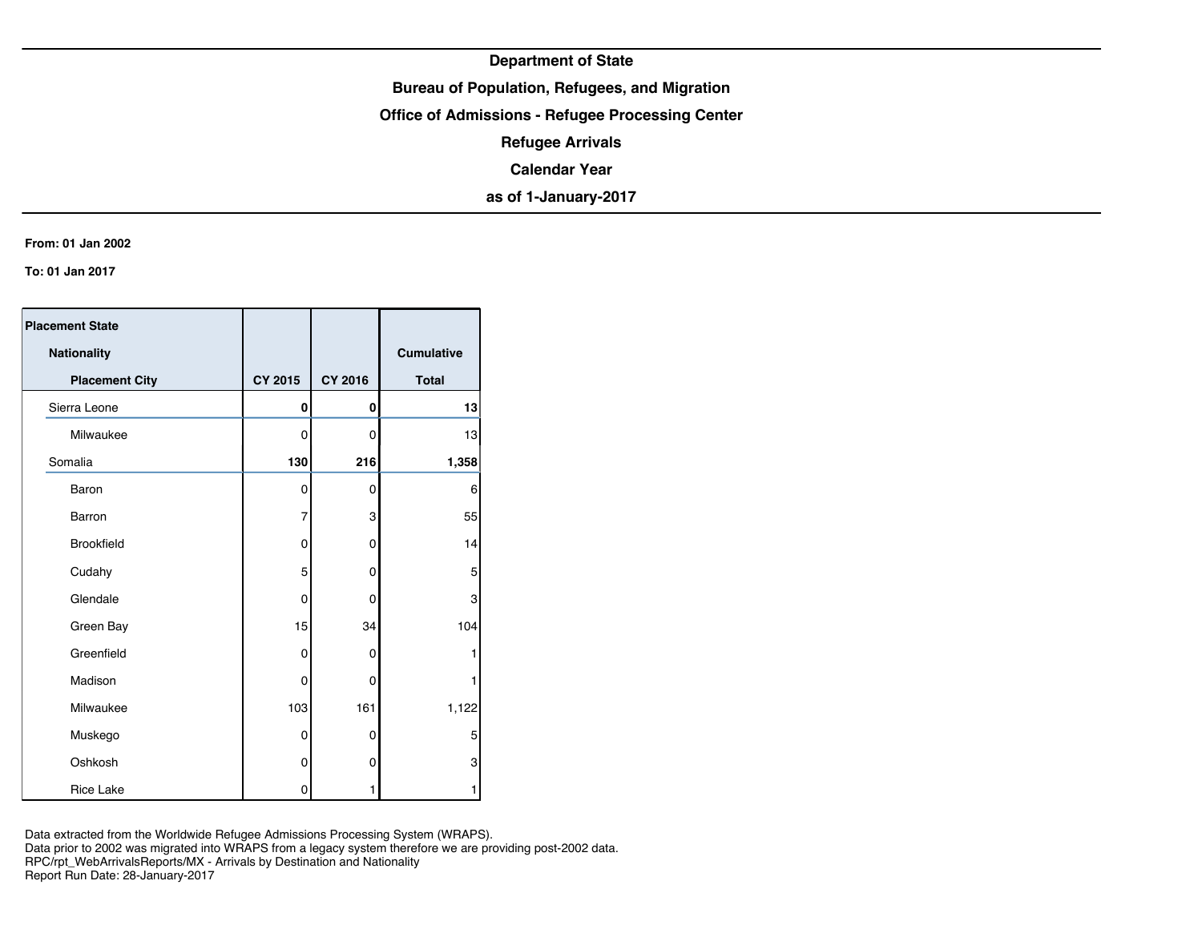## **Bureau of Population, Refugees, and Migration**

**Office of Admissions - Refugee Processing Center**

**Refugee Arrivals**

**Calendar Year**

**as of 1-January-2017**

#### **From: 01 Jan 2002**

**To: 01 Jan 2017**

| <b>Placement State</b> |                |                |              |
|------------------------|----------------|----------------|--------------|
| Nationality            |                |                | Cumulative   |
| <b>Placement City</b>  | <b>CY 2015</b> | <b>CY 2016</b> | <b>Total</b> |
| Sierra Leone           | 0              | 0              | 13           |
| Milwaukee              | 0              | 0              | 13           |
| Somalia                | 130            | 216            | 1,358        |
| Baron                  | 0              | 0              | 6            |
| Barron                 | $\overline{7}$ | 3              | 55           |
| <b>Brookfield</b>      | 0              | 0              | 14           |
| Cudahy                 | 5              | 0              | 5            |
| Glendale               | $\mathbf 0$    | 0              | 3            |
| Green Bay              | 15             | 34             | 104          |
| Greenfield             | 0              | 0              |              |
| Madison                | 0              | 0              |              |
| Milwaukee              | 103            | 161            | 1,122        |
| Muskego                | 0              | 0              | 5            |
| Oshkosh                | 0              | 0              | 3            |
| <b>Rice Lake</b>       | 0              | 1              | 1            |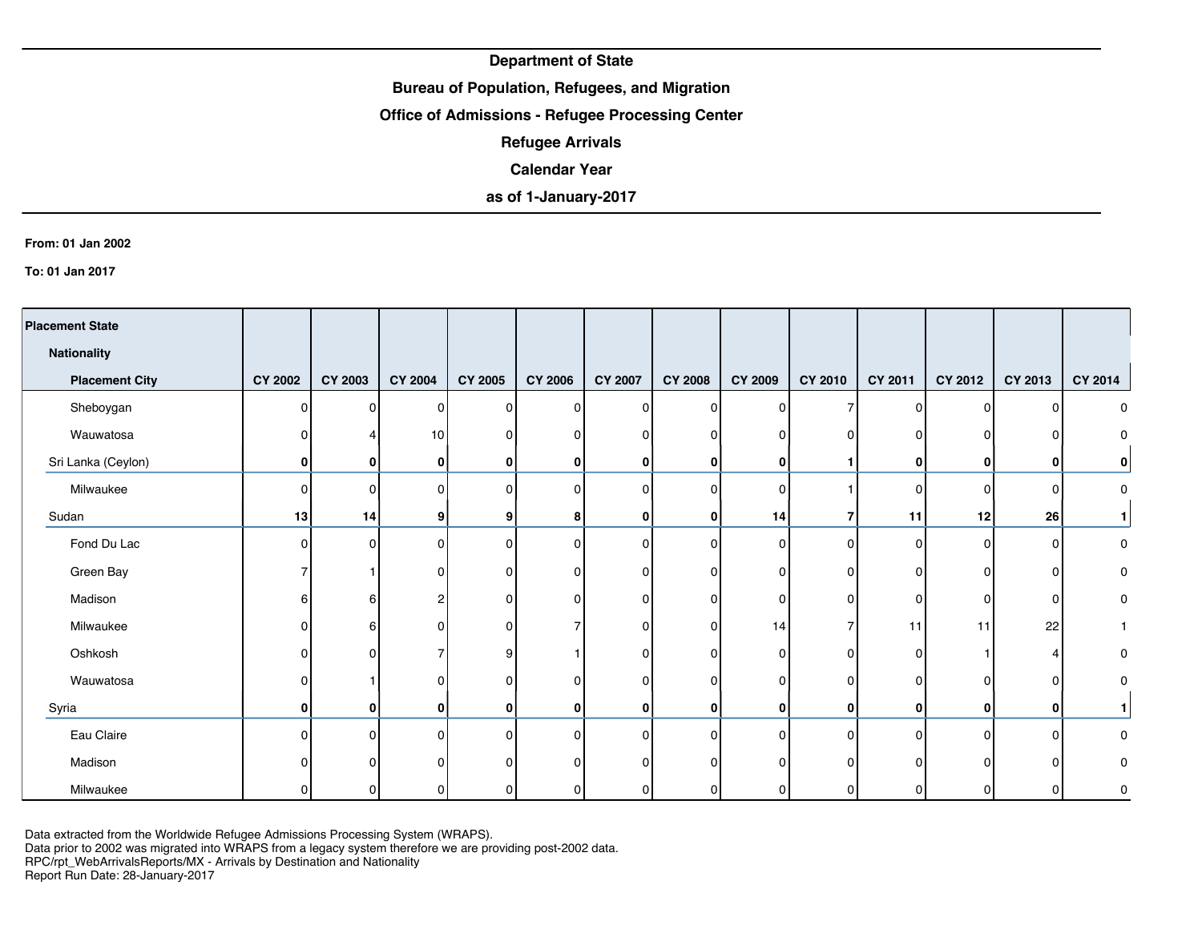## **Bureau of Population, Refugees, and Migration**

### **Office of Admissions - Refugee Processing Center**

**Refugee Arrivals**

### **Calendar Year**

# **as of 1-January-2017**

#### **From: 01 Jan 2002**

**To: 01 Jan 2017**

| <b>Placement State</b> |                |         |                |                |                |                |                |                |              |              |              |              |              |
|------------------------|----------------|---------|----------------|----------------|----------------|----------------|----------------|----------------|--------------|--------------|--------------|--------------|--------------|
| <b>Nationality</b>     |                |         |                |                |                |                |                |                |              |              |              |              |              |
| <b>Placement City</b>  | <b>CY 2002</b> | CY 2003 | <b>CY 2004</b> | <b>CY 2005</b> | <b>CY 2006</b> | <b>CY 2007</b> | <b>CY 2008</b> | <b>CY 2009</b> | CY 2010      | CY 2011      | CY 2012      | CY 2013      | CY 2014      |
| Sheboygan              | $\Omega$       | ŋ       | $\Omega$       | $\Omega$       | $\Omega$       | 0              | O              | $\Omega$       |              | $\Omega$     | 0            | $\Omega$     | 0            |
| Wauwatosa              | ŋ              |         | 10             | 0              | n              | 0              | 0              | 0              |              | o            |              | 0            | 0            |
| Sri Lanka (Ceylon)     | 0              | 0       | 0              | 0              | 0              | 0              | 0              | 0              |              | 0            | 0            | 0            | 0            |
| Milwaukee              | $\Omega$       | n       | $\Omega$       | $\Omega$       |                | 0              | $\Omega$       | $\Omega$       |              | 0            | <sup>0</sup> | $\mathbf{0}$ | 0            |
| Sudan                  | 13             | 14      | 9              | 9              | 8              | $\mathbf{0}$   | 0              | 14             |              | 11           | 12           | 26           |              |
| Fond Du Lac            | $\Omega$       | ŋ       | $\Omega$       | $\Omega$       | n              | 0              | $\Omega$       | $\Omega$       | <sup>0</sup> | 0            | O            | 0            | 0            |
| Green Bay              |                |         | 0              | 0              | 0              | 0              | 0              | 0              |              | 0            | ŋ            | 0            | 0            |
| Madison                | ิค             | 6       | 2              | 0              | O              | 0              | 0              | 0              | $\Omega$     | 0            | O            | $\mathbf{0}$ | 0            |
| Milwaukee              | <sup>0</sup>   | 6       | 0              | $\Omega$       |                | 0              | 0              | 14             |              | 11           | 11           | 22           | $\mathbf{1}$ |
| Oshkosh                | $\Omega$       | n       |                | 9              |                | ი              | O              | $\Omega$       | <sup>n</sup> | 0            |              |              | 0            |
| Wauwatosa              | $\Omega$       |         | 0              | $\mathbf 0$    | <sup>0</sup>   | 0              | 0              | $\Omega$       | $\Omega$     | 0            |              | 0            | 0            |
| Syria                  | 0              | 0       | 0              | 0              | $\mathbf{0}$   | 0              | 0              | 0              | 0            | $\mathbf{0}$ | 0            | 0            |              |
| Eau Claire             | $\Omega$       | n       | 0              | $\Omega$       |                | 0              | $\Omega$       | $\Omega$       | <sup>0</sup> | 0            | 0            | $\mathbf{0}$ | 0            |
| Madison                |                |         |                | $\Omega$       |                |                |                | ∩              |              |              |              | O            | 0            |
| Milwaukee              |                |         |                |                |                |                |                | n              |              |              |              | O            | 0            |

Data extracted from the Worldwide Refugee Admissions Processing System (WRAPS).

Data prior to 2002 was migrated into WRAPS from a legacy system therefore we are providing post-2002 data.

RPC/rpt\_WebArrivalsReports/MX - Arrivals by Destination and Nationality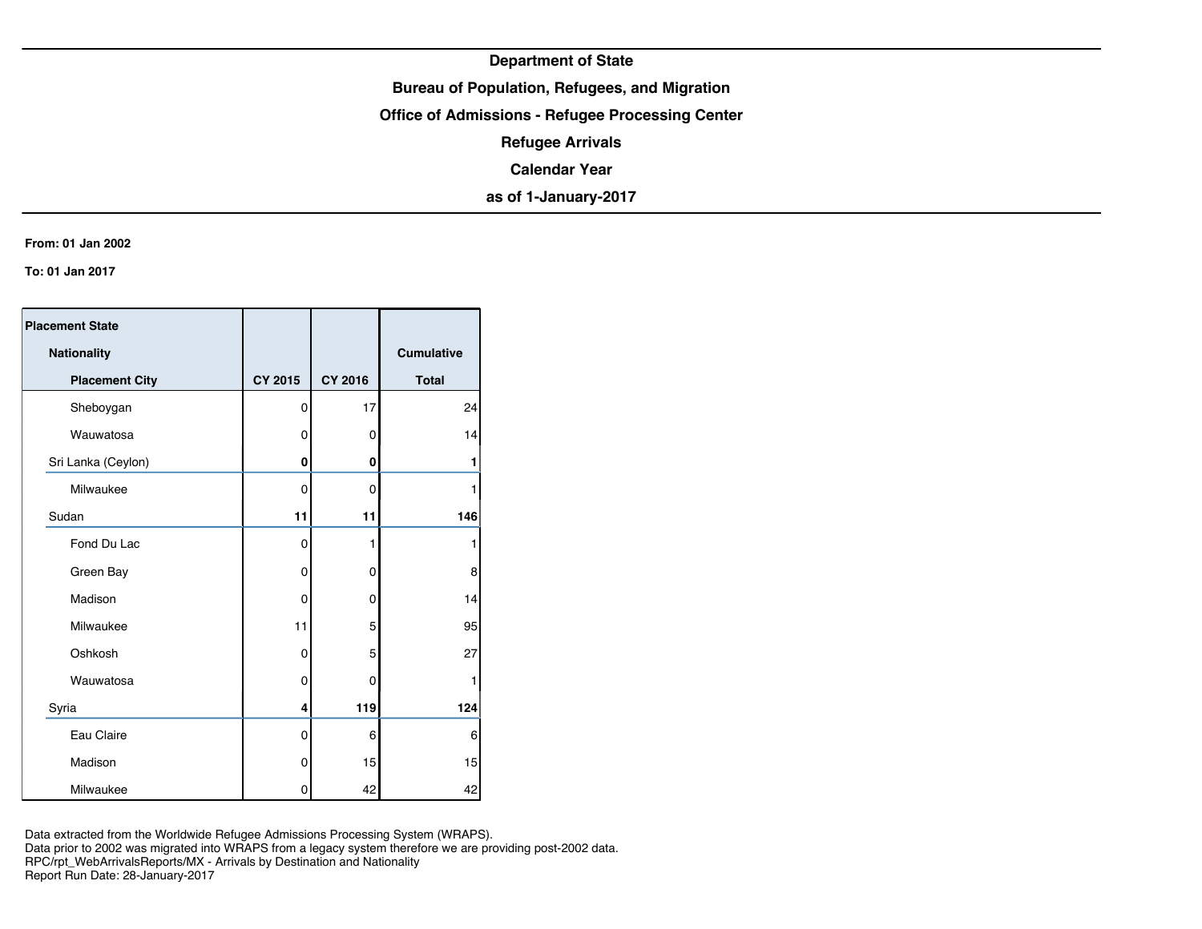## **Bureau of Population, Refugees, and Migration**

**Office of Admissions - Refugee Processing Center**

**Refugee Arrivals**

**Calendar Year**

**as of 1-January-2017**

#### **From: 01 Jan 2002**

**To: 01 Jan 2017**

| <b>Placement State</b> |                |                |                   |
|------------------------|----------------|----------------|-------------------|
| <b>Nationality</b>     |                |                | <b>Cumulative</b> |
| <b>Placement City</b>  | <b>CY 2015</b> | <b>CY 2016</b> | <b>Total</b>      |
| Sheboygan              | 0              | 17             | 24                |
| Wauwatosa              | 0              | 0              | 14                |
| Sri Lanka (Ceylon)     | 0              | 0              | 1                 |
| Milwaukee              | 0              | 0              | 1                 |
| Sudan                  | 11             | 11             | 146               |
| Fond Du Lac            | 0              | 1              | 1                 |
| Green Bay              | 0              | 0              | 8                 |
| Madison                | $\Omega$       | 0              | 14                |
| Milwaukee              | 11             | 5              | 95                |
| Oshkosh                | 0              | 5              | 27                |
| Wauwatosa              | 0              | 0              | 1                 |
| Syria                  | 4              | 119            | 124               |
| Eau Claire             | 0              | 6              | 6                 |
| Madison                | 0              | 15             | 15                |
| Milwaukee              | 0              | 42             | 42                |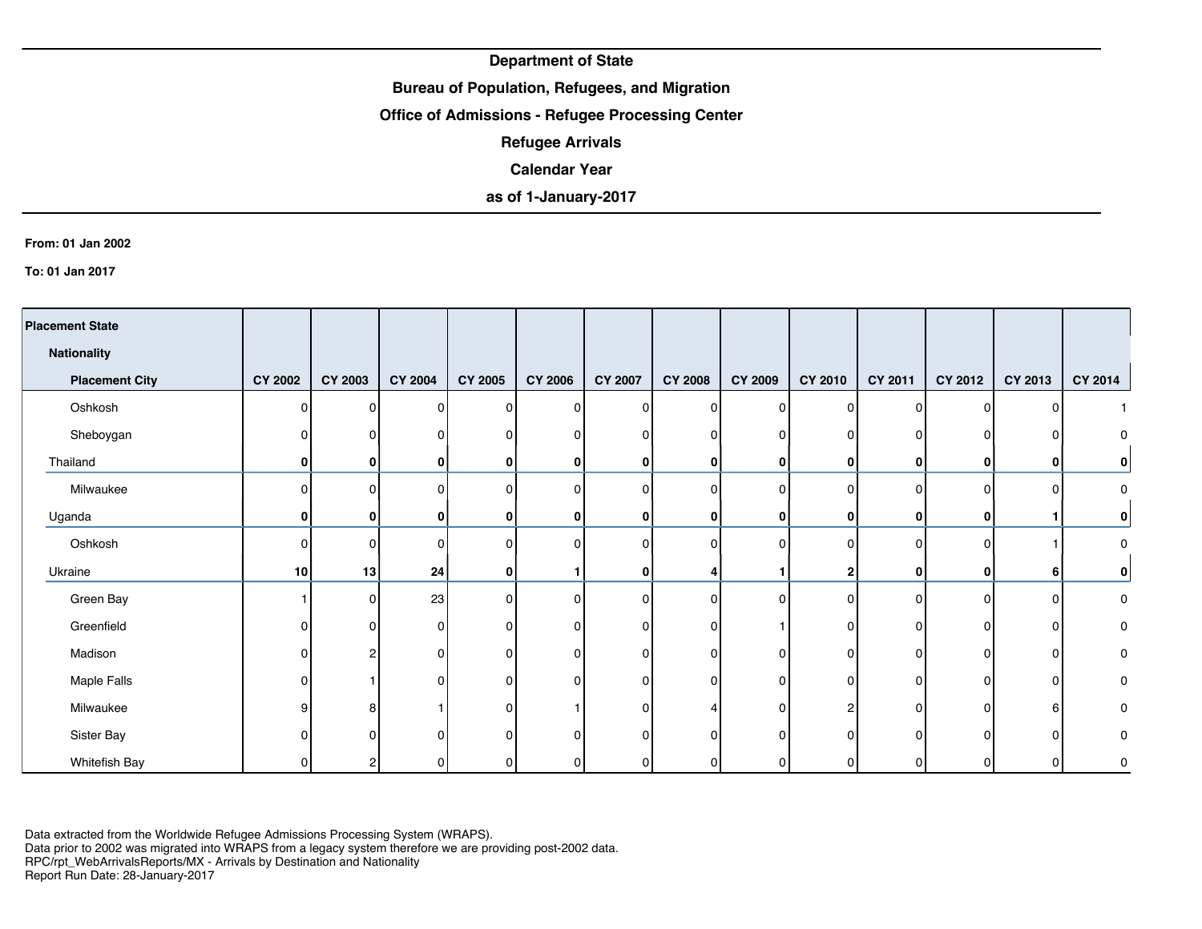## **Bureau of Population, Refugees, and Migration**

### **Office of Admissions - Refugee Processing Center**

**Refugee Arrivals**

### **Calendar Year**

# **as of 1-January-2017**

#### **From: 01 Jan 2002**

**To: 01 Jan 2017**

| <b>Placement State</b> |                |                |                |                |                |                |                |                |          |              |          |          |           |
|------------------------|----------------|----------------|----------------|----------------|----------------|----------------|----------------|----------------|----------|--------------|----------|----------|-----------|
| Nationality            |                |                |                |                |                |                |                |                |          |              |          |          |           |
| <b>Placement City</b>  | <b>CY 2002</b> | <b>CY 2003</b> | <b>CY 2004</b> | <b>CY 2005</b> | <b>CY 2006</b> | <b>CY 2007</b> | <b>CY 2008</b> | <b>CY 2009</b> | CY 2010  | CY 2011      | CY 2012  | CY 2013  | CY 2014   |
| Oshkosh                | $\Omega$       | $\Omega$       | 0              | 0              | $\Omega$       | $\Omega$       | 0              | $\Omega$       | $\Omega$ | 0            | 0        | $\Omega$ |           |
| Sheboygan              |                | n              | 0              | 0              | 0              | $\Omega$       | 0              | $\Omega$       | O        | 0            | 0        | $\Omega$ | 0         |
| Thailand               | 0              | 0              | 0              | $\mathbf{0}$   |                | $\mathbf{0}$   | 0              | 0              | 0        | $\mathbf{0}$ | 0        | 0        | $\pmb{0}$ |
| Milwaukee              | $\Omega$       |                | $\Omega$       | $\Omega$       | ∩              | 0              | $\Omega$       | ∩              | 0        | $\Omega$     | 0        | ∩        | $\pmb{0}$ |
| Uganda                 | $\bf{0}$       | 0              | 0              | $\mathbf{0}$   | 0              | $\mathbf{0}$   | 0              | 0              | 0        | $\bf{0}$     | 0        |          | $\pmb{0}$ |
| Oshkosh                | $\Omega$       | U              | 0              | $\mathbf 0$    | n              | 0              | $\Omega$       | $\Omega$       |          | 0            | $\Omega$ |          | 0         |
| Ukraine                | 10             | 13             | 24             | $\bf{0}$       |                | $\mathbf{0}$   | 4              |                | 2        | $\mathbf{0}$ | 0        | 6        | $\pmb{0}$ |
| Green Bay              |                | n              | 23             | $\Omega$       | ∩              | $\Omega$       | $\Omega$       | $\Omega$       | O        | $\Omega$     | $\Omega$ | $\Omega$ | 0         |
| Greenfield             |                |                | 0              | O              |                |                | $\Omega$       |                |          | U            | O        | n        | $\pmb{0}$ |
| Madison                | O              | ŋ              | 0              | 0              | n              | 0              | $\Omega$       | ∩              | 0        | 0            | $\Omega$ | 0        | 0         |
| Maple Falls            | O              |                | $\Omega$       | 0              | n              | 0              | $\Omega$       | ∩              | $\Omega$ | 0            | O        | 0        | 0         |
| Milwaukee              | 9              | 8              |                | $\Omega$       |                | 0              | 4              | n              | 2        | $\Omega$     | $\Omega$ | 6        | 0         |
| Sister Bay             |                | n              | $\Omega$       | $\Omega$       | O              | O              | $\Omega$       | ∩              | O        | O            | O        | $\Omega$ | 0         |
| <b>Whitefish Bay</b>   |                |                | 0              | 0              |                |                | 0              |                |          |              |          | O        | 0         |

Data extracted from the Worldwide Refugee Admissions Processing System (WRAPS).

Data prior to 2002 was migrated into WRAPS from a legacy system therefore we are providing post-2002 data. RPC/rpt\_WebArrivalsReports/MX - Arrivals by Destination and Nationality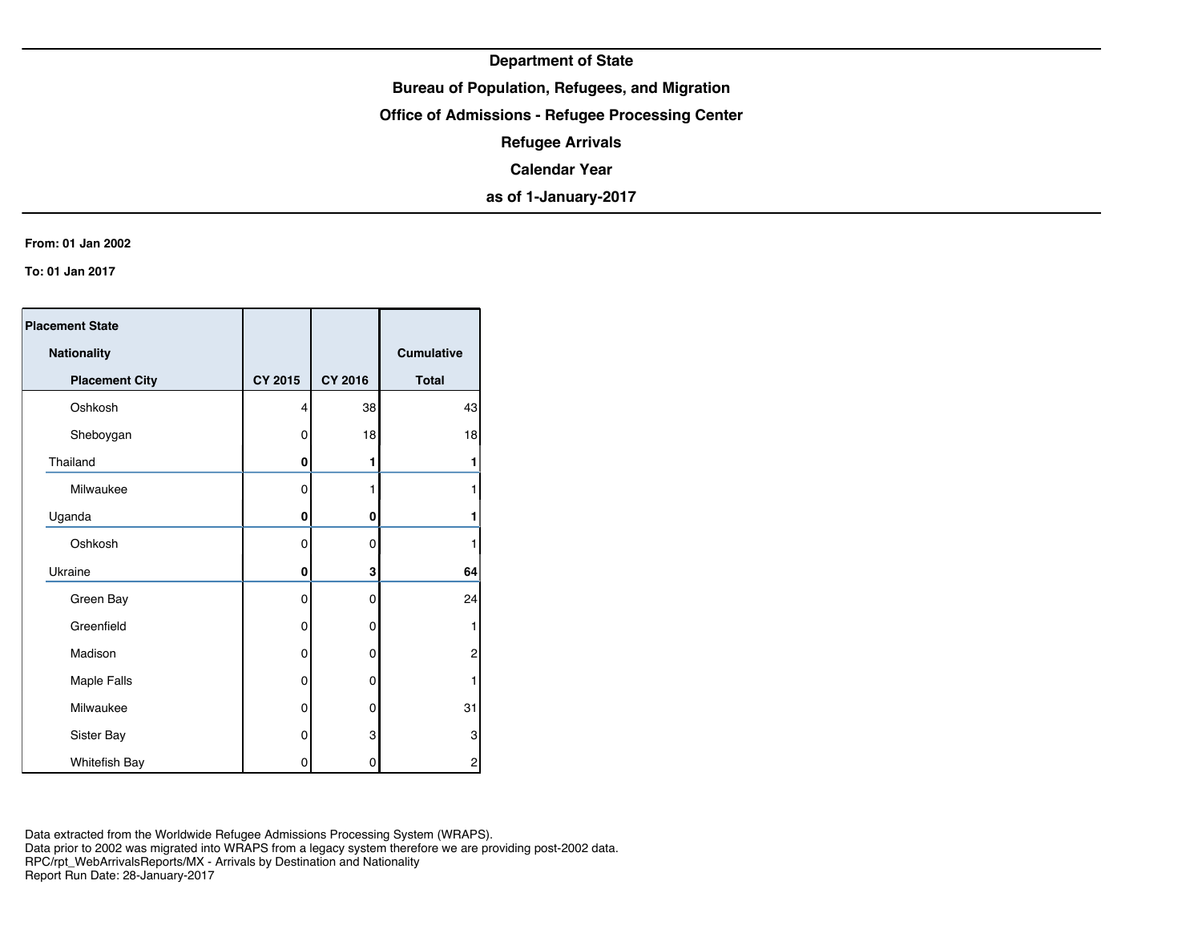## **Bureau of Population, Refugees, and Migration**

**Office of Admissions - Refugee Processing Center**

**Refugee Arrivals**

**Calendar Year**

**as of 1-January-2017**

#### **From: 01 Jan 2002**

**To: 01 Jan 2017**

| <b>Placement State</b> |          |                |              |
|------------------------|----------|----------------|--------------|
| Nationality            |          |                | Cumulative   |
| <b>Placement City</b>  | CY 2015  | <b>CY 2016</b> | <b>Total</b> |
| Oshkosh                | 4        | 38             | 43           |
| Sheboygan              | 0        | 18             | 18           |
| Thailand               | 0        | 1              | 1            |
| Milwaukee              | 0        |                |              |
| Uganda                 | 0        | 0              |              |
| Oshkosh                | 0        | $\mathbf 0$    |              |
| Ukraine                | 0        | 3              | 64           |
| Green Bay              | $\Omega$ | 0              | 24           |
| Greenfield             | 0        | 0              | 1            |
| Madison                | 0        | 0              | 2            |
| Maple Falls            | 0        | 0              |              |
| Milwaukee              | 0        | 0              | 31           |
| Sister Bay             | 0        | 3              | 3            |
| Whitefish Bay          | 0        | 0              | 2            |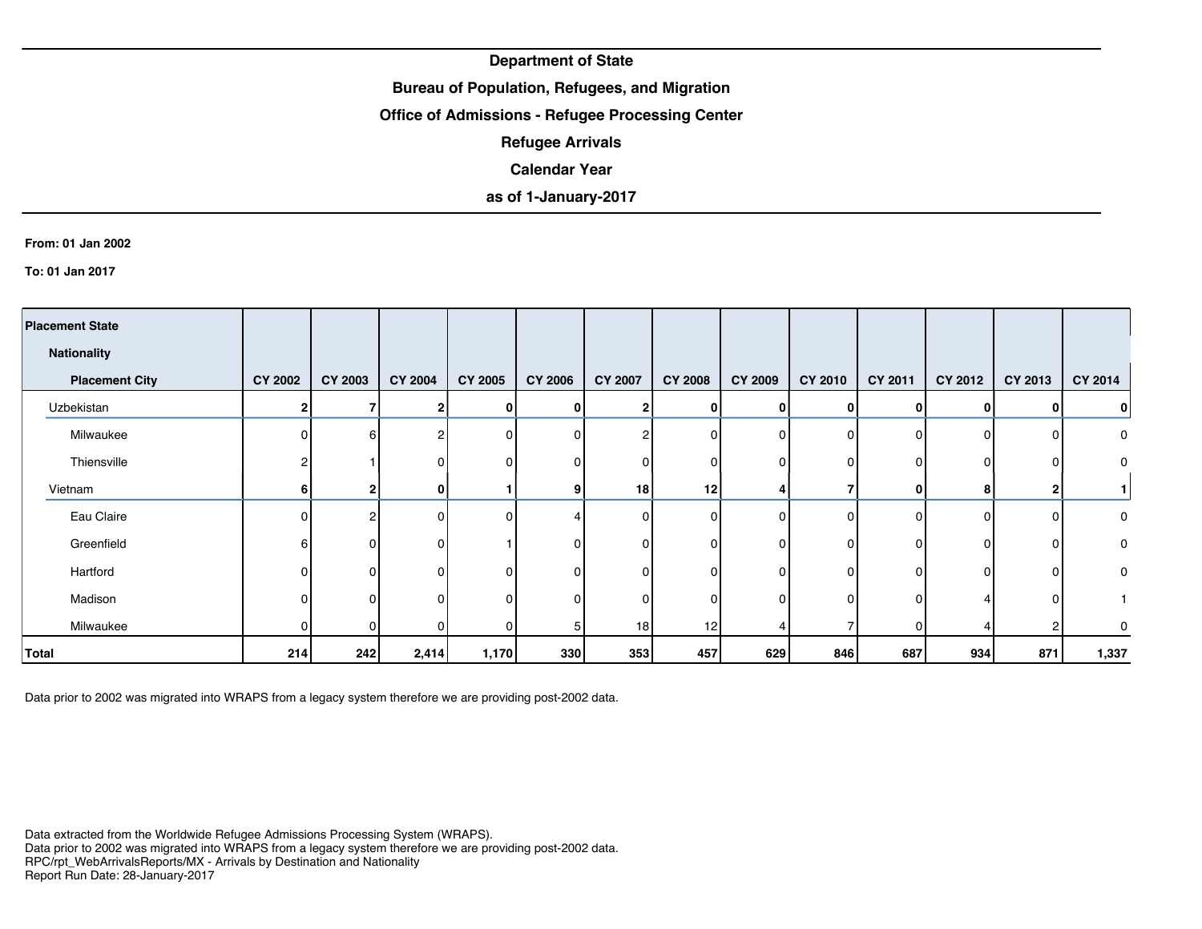## **Bureau of Population, Refugees, and Migration**

### **Office of Admissions - Refugee Processing Center**

**Refugee Arrivals**

### **Calendar Year**

## **as of 1-January-2017**

#### **From: 01 Jan 2002**

**To: 01 Jan 2017**

| <b>Placement State</b> |                |                |                |              |                |                 |                |                |                |          |              |                |                |
|------------------------|----------------|----------------|----------------|--------------|----------------|-----------------|----------------|----------------|----------------|----------|--------------|----------------|----------------|
| <b>Nationality</b>     |                |                |                |              |                |                 |                |                |                |          |              |                |                |
| <b>Placement City</b>  | <b>CY 2002</b> | <b>CY 2003</b> | <b>CY 2004</b> | CY 2005      | <b>CY 2006</b> | <b>CY 2007</b>  | <b>CY 2008</b> | <b>CY 2009</b> | <b>CY 2010</b> | CY 2011  | CY 2012      | CY 2013        | <b>CY 2014</b> |
| Uzbekistan             | $\mathbf 2$    |                | 2              | $\mathbf{0}$ | 0              | 21              | 0              | $\mathbf{0}$   | ΩI             | 0        | <sup>0</sup> | 01             | 0              |
| Milwaukee              | $\Omega$       | 6              | $\overline{c}$ | 0            | n              | റ               | $\Omega$       | $\Omega$       | ΩI             | ΩI       | U            | ΟI             | 0              |
| Thiensville            |                |                | 0              | 0            | <sup>0</sup>   | <sup>0</sup>    | 0              | $\Omega$       | οI             | n        | $\Omega$     | οI             | 0              |
| Vietnam                | 6              |                | $\bf{0}$       |              |                | 18 <sup>1</sup> | 12             |                |                | 0        | 8            | $\mathbf{2}$   |                |
| Eau Claire             | $\Omega$       | 2              | $\mathbf 0$    | 0            |                | $\Omega$        | $\Omega$       | 0              | ΩI             | $\Omega$ | $\Omega$     | ΟI             | $\mathbf 0$    |
| Greenfield             |                | ი              | 0              |              |                |                 | O              | $\Omega$       | ΩI             |          |              | οI             | 0              |
| Hartford               | 0              | O              | 0              | $\Omega$     | n              | 0               | 0              | $\Omega$       | ΩI             |          | n            | ΟI             | 0              |
| Madison                |                | ŋ              | $\mathbf{0}$   | 0            | n              | 0               | 0              | 0              | ΩI             |          |              | ΟI             |                |
| Milwaukee              | $\Omega$       | <sup>0</sup>   | 0              | 0            |                | 18 <sup>1</sup> | 12             |                |                | ΩI       |              | $\overline{2}$ | 0              |
| Total                  | 214            | 242            | 2,414          | 1,170        | 330            | 353             | 457            | 629            | 846            | 687      | 934          | 871            | 1,337          |

Data prior to 2002 was migrated into WRAPS from a legacy system therefore we are providing post-2002 data.